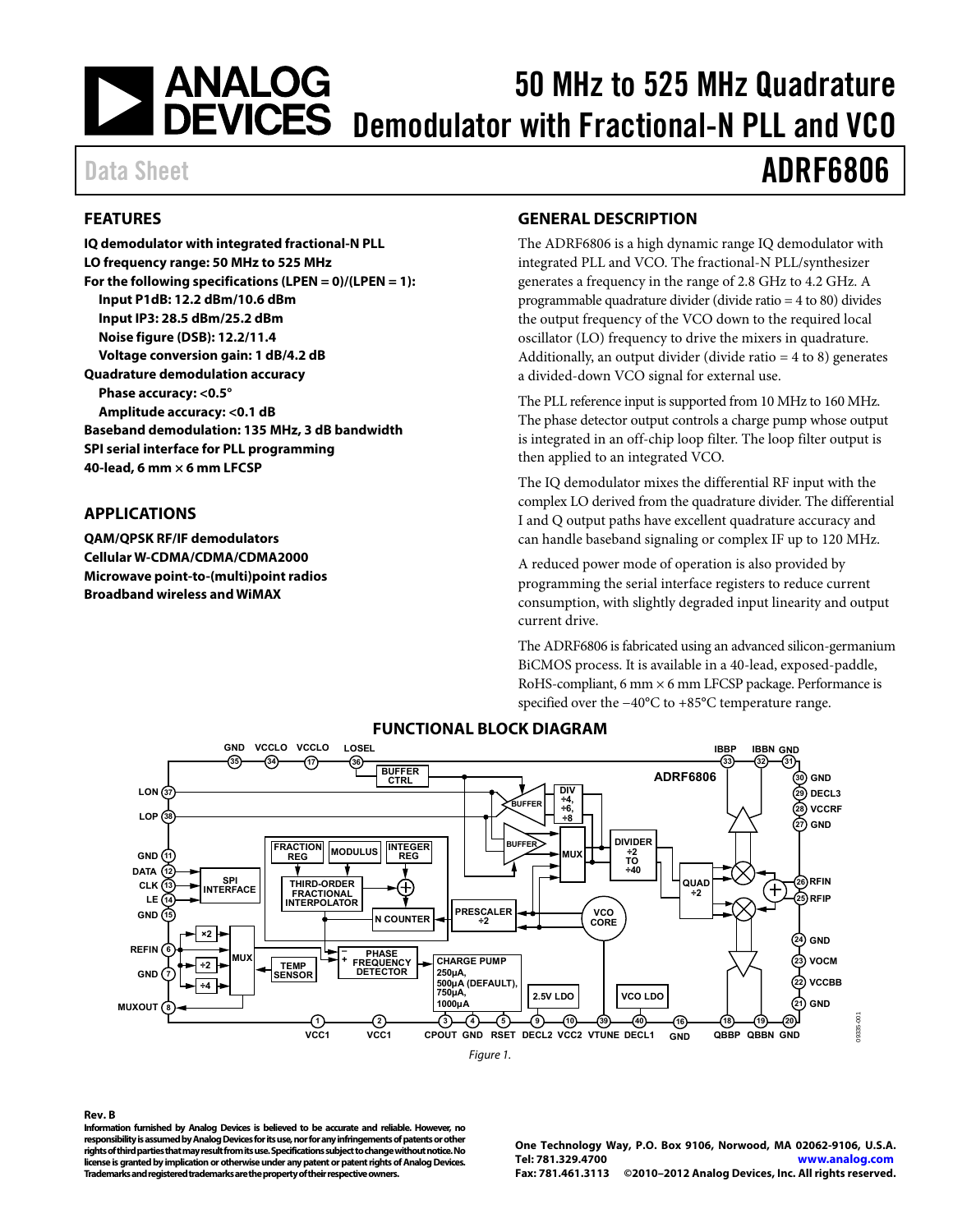## <span id="page-0-0"></span>| ANALOG<br>| DEVICES 50 MHz to 525 MHz Quadrature Demodulator with Fractional-N PLL and VCO

#### **FEATURES**

**IQ demodulator with integrated fractional-N PLL LO frequency range: 50 MHz to 525 MHz For the following specifications (LPEN = 0)/(LPEN = 1): Input P1dB: 12.2 dBm/10.6 dBm Input IP3: 28.5 dBm/25.2 dBm Noise figure (DSB): 12.2/11.4 Voltage conversion gain: 1 dB/4.2 dB Quadrature demodulation accuracy Phase accuracy: <0.5° Amplitude accuracy: <0.1 dB Baseband demodulation: 135 MHz, 3 dB bandwidth SPI serial interface for PLL programming 40-lead, 6 mm × 6 mm LFCSP** 

#### **APPLICATIONS**

**QAM/QPSK RF/IF demodulators Cellular W-CDMA/CDMA/CDMA2000 Microwave point-to-(multi)point radios Broadband wireless and WiMAX** 

#### **GENERAL DESCRIPTION**

The ADRF6806 is a high dynamic range IQ demodulator with integrated PLL and VCO. The fractional-N PLL/synthesizer generates a frequency in the range of 2.8 GHz to 4.2 GHz. A programmable quadrature divider (divide ratio = 4 to 80) divides the output frequency of the VCO down to the required local oscillator (LO) frequency to drive the mixers in quadrature. Additionally, an output divider (divide ratio  $= 4$  to 8) generates a divided-down VCO signal for external use.

The PLL reference input is supported from 10 MHz to 160 MHz. The phase detector output controls a charge pump whose output is integrated in an off-chip loop filter. The loop filter output is then applied to an integrated VCO.

The IQ demodulator mixes the differential RF input with the complex LO derived from the quadrature divider. The differential I and Q output paths have excellent quadrature accuracy and can handle baseband signaling or complex IF up to 120 MHz.

A reduced power mode of operation is also provided by programming the serial interface registers to reduce current consumption, with slightly degraded input linearity and output current drive.

The ADRF6806 is fabricated using an advanced silicon-germanium BiCMOS process. It is available in a 40-lead, exposed-paddle, RoHS-compliant, 6 mm  $\times$  6 mm LFCSP package. Performance is specified over the −40°C to +85°C temperature range.



### **FUNCTIONAL BLOCK DIAGRAM**

Figure 1.

#### **Rev. B**

**Information furnished by Analog Devices is believed to be accurate and reliable. However, no responsibility is assumed by Analog Devices for its use, nor for any infringements of patents or other rights of third parties that may result from its use. Specifications subject to change without notice. No license is granted by implication or otherwise under any patent or patent rights of Analog Devices. Trademarks and registered trademarks are the property of their respective owners.** 

**One Technology Way, P.O. Box 9106, Norwood, MA 02062-9106, U.S.A. Tel: 781.329.4700 www.analog.com Fax: 781.461.3113 ©2010–2012 Analog Devices, Inc. All rights reserved.** 

# Data Sheet **ADRF6806**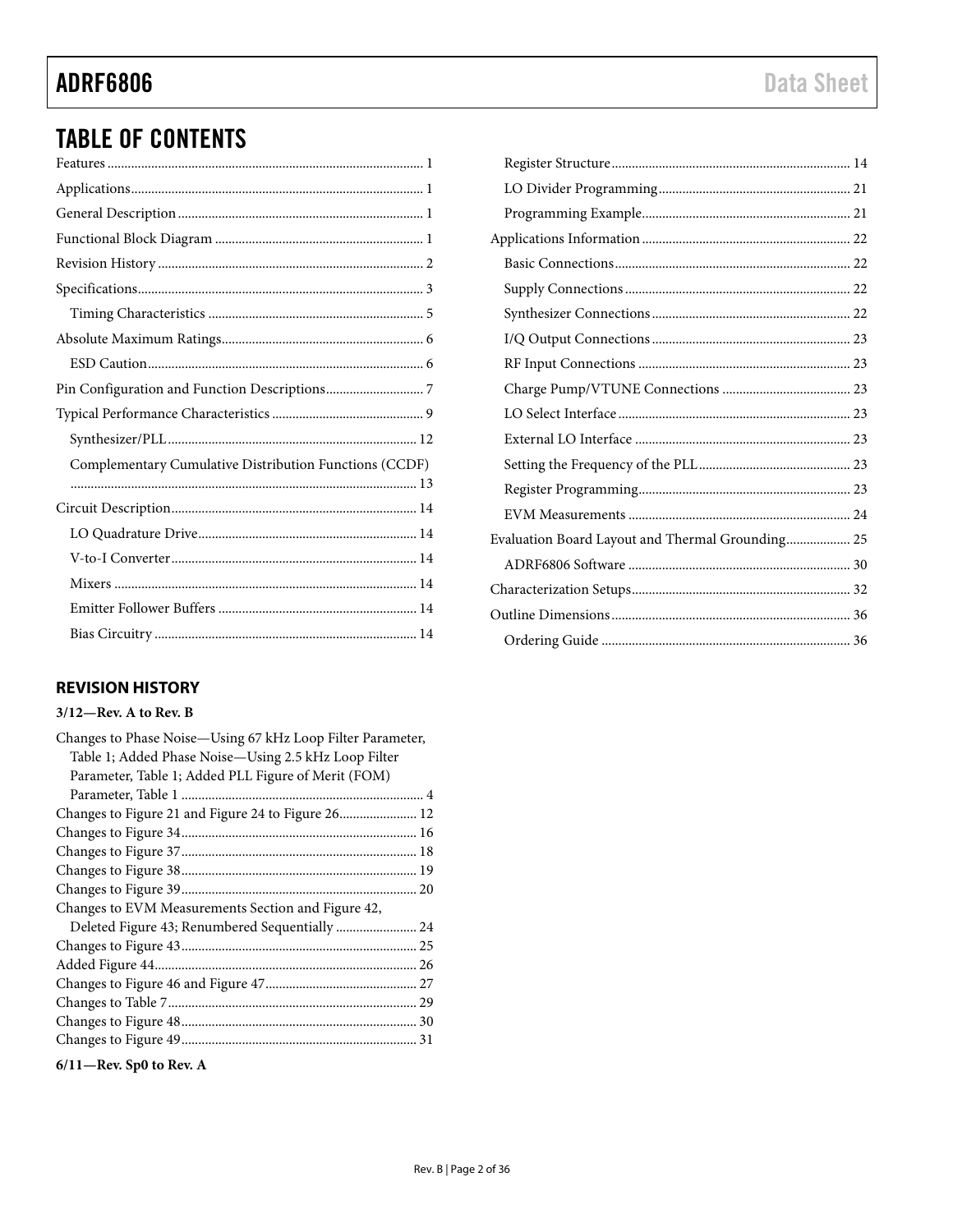# <span id="page-1-0"></span>**ADRF6806**

# **TABLE OF CONTENTS**

| Complementary Cumulative Distribution Functions (CCDF) |
|--------------------------------------------------------|
|                                                        |
|                                                        |
|                                                        |
|                                                        |
|                                                        |
|                                                        |
|                                                        |

### **REVISION HISTORY**

#### $3/12$ —Rev. A to Rev. B

| Changes to Phase Noise-Using 67 kHz Loop Filter Parameter, |  |
|------------------------------------------------------------|--|
| Table 1; Added Phase Noise-Using 2.5 kHz Loop Filter       |  |
| Parameter, Table 1; Added PLL Figure of Merit (FOM)        |  |
|                                                            |  |
| Changes to Figure 21 and Figure 24 to Figure 26 12         |  |
|                                                            |  |
|                                                            |  |
|                                                            |  |
|                                                            |  |
| Changes to EVM Measurements Section and Figure 42,         |  |
| Deleted Figure 43; Renumbered Sequentially  24             |  |
|                                                            |  |
|                                                            |  |
|                                                            |  |
|                                                            |  |
|                                                            |  |
|                                                            |  |
|                                                            |  |

 $6/11$ -Rev. Sp0 to Rev. A

| Evaluation Board Layout and Thermal Grounding 25 |
|--------------------------------------------------|
|                                                  |
|                                                  |
|                                                  |
|                                                  |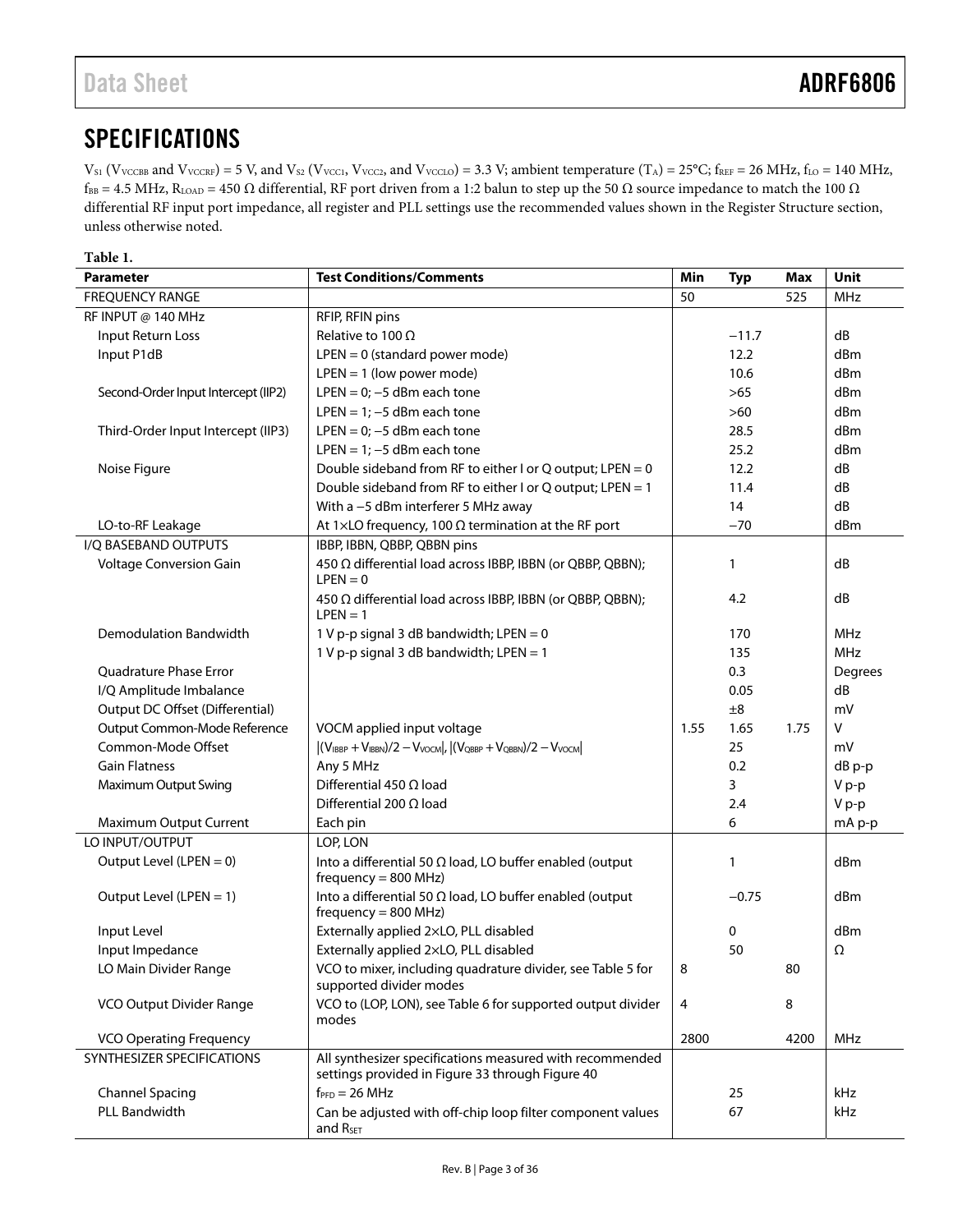# <span id="page-2-0"></span>SPECIFICATIONS

 $V_{S1}$  (V<sub>VCCBB</sub> and V<sub>VCCRF</sub>) = 5 V, and V<sub>S2</sub> (V<sub>VCC1</sub>, V<sub>VCC2</sub>, and V<sub>VCCLO</sub>) = 3.3 V; ambient temperature (T<sub>A</sub>) = 25°C; f<sub>REF</sub> = 26 MHz, f<sub>LO</sub> = 140 MHz,  $f_{BB} = 4.5 \text{ MHz}, R_{LOAD} = 450 \Omega$  differential, RF port driven from a 1:2 balun to step up the 50  $\Omega$  source impedance to match the 100  $\Omega$ differential RF input port impedance, all register and PLL settings use the recommended values shown in the [Register Structure](#page-13-1) section, unless otherwise noted.

| Table 1.                            |                                                                                                              |      |              |            |            |
|-------------------------------------|--------------------------------------------------------------------------------------------------------------|------|--------------|------------|------------|
| <b>Parameter</b>                    | <b>Test Conditions/Comments</b>                                                                              | Min  | <b>Typ</b>   | <b>Max</b> | Unit       |
| <b>FREQUENCY RANGE</b>              |                                                                                                              | 50   |              | 525        | <b>MHz</b> |
| RF INPUT @ 140 MHz                  | RFIP, RFIN pins                                                                                              |      |              |            |            |
| Input Return Loss                   | Relative to 100 $\Omega$                                                                                     |      | $-11.7$      |            | dB         |
| Input P1dB                          | $LPEN = 0$ (standard power mode)                                                                             |      | 12.2         |            | dBm        |
|                                     | $LPEN = 1$ (low power mode)                                                                                  |      | 10.6         |            | dBm        |
| Second-Order Input Intercept (IIP2) | LPEN = $0$ ; -5 dBm each tone                                                                                |      | >65          |            | dBm        |
|                                     | LPEN = $1; -5$ dBm each tone                                                                                 |      | $>60$        |            | dBm        |
| Third-Order Input Intercept (IIP3)  | LPEN = $0$ ; -5 dBm each tone                                                                                |      | 28.5         |            | dBm        |
|                                     | LPEN = $1; -5$ dBm each tone                                                                                 |      | 25.2         |            | dBm        |
| Noise Figure                        | Double sideband from RF to either I or Q output; LPEN = 0                                                    |      | 12.2         |            | dB         |
|                                     | Double sideband from RF to either I or Q output; LPEN = 1                                                    |      | 11.4         |            | dB         |
|                                     | With a -5 dBm interferer 5 MHz away                                                                          |      | 14           |            | dB         |
| LO-to-RF Leakage                    | At 1 $\times$ LO frequency, 100 $\Omega$ termination at the RF port                                          |      | $-70$        |            | dBm        |
| I/Q BASEBAND OUTPUTS                | IBBP, IBBN, QBBP, QBBN pins                                                                                  |      |              |            |            |
| Voltage Conversion Gain             | 450 Ω differential load across IBBP, IBBN (or QBBP, QBBN);<br>$LPEN = 0$                                     |      | 1            |            | dB         |
|                                     | 450 Ω differential load across IBBP, IBBN (or QBBP, QBBN);<br>$LPEN = 1$                                     |      | 4.2          |            | dB         |
| Demodulation Bandwidth              | 1 V p-p signal 3 dB bandwidth; LPEN = 0                                                                      |      | 170          |            | <b>MHz</b> |
|                                     | 1 V p-p signal 3 dB bandwidth; LPEN = 1                                                                      |      | 135          |            | <b>MHz</b> |
| <b>Ouadrature Phase Error</b>       |                                                                                                              |      | 0.3          |            | Degrees    |
| I/Q Amplitude Imbalance             |                                                                                                              |      | 0.05         |            | dB         |
| Output DC Offset (Differential)     |                                                                                                              |      | ±8           |            | mV         |
| Output Common-Mode Reference        | VOCM applied input voltage                                                                                   | 1.55 | 1.65         | 1.75       | V          |
| Common-Mode Offset                  | $ (V_{IBBP} + V_{IBBN})/2 - V_{VOCM} ,  (V_{QBBP} + V_{QBBN})/2 - V_{VOCM} $                                 |      | 25           |            | mV         |
| <b>Gain Flatness</b>                | Any 5 MHz                                                                                                    |      | 0.2          |            | dB p-p     |
| Maximum Output Swing                | Differential 450 $\Omega$ load                                                                               |      | 3            |            | V p-p      |
|                                     | Differential 200 $\Omega$ load                                                                               |      | 2.4          |            | V p-p      |
| Maximum Output Current              | Each pin                                                                                                     |      | 6            |            | mA p-p     |
| LO INPUT/OUTPUT                     | LOP, LON                                                                                                     |      |              |            |            |
| Output Level (LPEN $= 0$ )          | Into a differential 50 $\Omega$ load, LO buffer enabled (output<br>$frequency = 800 MHz$                     |      | $\mathbf{1}$ |            | dBm        |
| Output Level (LPEN = 1)             | Into a differential 50 $\Omega$ load, LO buffer enabled (output<br>$frequency = 800 MHz$                     |      | $-0.75$      |            | dBm        |
| Input Level                         | Externally applied 2xLO, PLL disabled                                                                        |      | 0            |            | dBm        |
| Input Impedance                     | Externally applied 2xLO, PLL disabled                                                                        |      | 50           |            | Ω          |
| LO Main Divider Range               | VCO to mixer, including quadrature divider, see Table 5 for<br>supported divider modes                       | 8    |              | 80         |            |
| VCO Output Divider Range            | VCO to (LOP, LON), see Table 6 for supported output divider<br>modes                                         | 4    |              | 8          |            |
| <b>VCO Operating Frequency</b>      |                                                                                                              | 2800 |              | 4200       | MHz        |
| SYNTHESIZER SPECIFICATIONS          | All synthesizer specifications measured with recommended<br>settings provided in Figure 33 through Figure 40 |      |              |            |            |
| <b>Channel Spacing</b>              | $f_{\text{PFD}} = 26 \text{ MHz}$                                                                            |      | 25           |            | kHz        |
| PLL Bandwidth                       | Can be adjusted with off-chip loop filter component values<br>and R <sub>SET</sub>                           |      | 67           |            | kHz        |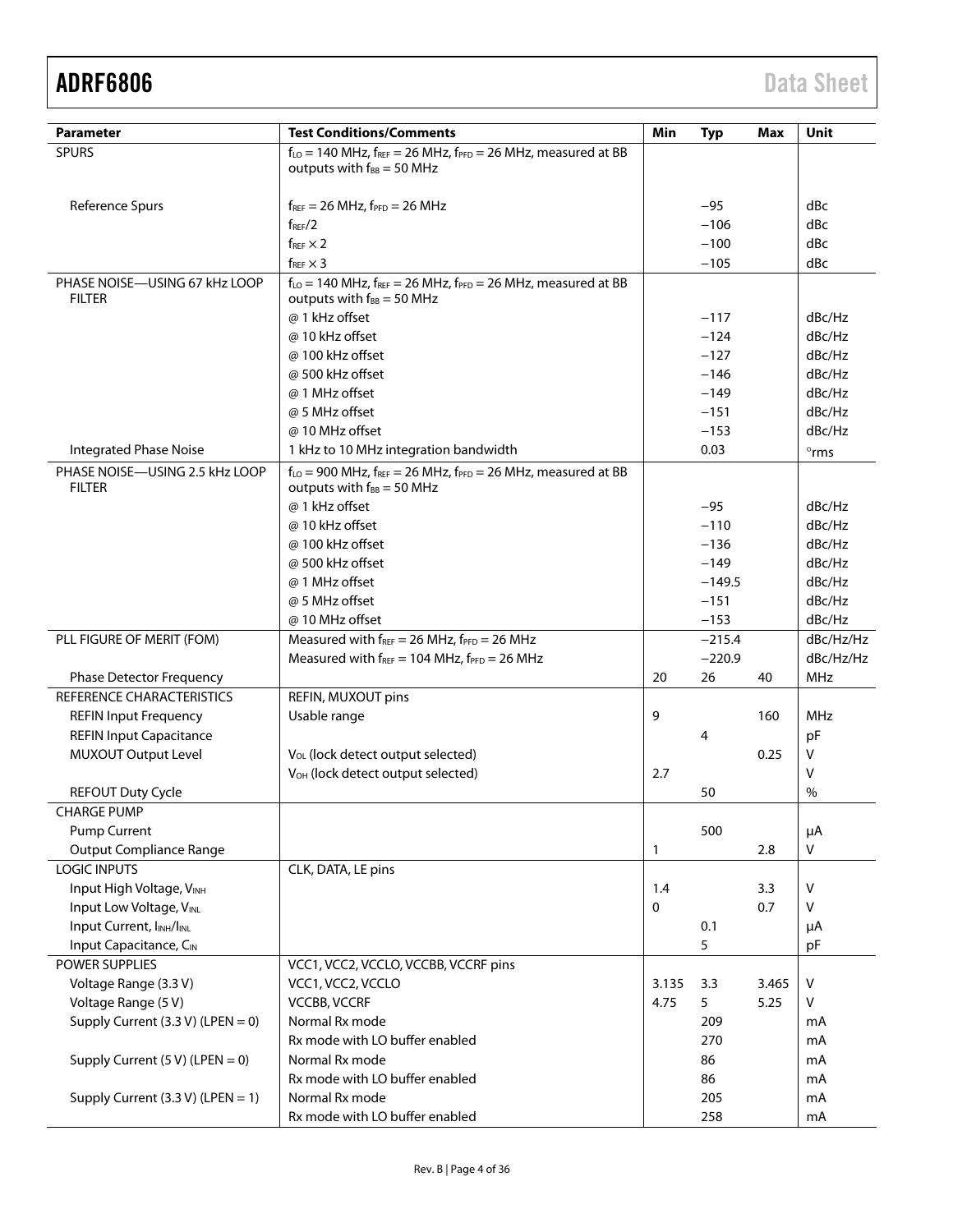| <b>Parameter</b>                                | <b>Test Conditions/Comments</b>                                                                              | Min          | <b>Typ</b> | Max   | Unit           |
|-------------------------------------------------|--------------------------------------------------------------------------------------------------------------|--------------|------------|-------|----------------|
| <b>SPURS</b>                                    | $f_{LO}$ = 140 MHz, $f_{REF}$ = 26 MHz, $f_{PFD}$ = 26 MHz, measured at BB                                   |              |            |       |                |
|                                                 | outputs with $f_{BB} = 50$ MHz                                                                               |              |            |       |                |
|                                                 |                                                                                                              |              |            |       |                |
| Reference Spurs                                 | $f_{REF}$ = 26 MHz, $f_{PFD}$ = 26 MHz                                                                       |              | $-95$      |       | dBc            |
|                                                 | $f_{\rm{REF}}/2$                                                                                             |              | $-106$     |       | dBc            |
|                                                 | $f_{REF} \times 2$                                                                                           |              | $-100$     |       | dBc            |
|                                                 | $f_{REF} \times 3$                                                                                           |              | $-105$     |       | dBc            |
| PHASE NOISE-USING 67 kHz LOOP                   | $f_{LO}$ = 140 MHz, $f_{REF}$ = 26 MHz, $f_{PFD}$ = 26 MHz, measured at BB                                   |              |            |       |                |
| <b>FILTER</b>                                   | outputs with $f_{BB} = 50$ MHz                                                                               |              |            |       |                |
|                                                 | @ 1 kHz offset                                                                                               |              | $-117$     |       | dBc/Hz         |
|                                                 | @ 10 kHz offset                                                                                              |              | $-124$     |       | dBc/Hz         |
|                                                 | @ 100 kHz offset                                                                                             |              | $-127$     |       | dBc/Hz         |
|                                                 | @ 500 kHz offset                                                                                             |              | $-146$     |       | dBc/Hz         |
|                                                 | @ 1 MHz offset                                                                                               |              | $-149$     |       | dBc/Hz         |
|                                                 | @ 5 MHz offset                                                                                               |              | $-151$     |       | dBc/Hz         |
|                                                 | @ 10 MHz offset                                                                                              |              | $-153$     |       | dBc/Hz         |
| <b>Integrated Phase Noise</b>                   | 1 kHz to 10 MHz integration bandwidth                                                                        |              | 0.03       |       | $^{\circ}$ rms |
| PHASE NOISE-USING 2.5 kHz LOOP<br><b>FILTER</b> | $f_{LO}$ = 900 MHz, $f_{REF}$ = 26 MHz, $f_{PFD}$ = 26 MHz, measured at BB<br>outputs with $f_{BB} = 50$ MHz |              |            |       |                |
|                                                 | @ 1 kHz offset                                                                                               |              | $-95$      |       | dBc/Hz         |
|                                                 | @ 10 kHz offset                                                                                              |              | $-110$     |       | dBc/Hz         |
|                                                 | @ 100 kHz offset                                                                                             |              | $-136$     |       | dBc/Hz         |
|                                                 | @ 500 kHz offset                                                                                             |              | $-149$     |       | dBc/Hz         |
|                                                 | @ 1 MHz offset                                                                                               |              | $-149.5$   |       | dBc/Hz         |
|                                                 | @ 5 MHz offset                                                                                               |              | $-151$     |       | dBc/Hz         |
|                                                 | @ 10 MHz offset                                                                                              |              | $-153$     |       | dBc/Hz         |
| PLL FIGURE OF MERIT (FOM)                       | Measured with $f_{REF} = 26 \text{ MHz}$ , $f_{PFD} = 26 \text{ MHz}$                                        |              | $-215.4$   |       | dBc/Hz/Hz      |
|                                                 | Measured with $f_{REF} = 104$ MHz, $f_{PFD} = 26$ MHz                                                        |              | $-220.9$   |       | dBc/Hz/Hz      |
| <b>Phase Detector Frequency</b>                 |                                                                                                              | 20           | 26         | 40    | <b>MHz</b>     |
| REFERENCE CHARACTERISTICS                       | REFIN, MUXOUT pins                                                                                           |              |            |       |                |
| <b>REFIN Input Frequency</b>                    | Usable range                                                                                                 | 9            |            | 160   | MHz            |
| <b>REFIN Input Capacitance</b>                  |                                                                                                              |              | 4          |       | pF             |
| <b>MUXOUT Output Level</b>                      | V <sub>OL</sub> (lock detect output selected)                                                                |              |            | 0.25  | V              |
|                                                 | V <sub>OH</sub> (lock detect output selected)                                                                | 2.7          |            |       | v              |
| <b>REFOUT Duty Cycle</b>                        |                                                                                                              |              | 50         |       | %              |
| <b>CHARGE PUMP</b>                              |                                                                                                              |              |            |       |                |
| Pump Current                                    |                                                                                                              |              | 500        |       | μA             |
| <b>Output Compliance Range</b>                  |                                                                                                              | 1            |            | 2.8   | v              |
| <b>LOGIC INPUTS</b>                             | CLK, DATA, LE pins                                                                                           |              |            |       |                |
| Input High Voltage, VINH                        |                                                                                                              | 1.4          |            | 3.3   | $\vee$         |
| Input Low Voltage, VINL                         |                                                                                                              | $\mathbf{0}$ |            | 0.7   | v              |
| Input Current, INH/INL                          |                                                                                                              |              | 0.1        |       | μA             |
| Input Capacitance, CIN                          |                                                                                                              |              | 5          |       | pF             |
| <b>POWER SUPPLIES</b>                           | VCC1, VCC2, VCCLO, VCCBB, VCCRF pins                                                                         |              |            |       |                |
| Voltage Range (3.3 V)                           | VCC1, VCC2, VCCLO                                                                                            | 3.135        | 3.3        | 3.465 | $\vee$         |
| Voltage Range (5 V)                             | <b>VCCBB, VCCRF</b>                                                                                          | 4.75         | 5          | 5.25  | V              |
| Supply Current $(3.3 V)$ (LPEN = 0)             | Normal Rx mode                                                                                               |              | 209        |       | mA             |
|                                                 | Rx mode with LO buffer enabled                                                                               |              | 270        |       | mA             |
| Supply Current $(5 V)$ (LPEN = 0)               | Normal Rx mode                                                                                               |              | 86         |       | mA             |
|                                                 | Rx mode with LO buffer enabled                                                                               |              | 86         |       | mA             |
| Supply Current (3.3 V) (LPEN = 1)               | Normal Rx mode                                                                                               |              | 205        |       | mA             |
|                                                 | Rx mode with LO buffer enabled                                                                               |              | 258        |       | mA             |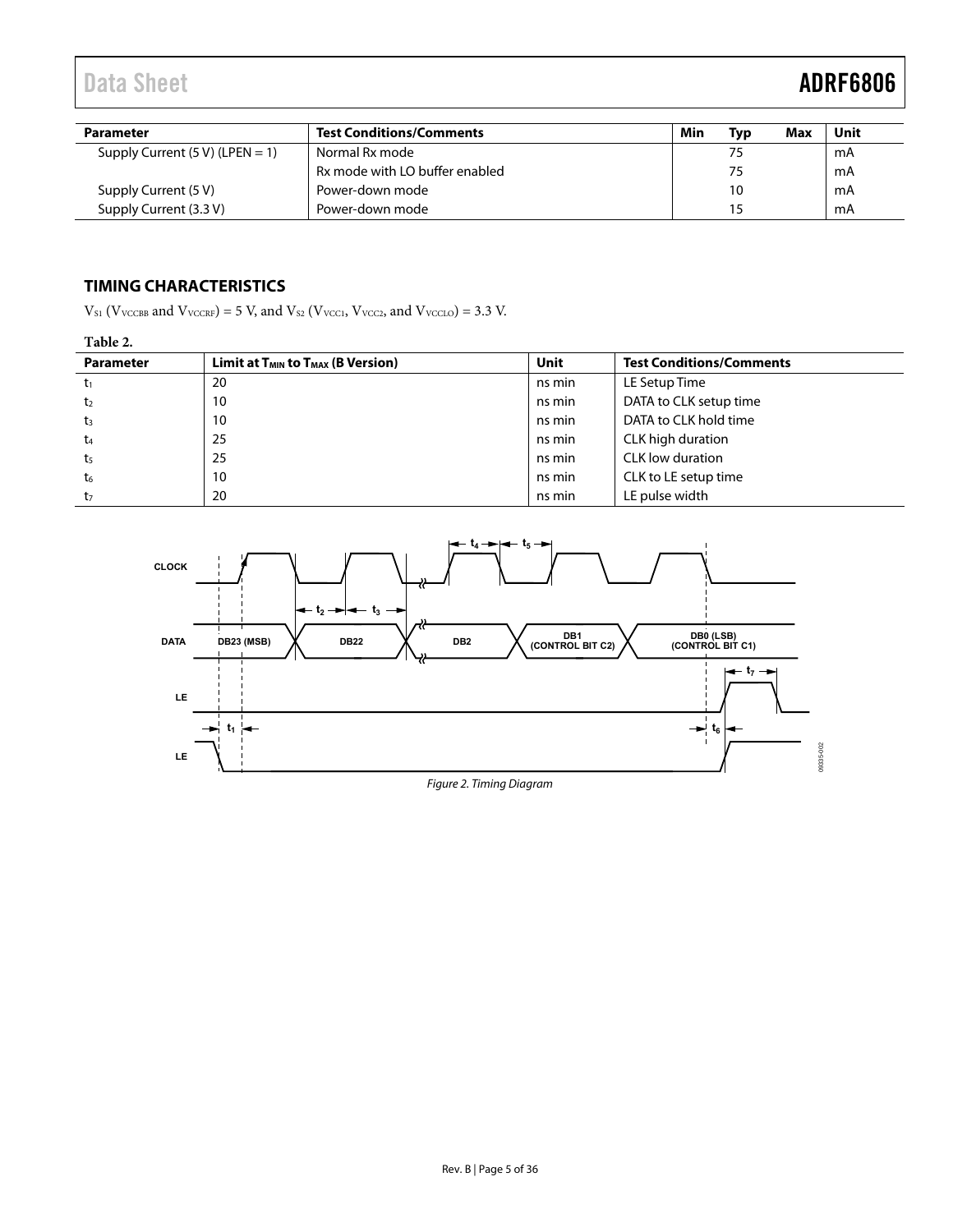<span id="page-4-0"></span>

| <b>Parameter</b>                  | <b>Test Conditions/Comments</b> | Min | <b>Typ</b> | Max | Unit |
|-----------------------------------|---------------------------------|-----|------------|-----|------|
| Supply Current $(5 V)$ (LPEN = 1) | Normal Rx mode                  |     | 75         |     | mA   |
|                                   | Rx mode with LO buffer enabled  |     | 75         |     | mA   |
| Supply Current (5 V)              | Power-down mode                 |     | 10         |     | mA   |
| Supply Current (3.3 V)            | Power-down mode                 |     | 15         |     | mA   |

### **TIMING CHARACTERISTICS**

 $V_{S1}$  (V<sub>VCCBB</sub> and V<sub>VCCRF</sub>) = 5 V, and V<sub>S2</sub> (V<sub>VCC1</sub>, V<sub>VCC2</sub>, and V<sub>VCC10</sub>) = 3.3 V.

#### **Table 2.**

| <b>Parameter</b> | Limit at $T_{MIN}$ to $T_{MAX}$ (B Version) | Unit   | <b>Test Conditions/Comments</b> |
|------------------|---------------------------------------------|--------|---------------------------------|
| $t_1$            | 20                                          | ns min | LE Setup Time                   |
| t <sub>2</sub>   | 10                                          | ns min | DATA to CLK setup time          |
| $t_3$            | 10                                          | ns min | DATA to CLK hold time           |
| t <sub>4</sub>   | 25                                          | ns min | CLK high duration               |
| t <sub>5</sub>   | 25                                          | ns min | CLK low duration                |
| t6               | 10                                          | ns min | CLK to LE setup time            |
| t <sub>7</sub>   | 20                                          | ns min | LE pulse width                  |

<span id="page-4-1"></span>

Figure 2. Timing Diagram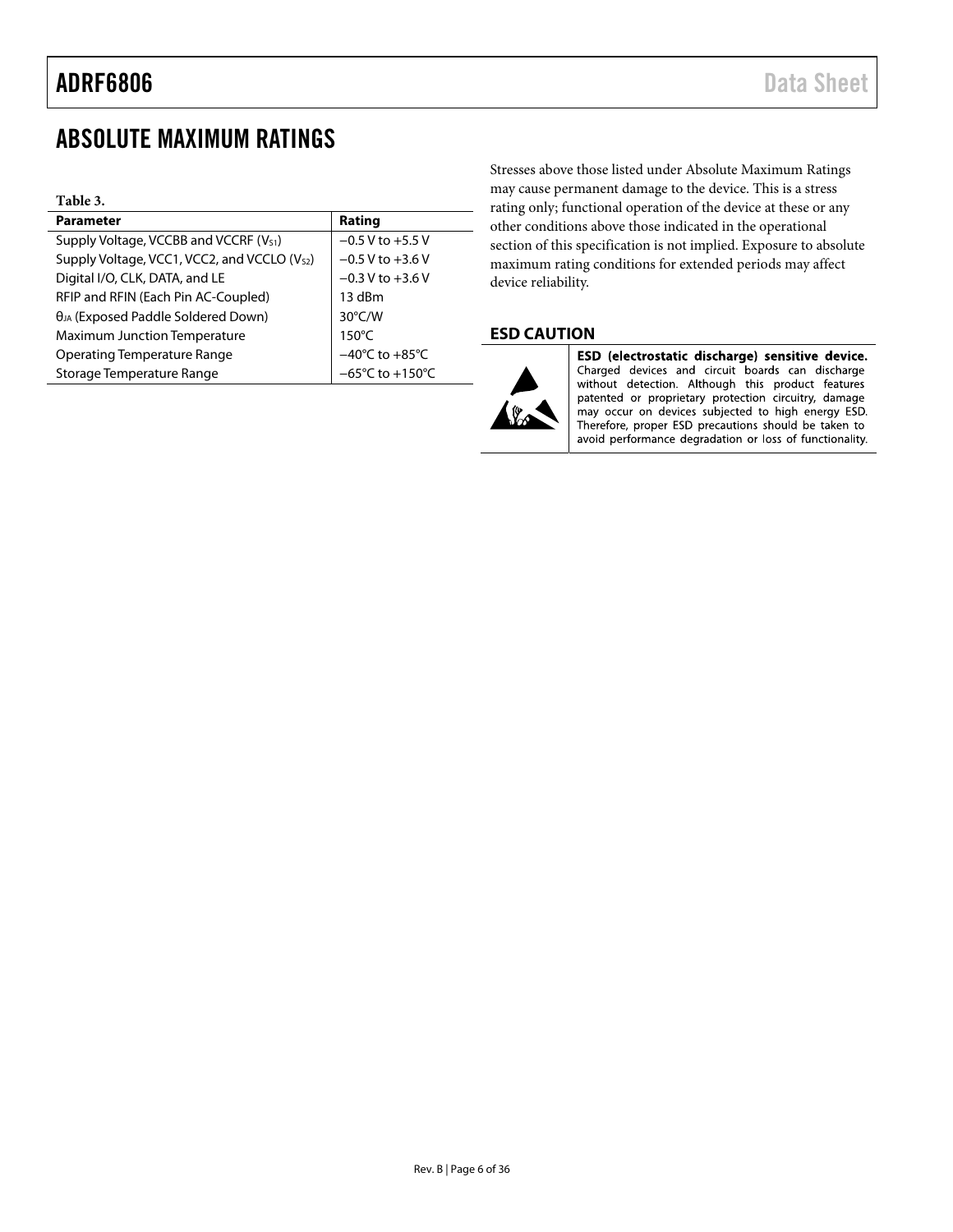# <span id="page-5-0"></span>ABSOLUTE MAXIMUM RATINGS

| Table 3.                                                 |                                     |
|----------------------------------------------------------|-------------------------------------|
| <b>Parameter</b>                                         | Rating                              |
| Supply Voltage, VCCBB and VCCRF (V <sub>S1</sub> )       | $-0.5$ V to $+5.5$ V                |
| Supply Voltage, VCC1, VCC2, and VCCLO (V <sub>S2</sub> ) | $-0.5$ V to $+3.6$ V                |
| Digital I/O, CLK, DATA, and LE                           | $-0.3 V$ to $+3.6 V$                |
| RFIP and RFIN (Each Pin AC-Coupled)                      | 13 dBm                              |
| $\theta_{JA}$ (Exposed Paddle Soldered Down)             | $30^{\circ}$ C/W                    |
| <b>Maximum Junction Temperature</b>                      | $150^{\circ}$ C                     |
| <b>Operating Temperature Range</b>                       | $-40^{\circ}$ C to $+85^{\circ}$ C  |
| Storage Temperature Range                                | $-65^{\circ}$ C to $+150^{\circ}$ C |

Stresses above those listed under Absolute Maximum Ratings may cause permanent damage to the device. This is a stress rating only; functional operation of the device at these or any other conditions above those indicated in the operational section of this specification is not implied. Exposure to absolute maximum rating conditions for extended periods may affect device reliability.

#### **ESD CAUTION**



ESD (electrostatic discharge) sensitive device. Charged devices and circuit boards can discharge<br>without detection. Although this product features patented or proprietary protection circuitry, damage may occur on devices subjected to high energy ESD. Therefore, proper ESD precautions should be taken to avoid performance degradation or loss of functionality.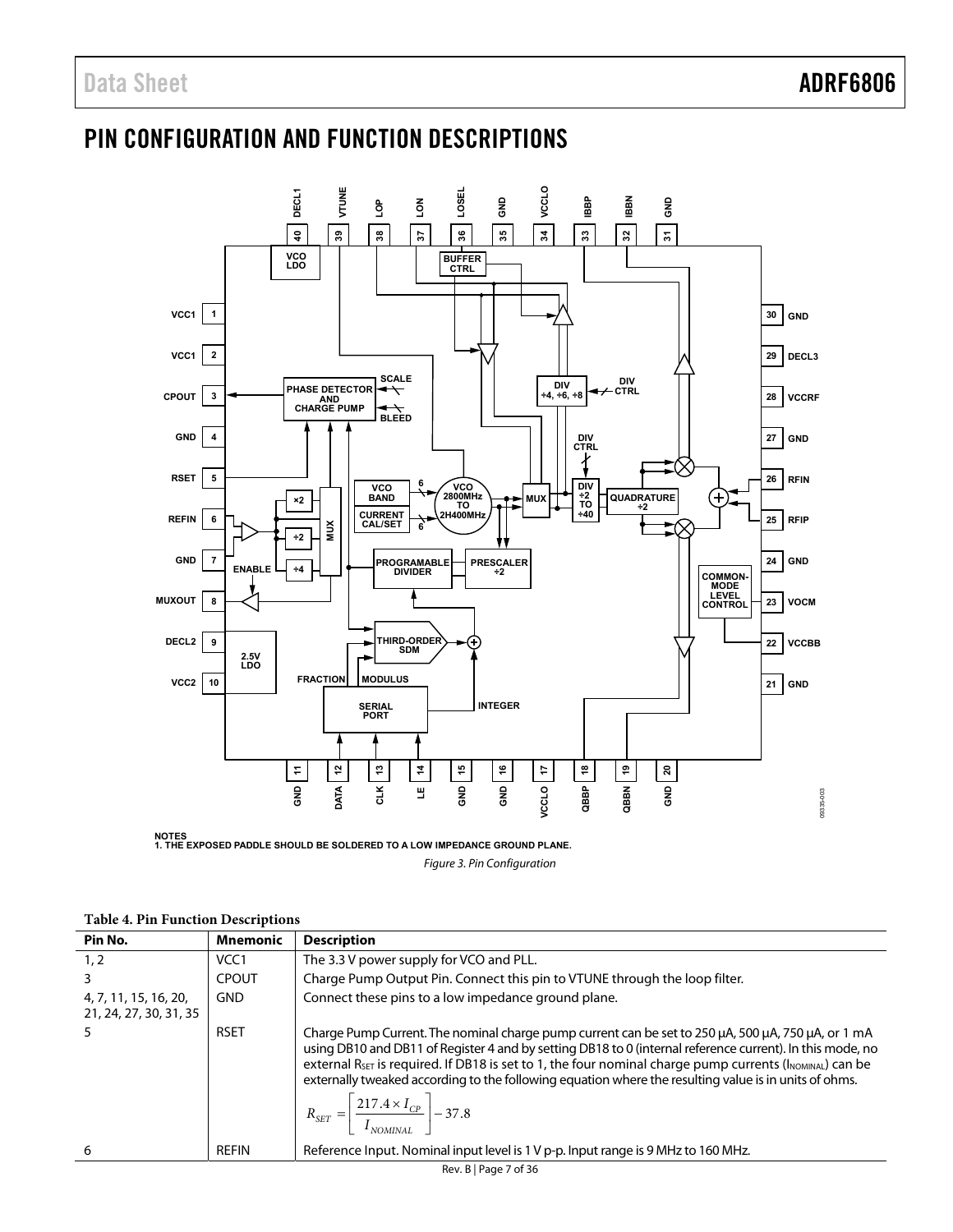# <span id="page-6-1"></span><span id="page-6-0"></span>PIN CONFIGURATION AND FUNCTION DESCRIPTIONS



Figure 3. Pin Configuration

<span id="page-6-2"></span>

| Pin No.                                         | <b>Mnemonic</b>  | <b>Description</b>                                                                                                                                                                                                                                                                                                                                                                                                                                                                                                                       |
|-------------------------------------------------|------------------|------------------------------------------------------------------------------------------------------------------------------------------------------------------------------------------------------------------------------------------------------------------------------------------------------------------------------------------------------------------------------------------------------------------------------------------------------------------------------------------------------------------------------------------|
| 1, 2                                            | VCC <sub>1</sub> | The 3.3 V power supply for VCO and PLL.                                                                                                                                                                                                                                                                                                                                                                                                                                                                                                  |
|                                                 | <b>CPOUT</b>     | Charge Pump Output Pin. Connect this pin to VTUNE through the loop filter.                                                                                                                                                                                                                                                                                                                                                                                                                                                               |
| 4, 7, 11, 15, 16, 20,<br>21, 24, 27, 30, 31, 35 | <b>GND</b>       | Connect these pins to a low impedance ground plane.                                                                                                                                                                                                                                                                                                                                                                                                                                                                                      |
|                                                 | <b>RSET</b>      | Charge Pump Current. The nominal charge pump current can be set to 250 µA, 500 µA, 750 µA, or 1 mA<br>using DB10 and DB11 of Register 4 and by setting DB18 to 0 (internal reference current). In this mode, no<br>external $R_{\text{SET}}$ is required. If DB18 is set to 1, the four nominal charge pump currents ( $I_{\text{NOMINAL}}$ ) can be<br>externally tweaked according to the following equation where the resulting value is in units of ohms.<br>$R_{SET} = \left[\frac{217.4 \times I_{CP}}{I_{NOMINAL}}\right] - 37.8$ |
| 6                                               | <b>REFIN</b>     | Reference Input. Nominal input level is 1 V p-p. Input range is 9 MHz to 160 MHz.                                                                                                                                                                                                                                                                                                                                                                                                                                                        |

|  |  | <b>Table 4. Pin Function Descriptions</b> |
|--|--|-------------------------------------------|
|--|--|-------------------------------------------|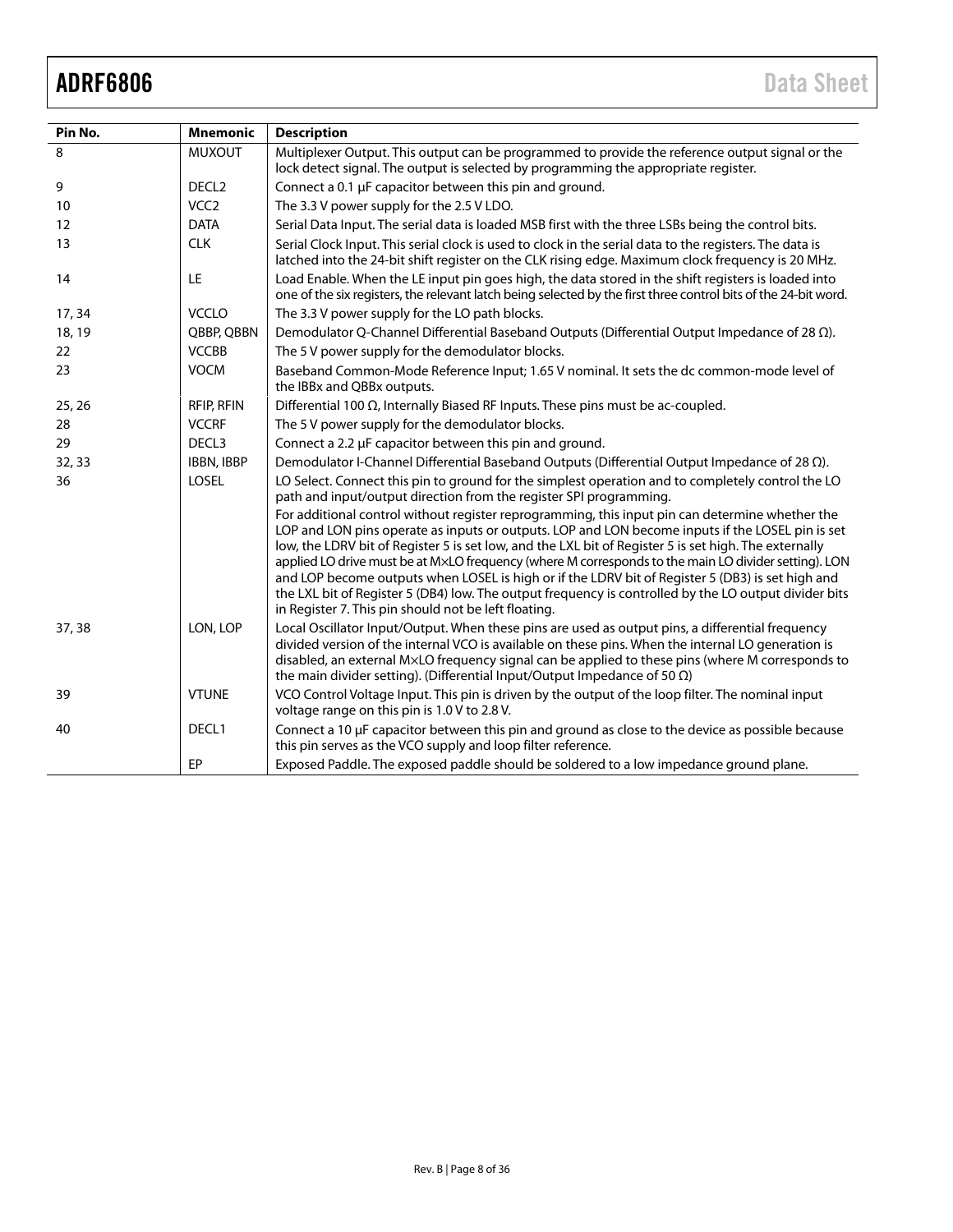| Pin No. | <b>Mnemonic</b>   | <b>Description</b>                                                                                                                                                                                                                                                                                                                                                                                                                                                                                                                                                                                                                                                                        |
|---------|-------------------|-------------------------------------------------------------------------------------------------------------------------------------------------------------------------------------------------------------------------------------------------------------------------------------------------------------------------------------------------------------------------------------------------------------------------------------------------------------------------------------------------------------------------------------------------------------------------------------------------------------------------------------------------------------------------------------------|
| 8       | <b>MUXOUT</b>     | Multiplexer Output. This output can be programmed to provide the reference output signal or the<br>lock detect signal. The output is selected by programming the appropriate register.                                                                                                                                                                                                                                                                                                                                                                                                                                                                                                    |
| 9       | DECL <sub>2</sub> | Connect a 0.1 µF capacitor between this pin and ground.                                                                                                                                                                                                                                                                                                                                                                                                                                                                                                                                                                                                                                   |
| 10      | VCC <sub>2</sub>  | The 3.3 V power supply for the 2.5 V LDO.                                                                                                                                                                                                                                                                                                                                                                                                                                                                                                                                                                                                                                                 |
| 12      | <b>DATA</b>       | Serial Data Input. The serial data is loaded MSB first with the three LSBs being the control bits.                                                                                                                                                                                                                                                                                                                                                                                                                                                                                                                                                                                        |
| 13      | <b>CLK</b>        | Serial Clock Input. This serial clock is used to clock in the serial data to the registers. The data is<br>latched into the 24-bit shift register on the CLK rising edge. Maximum clock frequency is 20 MHz.                                                                                                                                                                                                                                                                                                                                                                                                                                                                              |
| 14      | LE                | Load Enable. When the LE input pin goes high, the data stored in the shift registers is loaded into<br>one of the six registers, the relevant latch being selected by the first three control bits of the 24-bit word.                                                                                                                                                                                                                                                                                                                                                                                                                                                                    |
| 17, 34  | <b>VCCLO</b>      | The 3.3 V power supply for the LO path blocks.                                                                                                                                                                                                                                                                                                                                                                                                                                                                                                                                                                                                                                            |
| 18, 19  | QBBP, QBBN        | Demodulator Q-Channel Differential Baseband Outputs (Differential Output Impedance of 28 $\Omega$ ).                                                                                                                                                                                                                                                                                                                                                                                                                                                                                                                                                                                      |
| 22      | <b>VCCBB</b>      | The 5 V power supply for the demodulator blocks.                                                                                                                                                                                                                                                                                                                                                                                                                                                                                                                                                                                                                                          |
| 23      | <b>VOCM</b>       | Baseband Common-Mode Reference Input; 1.65 V nominal. It sets the dc common-mode level of<br>the IBBx and QBBx outputs.                                                                                                                                                                                                                                                                                                                                                                                                                                                                                                                                                                   |
| 25, 26  | <b>RFIP, RFIN</b> | Differential 100 $\Omega$ , Internally Biased RF Inputs. These pins must be ac-coupled.                                                                                                                                                                                                                                                                                                                                                                                                                                                                                                                                                                                                   |
| 28      | <b>VCCRF</b>      | The 5 V power supply for the demodulator blocks.                                                                                                                                                                                                                                                                                                                                                                                                                                                                                                                                                                                                                                          |
| 29      | DECL3             | Connect a 2.2 µF capacitor between this pin and ground.                                                                                                                                                                                                                                                                                                                                                                                                                                                                                                                                                                                                                                   |
| 32, 33  | IBBN, IBBP        | Demodulator I-Channel Differential Baseband Outputs (Differential Output Impedance of 28 (2).                                                                                                                                                                                                                                                                                                                                                                                                                                                                                                                                                                                             |
| 36      | <b>LOSEL</b>      | LO Select. Connect this pin to ground for the simplest operation and to completely control the LO<br>path and input/output direction from the register SPI programming.                                                                                                                                                                                                                                                                                                                                                                                                                                                                                                                   |
|         |                   | For additional control without register reprogramming, this input pin can determine whether the<br>LOP and LON pins operate as inputs or outputs. LOP and LON become inputs if the LOSEL pin is set<br>low, the LDRV bit of Register 5 is set low, and the LXL bit of Register 5 is set high. The externally<br>applied LO drive must be at MxLO frequency (where M corresponds to the main LO divider setting). LON<br>and LOP become outputs when LOSEL is high or if the LDRV bit of Register 5 (DB3) is set high and<br>the LXL bit of Register 5 (DB4) low. The output frequency is controlled by the LO output divider bits<br>in Register 7. This pin should not be left floating. |
| 37, 38  | LON, LOP          | Local Oscillator Input/Output. When these pins are used as output pins, a differential frequency<br>divided version of the internal VCO is available on these pins. When the internal LO generation is<br>disabled, an external M×LO frequency signal can be applied to these pins (where M corresponds to<br>the main divider setting). (Differential Input/Output Impedance of 50 $\Omega$ )                                                                                                                                                                                                                                                                                            |
| 39      | <b>VTUNE</b>      | VCO Control Voltage Input. This pin is driven by the output of the loop filter. The nominal input<br>voltage range on this pin is 1.0 V to 2.8 V.                                                                                                                                                                                                                                                                                                                                                                                                                                                                                                                                         |
| 40      | DECL1             | Connect a 10 µF capacitor between this pin and ground as close to the device as possible because<br>this pin serves as the VCO supply and loop filter reference.                                                                                                                                                                                                                                                                                                                                                                                                                                                                                                                          |
|         | EP                | Exposed Paddle. The exposed paddle should be soldered to a low impedance ground plane.                                                                                                                                                                                                                                                                                                                                                                                                                                                                                                                                                                                                    |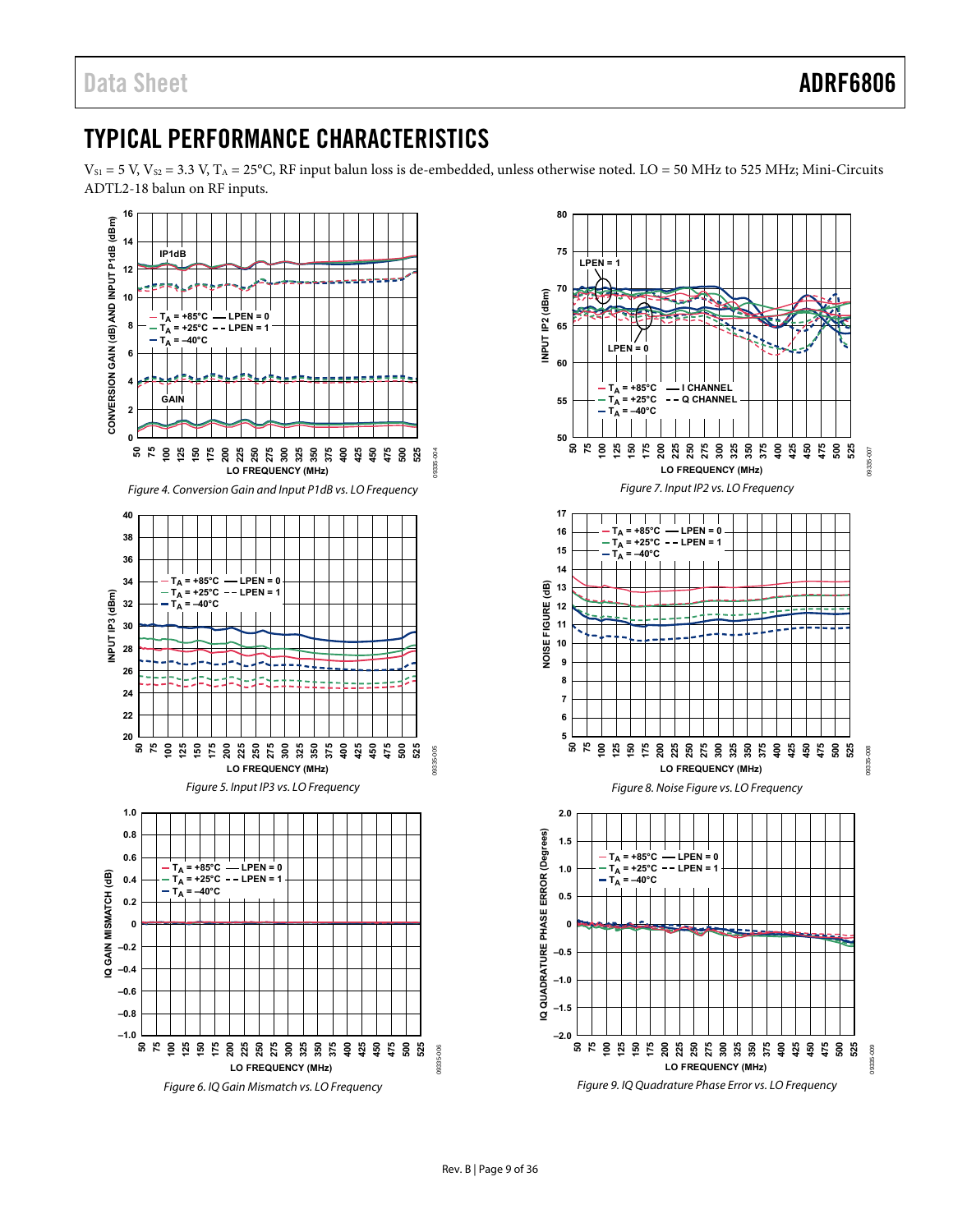# <span id="page-8-1"></span><span id="page-8-0"></span>TYPICAL PERFORMANCE CHARACTERISTICS

 $V_{S1}$  = 5 V,  $V_{S2}$  = 3.3 V,  $T_A$  = 25°C, RF input balun loss is de-embedded, unless otherwise noted. LO = 50 MHz to 525 MHz; Mini-Circuits ADTL2-18 balun on RF inputs.



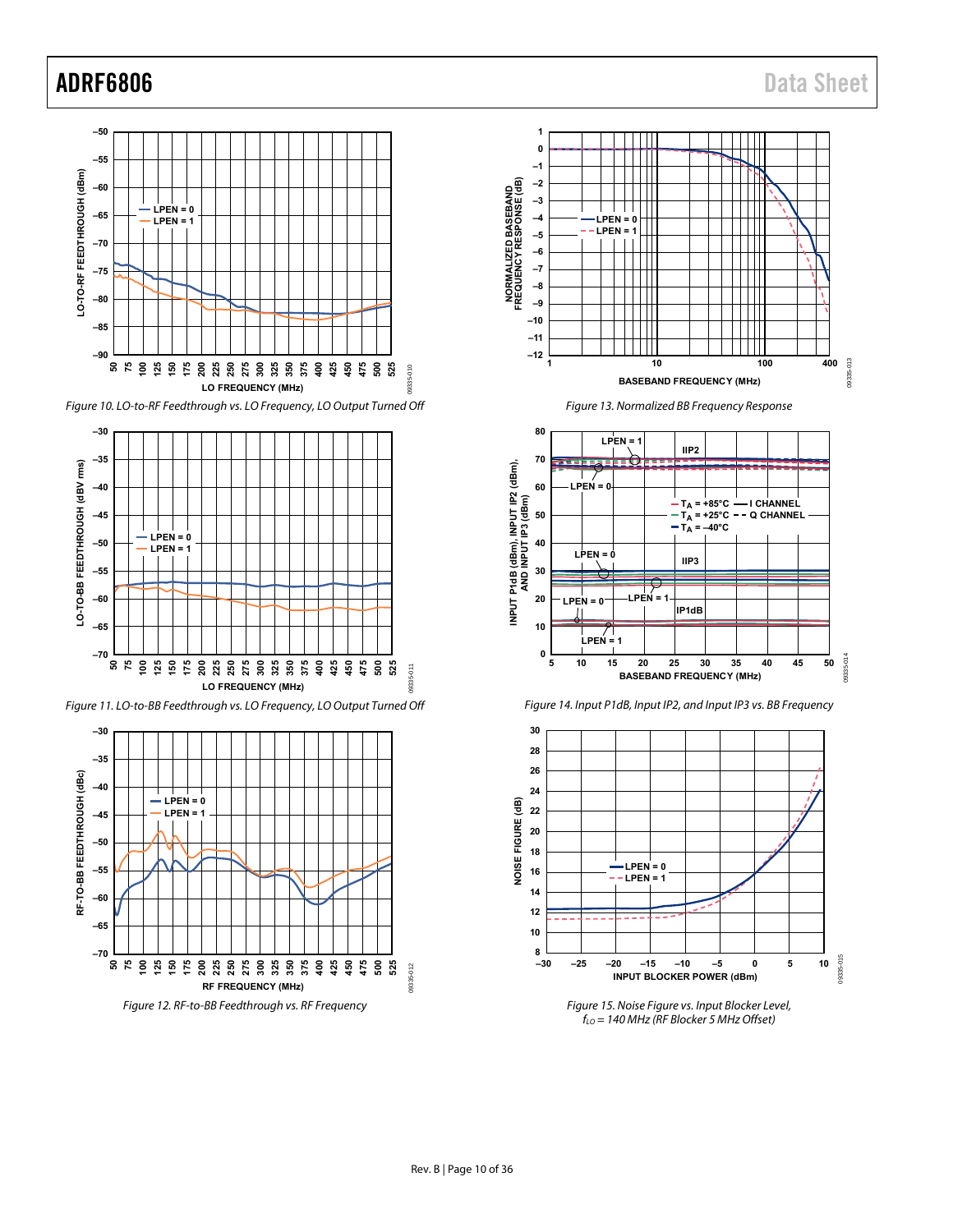





Figure 11. LO-to-BB Feedthrough vs. LO Frequency, LO Output Turned Off













Figure 15. Noise Figure vs. Input Blocker Level,  $f_{LO}$  = 140 MHz (RF Blocker 5 MHz Offset)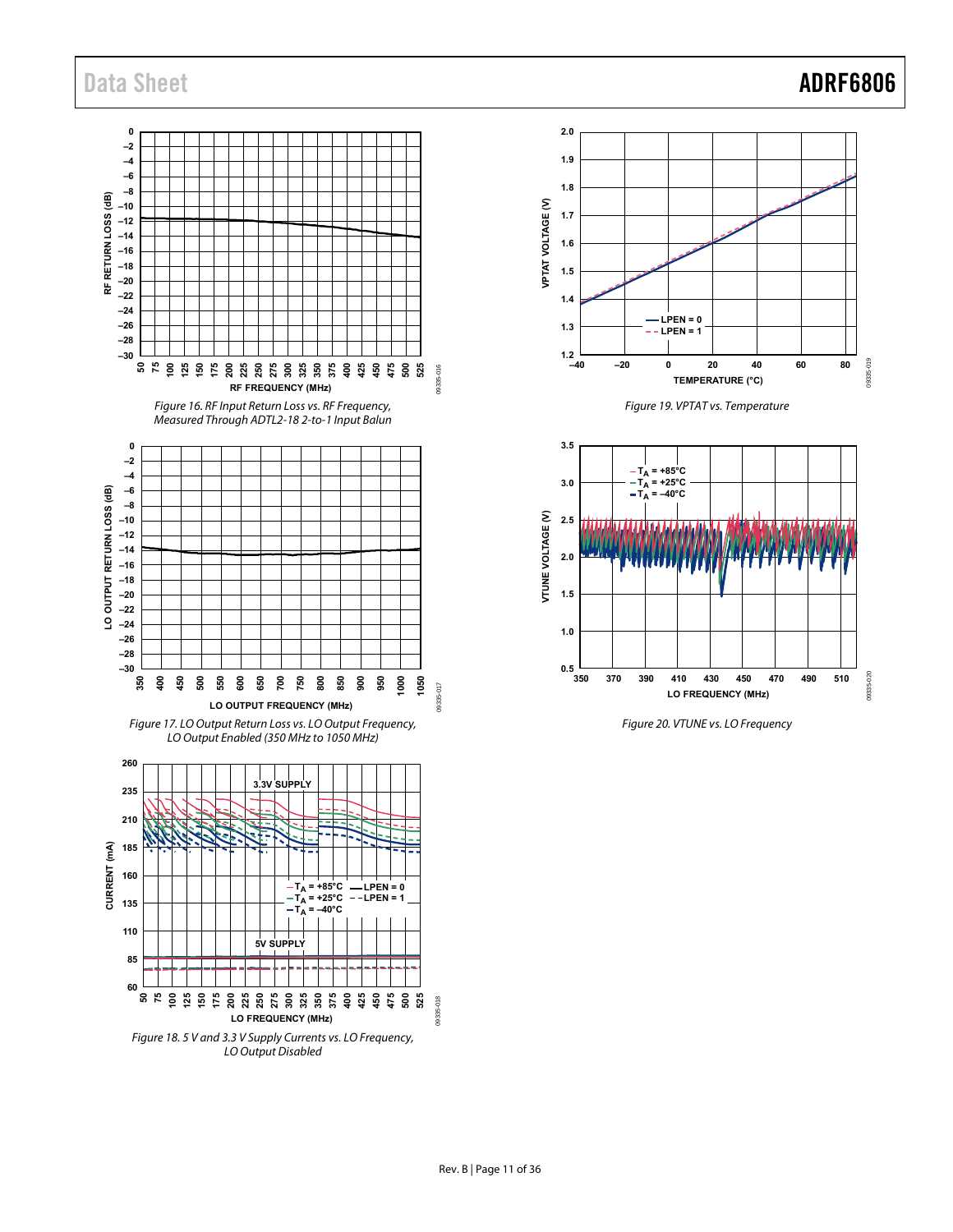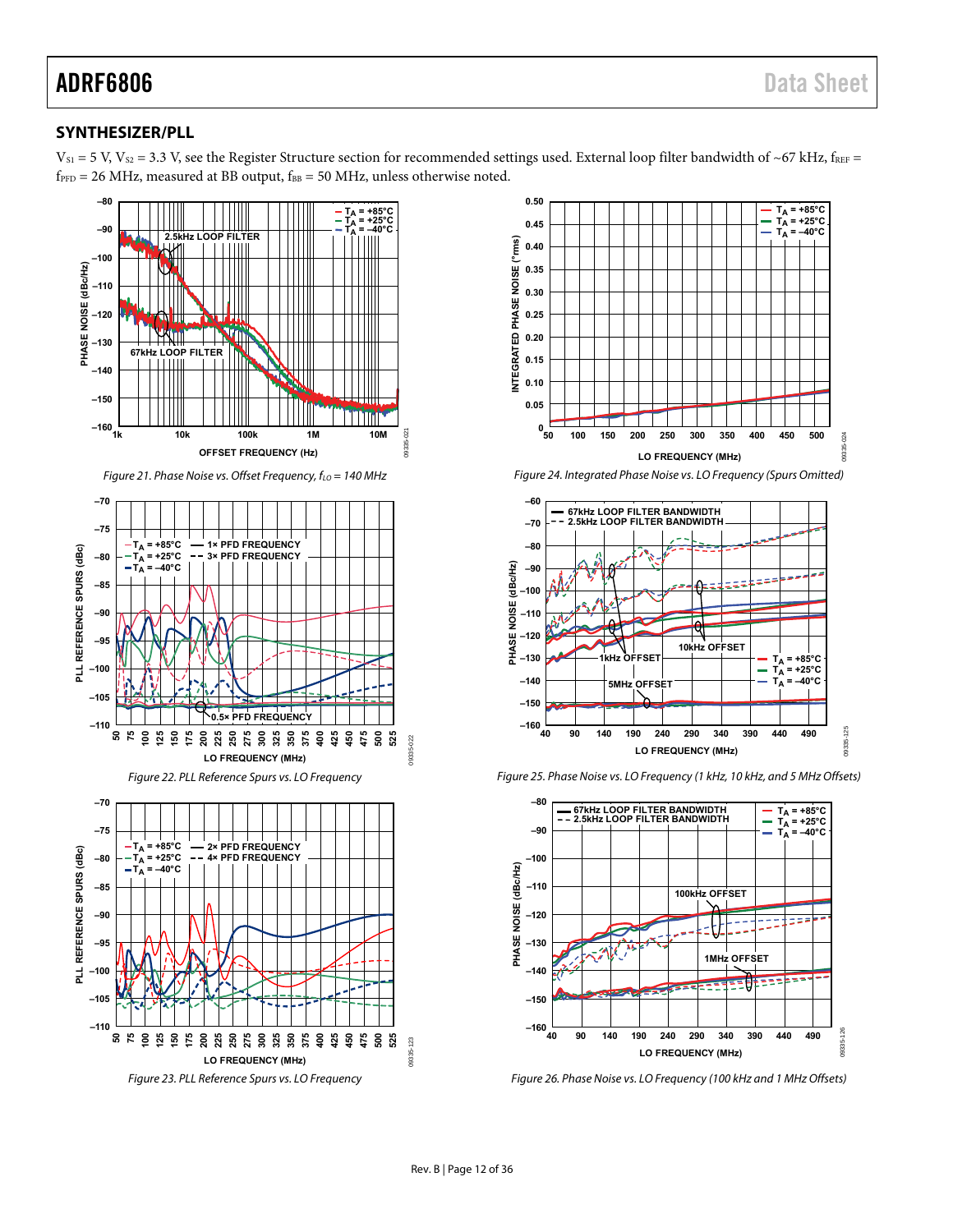### <span id="page-11-0"></span>**SYNTHESIZER/PLL**

 $V_{S1}$  = 5 V,  $V_{S2}$  = 3.3 V, see the [Register Structure](#page-13-1) section for recommended settings used. External loop filter bandwidth of ~67 kHz, fREF =  $f_{\text{PFD}} = 26 \text{ MHz}$ , measured at BB output,  $f_{\text{BB}} = 50 \text{ MHz}$ , unless otherwise noted.













Figure 26. Phase Noise vs. LO Frequency (100 kHz and 1 MHz Offsets)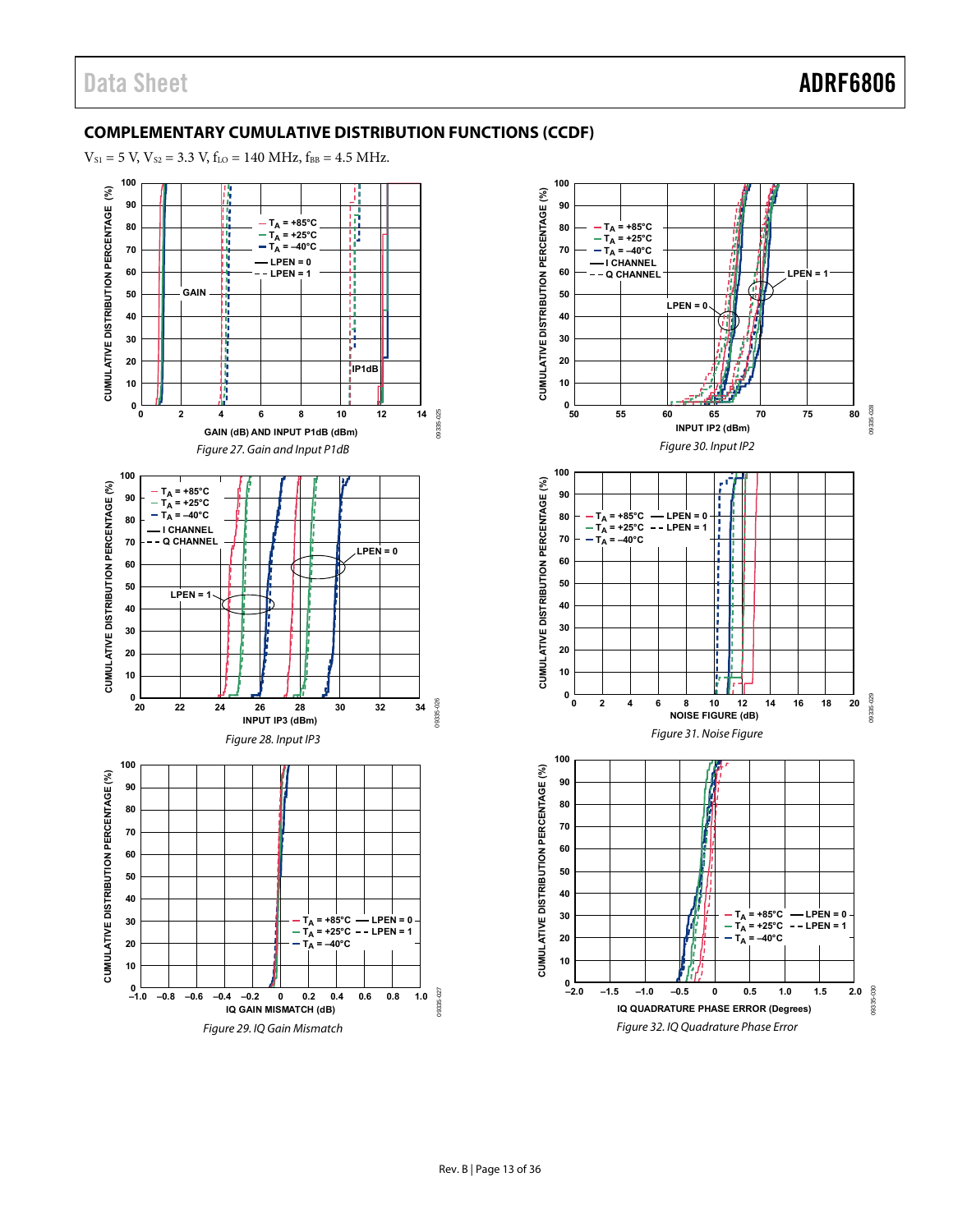### <span id="page-12-0"></span>**COMPLEMENTARY CUMULATIVE DISTRIBUTION FUNCTIONS (CCDF)**

 $V_{S1} = 5 V$ ,  $V_{S2} = 3.3 V$ ,  $f_{LO} = 140 MHz$ ,  $f_{BB} = 4.5 MHz$ .



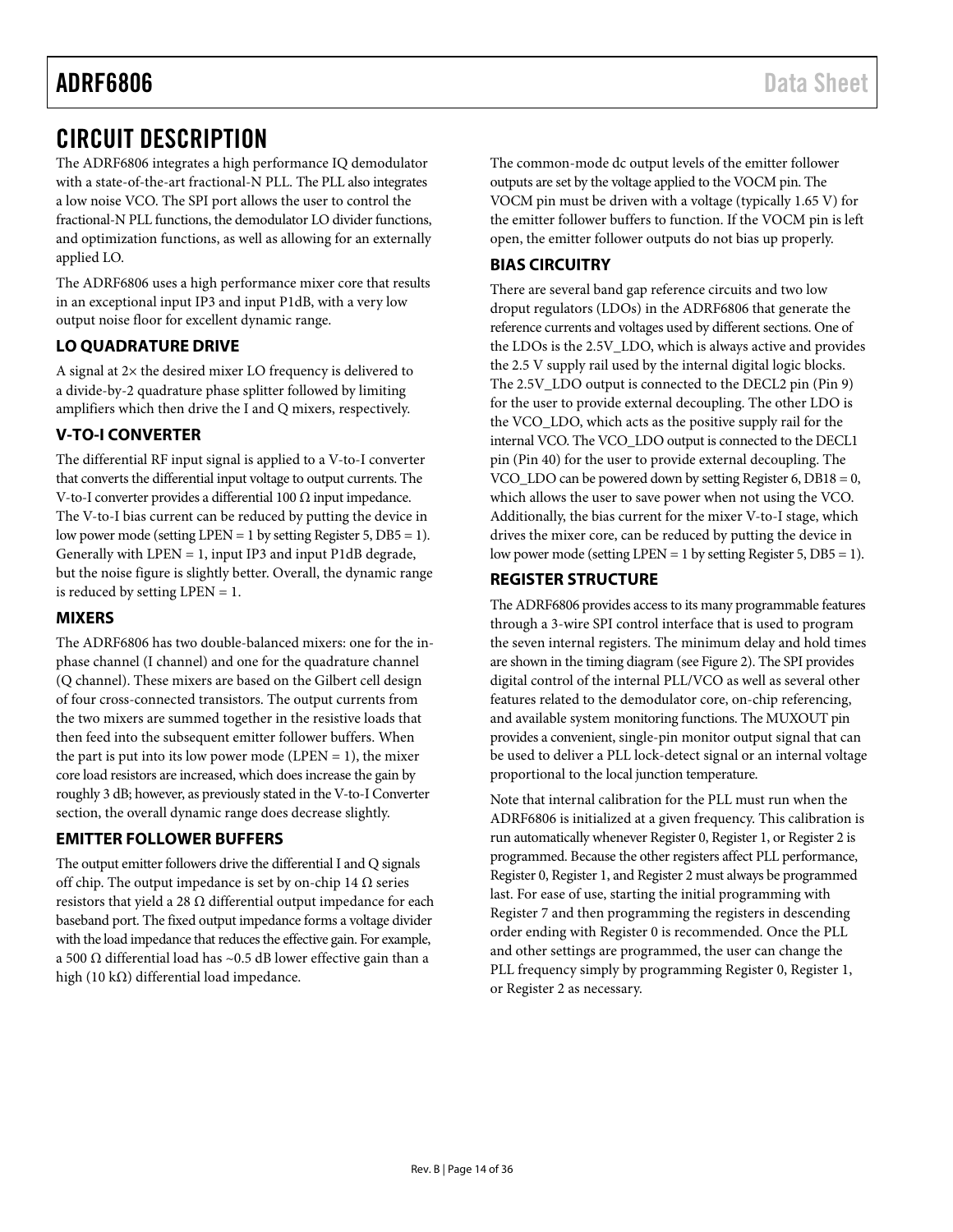# <span id="page-13-0"></span>CIRCUIT DESCRIPTION

The ADRF6806 integrates a high performance IQ demodulator with a state-of-the-art fractional-N PLL. The PLL also integrates a low noise VCO. The SPI port allows the user to control the fractional-N PLL functions, the demodulator LO divider functions, and optimization functions, as well as allowing for an externally applied LO.

The ADRF6806 uses a high performance mixer core that results in an exceptional input IP3 and input P1dB, with a very low output noise floor for excellent dynamic range.

### **LO QUADRATURE DRIVE**

A signal at 2× the desired mixer LO frequency is delivered to a divide-by-2 quadrature phase splitter followed by limiting amplifiers which then drive the I and Q mixers, respectively.

### <span id="page-13-2"></span>**V-TO-I CONVERTER**

The differential RF input signal is applied to a V-to-I converter that converts the differential input voltage to output currents. The V-to-I converter provides a differential 100 Ω input impedance. The V-to-I bias current can be reduced by putting the device in low power mode (setting LPEN = 1 by setting Register 5, DB5 = 1). Generally with LPEN = 1, input IP3 and input P1dB degrade, but the noise figure is slightly better. Overall, the dynamic range is reduced by setting LPEN = 1.

#### <span id="page-13-1"></span>**MIXERS**

The ADRF6806 has two double-balanced mixers: one for the inphase channel (I channel) and one for the quadrature channel (Q channel). These mixers are based on the Gilbert cell design of four cross-connected transistors. The output currents from the two mixers are summed together in the resistive loads that then feed into the subsequent emitter follower buffers. When the part is put into its low power mode (LPEN  $= 1$ ), the mixer core load resistors are increased, which does increase the gain by roughly 3 dB; however, as previously stated in the [V-to-I Converter](#page-13-2) section, the overall dynamic range does decrease slightly.

#### **EMITTER FOLLOWER BUFFERS**

The output emitter followers drive the differential I and Q signals off chip. The output impedance is set by on-chip 14  $\Omega$  series resistors that yield a 28  $\Omega$  differential output impedance for each baseband port. The fixed output impedance forms a voltage divider with the load impedance that reduces the effective gain. For example, a 500 Ω differential load has ~0.5 dB lower effective gain than a high (10 kΩ) differential load impedance.

The common-mode dc output levels of the emitter follower outputs are set by the voltage applied to the VOCM pin. The VOCM pin must be driven with a voltage (typically 1.65 V) for the emitter follower buffers to function. If the VOCM pin is left open, the emitter follower outputs do not bias up properly.

### **BIAS CIRCUITRY**

There are several band gap reference circuits and two low droput regulators (LDOs) in the ADRF6806 that generate the reference currents and voltages used by different sections. One of the LDOs is the 2.5V\_LDO, which is always active and provides the 2.5 V supply rail used by the internal digital logic blocks. The 2.5V\_LDO output is connected to the DECL2 pin (Pin 9) for the user to provide external decoupling. The other LDO is the VCO\_LDO, which acts as the positive supply rail for the internal VCO. The VCO\_LDO output is connected to the DECL1 pin (Pin 40) for the user to provide external decoupling. The VCO\_LDO can be powered down by setting Register 6, DB18 = 0, which allows the user to save power when not using the VCO. Additionally, the bias current for the mixer V-to-I stage, which drives the mixer core, can be reduced by putting the device in low power mode (setting LPEN = 1 by setting Register 5, DB5 = 1).

#### **REGISTER STRUCTURE**

The ADRF6806 provides access to its many programmable features through a 3-wire SPI control interface that is used to program the seven internal registers. The minimum delay and hold times are shown in the timing diagram (see [Figure 2](#page-4-1)). The SPI provides digital control of the internal PLL/VCO as well as several other features related to the demodulator core, on-chip referencing, and available system monitoring functions. The MUXOUT pin provides a convenient, single-pin monitor output signal that can be used to deliver a PLL lock-detect signal or an internal voltage proportional to the local junction temperature.

Note that internal calibration for the PLL must run when the ADRF6806 is initialized at a given frequency. This calibration is run automatically whenever Register 0, Register 1, or Register 2 is programmed. Because the other registers affect PLL performance, Register 0, Register 1, and Register 2 must always be programmed last. For ease of use, starting the initial programming with Register 7 and then programming the registers in descending order ending with Register 0 is recommended. Once the PLL and other settings are programmed, the user can change the PLL frequency simply by programming Register 0, Register 1, or Register 2 as necessary.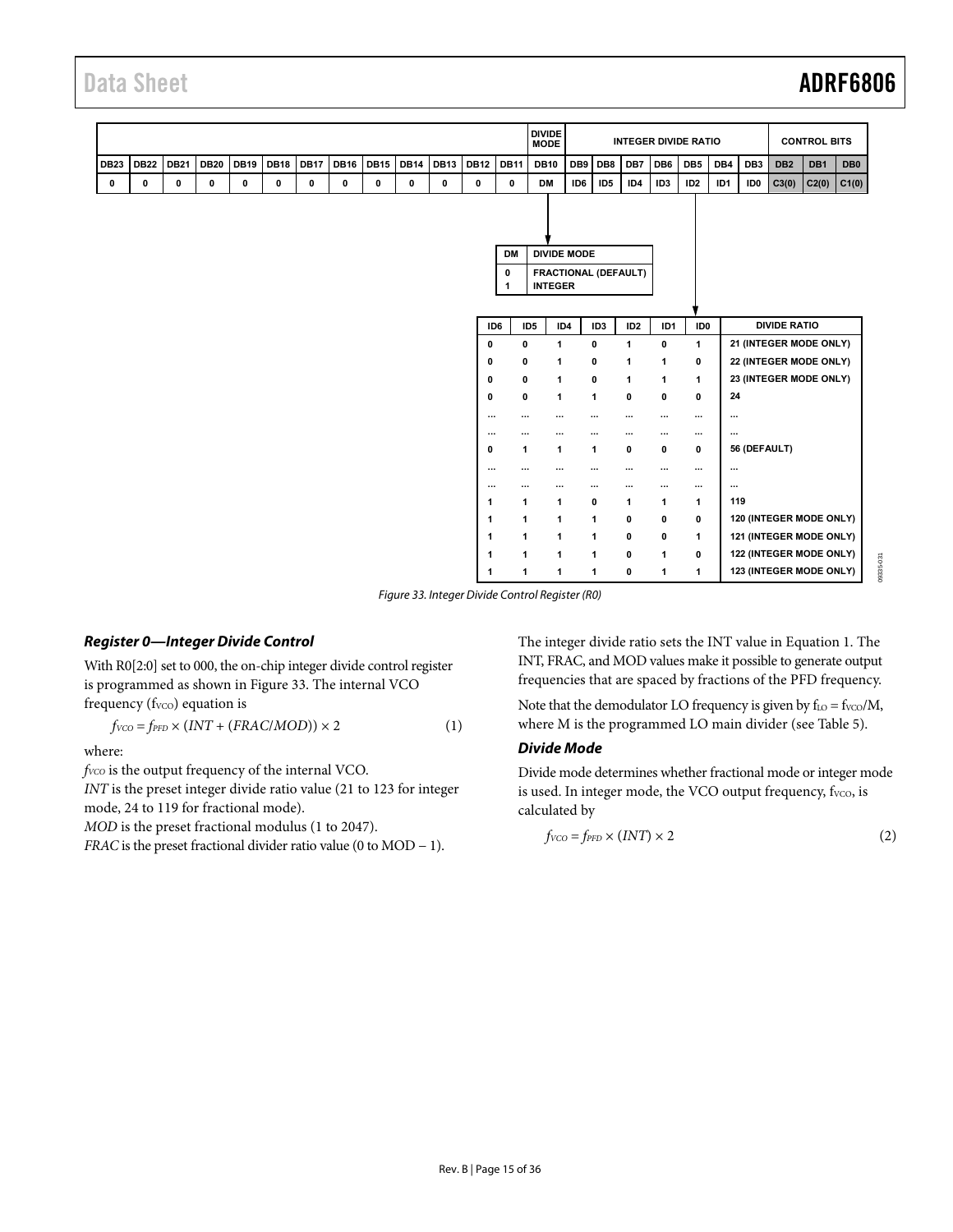|                                                                                                                                                                                  |                     | <b>DIVIDE</b><br><b>MODE</b> |                                      |                             | <b>INTEGER DIVIDE RATIO</b> |                 |                 |                 |                 |                     | <b>CONTROL BITS</b>     |                 |
|----------------------------------------------------------------------------------------------------------------------------------------------------------------------------------|---------------------|------------------------------|--------------------------------------|-----------------------------|-----------------------------|-----------------|-----------------|-----------------|-----------------|---------------------|-------------------------|-----------------|
| <b>DB19</b><br><b>DB18</b><br><b>DB17</b><br><b>DB13</b><br><b>DB22</b><br><b>DB21</b><br><b>DB20</b><br><b>DB16</b><br><b>DB15</b><br><b>DB14</b><br><b>DB12</b><br><b>DB23</b> | <b>DB11</b>         | <b>DB10</b>                  | DB <sub>9</sub>                      | DB8                         | DB7                         | DB <sub>6</sub> | DB <sub>5</sub> | DB4             | DB <sub>3</sub> | DB <sub>2</sub>     | DB1                     | DB <sub>0</sub> |
| 0<br>0<br>0<br>0<br>0<br>$\pmb{0}$<br>0<br>0<br>0<br>0<br>0<br>0                                                                                                                 | 0                   | <b>DM</b>                    | ID <sub>6</sub>                      | ID <sub>5</sub>             | ID4                         | ID <sub>3</sub> | ID <sub>2</sub> | ID <sub>1</sub> | ID <sub>0</sub> | C3(0)               | C2(0)                   | C1(0)           |
|                                                                                                                                                                                  | <b>DM</b><br>0<br>1 |                              | <b>DIVIDE MODE</b><br><b>INTEGER</b> | <b>FRACTIONAL (DEFAULT)</b> |                             |                 |                 |                 |                 |                     |                         |                 |
|                                                                                                                                                                                  | ID6                 | ID <sub>5</sub>              | ID4                                  | ID <sub>3</sub>             | ID <sub>2</sub>             | ID1             | ID <sub>0</sub> |                 |                 | <b>DIVIDE RATIO</b> |                         |                 |
|                                                                                                                                                                                  | 0                   | 0                            | 1                                    | $\mathbf 0$                 | $\mathbf{1}$                | 0               | $\mathbf{1}$    |                 |                 |                     | 21 (INTEGER MODE ONLY)  |                 |
|                                                                                                                                                                                  | 0                   | 0                            | 1                                    | 0                           | 1                           | 1               | 0               |                 |                 |                     | 22 (INTEGER MODE ONLY)  |                 |
|                                                                                                                                                                                  | 0                   | 0                            | 1                                    | $\mathbf 0$                 | $\mathbf{1}$                | 1               | 1               |                 |                 |                     | 23 (INTEGER MODE ONLY)  |                 |
|                                                                                                                                                                                  | 0                   | 0                            | 1                                    | $\mathbf{1}$                | $\mathbf 0$                 | 0               | 0               | 24              |                 |                     |                         |                 |
|                                                                                                                                                                                  | $\cdots$            | $\cdots$                     |                                      | $\cdots$                    | $\cdots$                    | $\cdots$        | $\cdots$        | $\cdots$        |                 |                     |                         |                 |
|                                                                                                                                                                                  | $\cdots$            | $\cdots$                     | $\cdots$                             | $\cdots$                    | $\cdots$                    | $\cdots$        | $\cdots$        | $\cdots$        |                 |                     |                         |                 |
|                                                                                                                                                                                  | 0                   | 1                            | 1                                    | 1                           | $\pmb{0}$                   | 0               | 0               |                 | 56 (DEFAULT)    |                     |                         |                 |
|                                                                                                                                                                                  | $\cdots$            | $\cdots$                     | $\cdots$                             | $\cdots$                    | $\cdots$                    | $\cdots$        | $\cdots$        | $\cdots$        |                 |                     |                         |                 |
|                                                                                                                                                                                  | $\cdots$            | $\cdots$                     | $\cdots$                             | $\cdots$                    | $\cdots$                    | $\cdots$        | $\cdots$        | $\cdots$        |                 |                     |                         |                 |
|                                                                                                                                                                                  | 1                   | 1                            | $\mathbf{1}$                         | $\mathbf 0$                 | 1                           | 1               | 1               | 119             |                 |                     |                         |                 |
|                                                                                                                                                                                  | 1                   | $\mathbf{1}$                 | $\mathbf{1}$                         | $\mathbf{1}$                | 0                           | 0               | 0               |                 |                 |                     | 120 (INTEGER MODE ONLY) |                 |
|                                                                                                                                                                                  | 1                   | 1                            | $\mathbf{1}$                         | 1                           | 0                           | 0               | 1               |                 |                 |                     | 121 (INTEGER MODE ONLY) |                 |
|                                                                                                                                                                                  | -1                  | 1                            | 1                                    | $\mathbf{1}$                | 0                           | 1               | 0               |                 |                 |                     | 122 (INTEGER MODE ONLY) |                 |
|                                                                                                                                                                                  | 1                   | 1                            | 1                                    | $\mathbf{1}$                | $\mathbf 0$                 | 1               | 1               |                 |                 |                     | 123 (INTEGER MODE ONLY) |                 |

Figure 33. Integer Divide Control Register (R0)

#### <span id="page-14-0"></span>**Register 0—Integer Divide Control**

With R0[2:0] set to 000, the on-chip integer divide control register is programmed as shown in [Figure 33](#page-14-0). The internal VCO frequency (fvco) equation is

$$
f_{VCO} = f_{PFD} \times (INT + (FRAC/MOD)) \times 2 \tag{1}
$$

where:

 $f<sub>VCO</sub>$  is the output frequency of the internal VCO.

*INT* is the preset integer divide ratio value (21 to 123 for integer mode, 24 to 119 for fractional mode).

*MOD* is the preset fractional modulus (1 to 2047).

*FRAC* is the preset fractional divider ratio value (0 to MOD − 1).

The integer divide ratio sets the INT value in Equation 1. The INT, FRAC, and MOD values make it possible to generate output frequencies that are spaced by fractions of the PFD frequency.

Note that the demodulator LO frequency is given by  $f_{LO} = f_{VCO}/M$ , where M is the programmed LO main divider (see [Table 5](#page-20-1)).

#### **Divide Mode**

Divide mode determines whether fractional mode or integer mode is used. In integer mode, the VCO output frequency,  $f_{VCO}$ , is calculated by

$$
f_{VCO} = f_{PFD} \times (INT) \times 2 \tag{2}
$$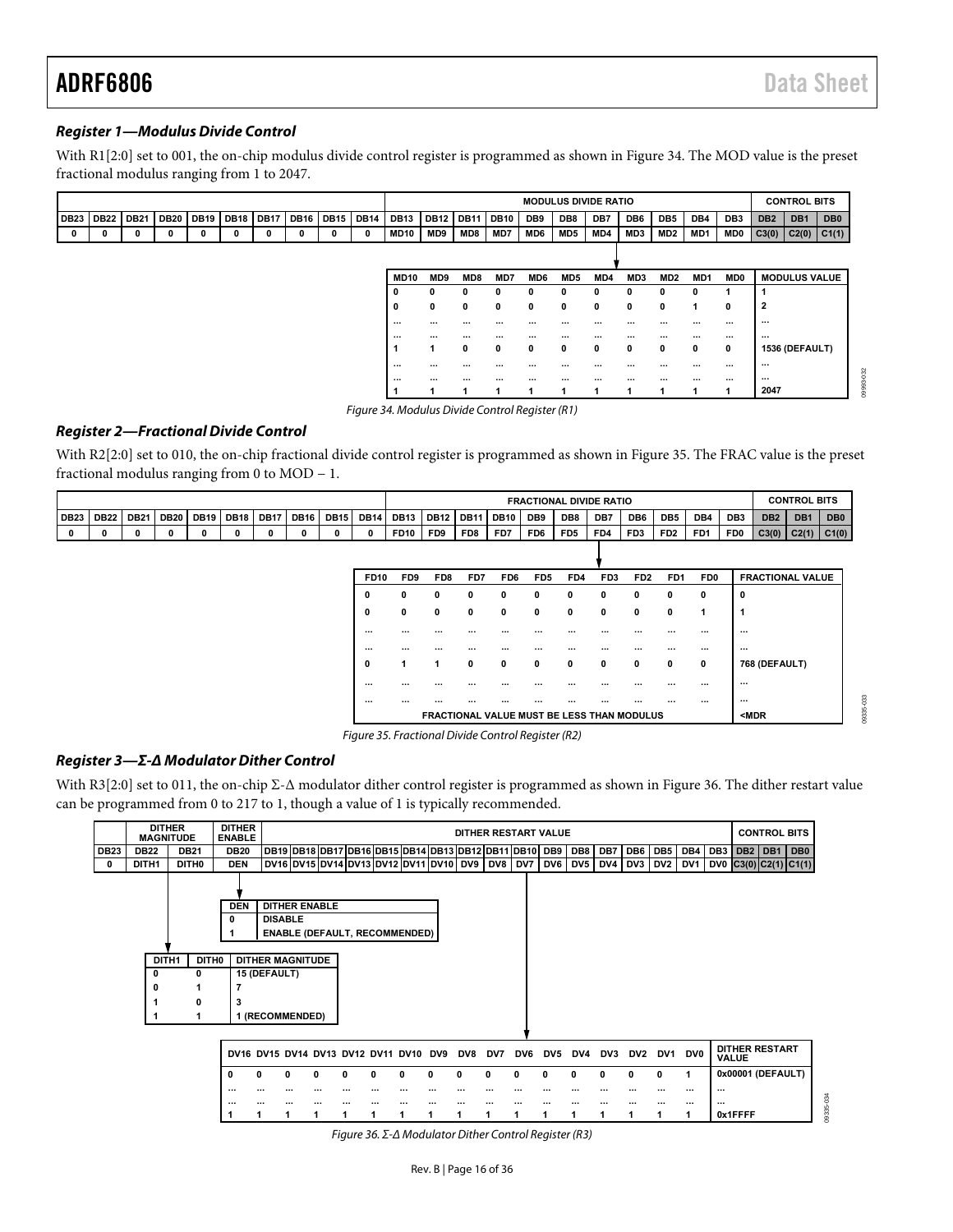09335-033

09335-033

#### **Register 1—Modulus Divide Control**

With R1[2:0] set to 001, the on-chip modulus divide control register is programmed as shown in [Figure 34](#page-15-0). The MOD value is the preset fractional modulus ranging from 1 to 2047.

|             |             |             |             |             |             |             |             |             |             | <b>MODULUS DIVIDE RATIO</b> |              |             |             |          |                 | <b>CONTROL BITS</b> |                 |                 |                 |                 |                 |                      |                  |     |
|-------------|-------------|-------------|-------------|-------------|-------------|-------------|-------------|-------------|-------------|-----------------------------|--------------|-------------|-------------|----------|-----------------|---------------------|-----------------|-----------------|-----------------|-----------------|-----------------|----------------------|------------------|-----|
| <b>DB23</b> | <b>DB22</b> | <b>DB21</b> | <b>DB20</b> | <b>DB19</b> | <b>DB18</b> | <b>DB17</b> | <b>DB16</b> | <b>DB15</b> | <b>DB14</b> | <b>DB13</b>                 | <b>DB12</b>  | <b>DB11</b> | <b>DB10</b> | DB9      | DB8             | DB7                 | DB <sub>6</sub> | DB <sub>5</sub> | DB4             | DB <sub>3</sub> | DB <sub>2</sub> | DB <sub>1</sub>      | DB <sub>0</sub>  |     |
| $\mathbf 0$ | 0           | 0           | 0           | 0           | 0           | 0           | 0           | 0           | 0           | <b>MD10</b>                 | MD9          | MD8         | MD7         | MD6      | MD5             | MD4                 | MD3             | MD2             | MD1             | MD0             | C3(0)           | C2(0)                | <sub>C1(1)</sub> |     |
|             |             |             |             |             |             |             |             |             |             |                             |              |             |             |          |                 |                     |                 |                 |                 |                 |                 |                      |                  |     |
|             |             |             |             |             |             |             |             |             |             |                             |              |             |             |          |                 |                     |                 |                 |                 |                 |                 |                      |                  |     |
|             |             |             |             |             |             |             |             |             |             | <b>MD10</b>                 | MD9          | MD8         | MD7         | MD6      | MD <sub>5</sub> | MD4                 | MD3             | MD <sub>2</sub> | MD <sub>1</sub> | MD <sub>0</sub> |                 | <b>MODULUS VALUE</b> |                  |     |
|             |             |             |             |             |             |             |             |             |             | 0                           | $\mathbf{0}$ | 0           | 0           | 0        | 0               | $\mathbf{0}$        | 0               | $\mathbf{0}$    | $\Omega$        |                 |                 |                      |                  |     |
|             |             |             |             |             |             |             |             |             |             | 0                           | $\mathbf 0$  | 0           | 0           | 0        | 0               | 0                   | $\mathbf{0}$    | 0               |                 | 0               | $\overline{2}$  |                      |                  |     |
|             |             |             |             |             |             |             |             |             |             | $\cdots$                    | $\cdots$     | $\cdots$    | $\cdots$    | $\cdots$ | $\cdots$        | $\cdots$            | $\cdots$        | $\cdots$        | $\cdots$        | $\cdots$        | $\cdots$        |                      |                  |     |
|             |             |             |             |             |             |             |             |             |             | $\cdots$                    | $\cdots$     | $\cdots$    | $\cdots$    | $\cdots$ | $\cdots$        | $\cdots$            | $\cdots$        | $\cdots$        | $\cdots$        | $\cdots$        | $\cdots$        |                      |                  |     |
|             |             |             |             |             |             |             |             |             |             |                             |              | 0           | 0           | 0        | 0               | $\mathbf{0}$        | 0               | 0               | 0               | $\mathbf{0}$    |                 | 1536 (DEFAULT)       |                  |     |
|             |             |             |             |             |             |             |             |             |             | $\cdots$                    | $\cdots$     | $\cdots$    | $\cdots$    | $\cdots$ | $\cdots$        | $\cdots$            | $\cdots$        |                 | $\cdots$        | $\cdots$        | $\cdots$        |                      |                  | 032 |
|             |             |             |             |             |             |             |             |             |             | $\cdots$                    | $\cdots$     | $\cdots$    | $\cdots$    | $\cdots$ | $\cdots$        | $\cdots$            | $\cdots$        | $\cdots$        | $\cdots$        | $\cdots$        | $\cdots$        |                      |                  |     |
|             |             |             |             |             |             |             |             |             |             |                             |              |             |             | ٠        |                 |                     |                 | и               |                 |                 | 2047            |                      |                  |     |

Figure 34. Modulus Divide Control Register (R1)

#### <span id="page-15-0"></span>**Register 2—Fractional Divide Control**

With R2[2:0] set to 010, the on-chip fractional divide control register is programmed as shown in [Figure 35](#page-15-1). The FRAC value is the preset fractional modulus ranging from 0 to MOD − 1.

|                  |             |             |             |  |  |                     |      | <b>FRACTIONAL DIVIDE RATIO</b> |             |                  |                 |             |                 |                 |     |                 | <b>CONTROL BITS</b> |                 |                 |            |                 |                 |
|------------------|-------------|-------------|-------------|--|--|---------------------|------|--------------------------------|-------------|------------------|-----------------|-------------|-----------------|-----------------|-----|-----------------|---------------------|-----------------|-----------------|------------|-----------------|-----------------|
| DB <sub>23</sub> | <b>DB22</b> | <b>DB21</b> | <b>DB20</b> |  |  | DB19 DB18 DB17 DB16 | DB15 | DB14 DB13                      |             | DB <sub>12</sub> | I DB11          | <b>DB10</b> | DB9             | DB8             | DB7 | DB <sub>6</sub> | DB <sub>5</sub>     | DB4             | DB <sub>3</sub> | <b>DB2</b> | DB <sub>1</sub> | DB <sub>0</sub> |
|                  |             |             |             |  |  |                     |      |                                | <b>FD10</b> | FD <sub>9</sub>  | FD <sub>8</sub> | FD7         | FD <sub>6</sub> | FD <sub>5</sub> | FD4 | FD <sub>3</sub> | FD <sub>2</sub>     | FD <sub>1</sub> | FD0             | C3(0)      | C2(1)           | C1(0)           |
|                  |             |             |             |  |  |                     |      |                                |             |                  |                 |             |                 |                 |     |                 |                     |                 |                 |            |                 |                 |

| <b>FD10</b> | FD <sub>9</sub> | FD <sub>8</sub> | FD7      | FD <sub>6</sub> | FD <sub>5</sub>                            | FD4 | FD <sub>3</sub> | FD <sub>2</sub> | FD <sub>1</sub> | FD <sub>0</sub> | <b>FRACTIONAL VALUE</b> |
|-------------|-----------------|-----------------|----------|-----------------|--------------------------------------------|-----|-----------------|-----------------|-----------------|-----------------|-------------------------|
| 0           | 0               | 0               | 0        | 0               | 0                                          | 0   | 0               | 0               | 0               | 0               | 0                       |
| 0           | 0               | 0               | 0        | 0               | 0                                          | 0   | $\mathbf{0}$    | 0               | 0               | 1               | 1                       |
| $\cdots$    | $\cdots$        |                 |          |                 | $\cdots$                                   |     |                 |                 | $\cdots$        | $\cdots$        | $\cdots$                |
| $\cdots$    | $\cdots$        | $\cdots$        | $\cdots$ | $\cdots$        | $\cdots$                                   |     | $\cdots$        |                 |                 | $\cdots$        | $\cdots$                |
| 0           | 1               | 1               | 0        | 0               | 0                                          | 0   | 0               | 0               | 0               | 0               | 768 (DEFAULT)           |
| $\cdots$    |                 |                 | $\cdots$ | $\cdots$        | $\cdots$                                   |     |                 |                 |                 | $\cdots$        | $\cdots$                |
|             | $\cdots$        | $\cdots$        | $\cdots$ | $\cdots$        | $\cdots$                                   |     |                 |                 |                 | $\cdots$        | $\cdots$                |
|             |                 |                 |          |                 | FRACTIONAL VALUE MUST BE LESS THAN MODULUS |     |                 |                 |                 |                 | $MDR$                   |

Figure 35. Fractional Divide Control Register (R2)

#### <span id="page-15-1"></span>**Register 3—Σ-Δ Modulator Dither Control**

With R3[2:0] set to 011, the on-chip Σ-Δ modulator dither control register is programmed as shown in [Figure 36](#page-15-2). The dither restart value can be programmed from 0 to 217 to 1, though a value of 1 is typically recommended.

<span id="page-15-2"></span>

|             |             | <b>DITHER</b><br><b>MAGNITUDE</b> | <b>DITHER</b><br><b>ENABLE</b> |                         | DITHER RESTART VALUE<br>DB19 DB18 DB17 DB16 DB15 DB14 DB13 DB12 DB11 DB10 DB9 |          |                                                |  |          |          |     |          |          |                 |                |     |          | <b>CONTROL BITS</b> |                 |                 |                           |         |  |
|-------------|-------------|-----------------------------------|--------------------------------|-------------------------|-------------------------------------------------------------------------------|----------|------------------------------------------------|--|----------|----------|-----|----------|----------|-----------------|----------------|-----|----------|---------------------|-----------------|-----------------|---------------------------|---------|--|
| <b>DB23</b> | <b>DB22</b> | <b>DB21</b>                       | <b>DB20</b>                    |                         |                                                                               |          |                                                |  |          |          |     |          |          |                 | DB8            | DB7 | DB6      | DB5                 | DB4             | DB <sub>3</sub> | DB2                       | DB1 DB0 |  |
| 0           | DITH1       | DITH0                             | <b>DEN</b>                     |                         |                                                                               |          | DV16 DV15 DV14 DV13 DV12 DV11 DV10 DV9 DV8 DV7 |  |          |          |     |          |          |                 | <b>DV6 DV5</b> | DV4 | DV3 DV2  |                     | DV <sub>1</sub> |                 | DV0 $ C3(0) C2(1) C1(1) $ |         |  |
|             |             |                                   |                                |                         |                                                                               |          |                                                |  |          |          |     |          |          |                 |                |     |          |                     |                 |                 |                           |         |  |
|             |             |                                   | <b>DEN</b>                     |                         | <b>DITHER ENABLE</b>                                                          |          |                                                |  |          |          |     |          |          |                 |                |     |          |                     |                 |                 |                           |         |  |
|             |             |                                   | 0                              | <b>DISABLE</b>          |                                                                               |          |                                                |  |          |          |     |          |          |                 |                |     |          |                     |                 |                 |                           |         |  |
|             |             |                                   | 1                              |                         |                                                                               |          | <b>ENABLE (DEFAULT, RECOMMENDED)</b>           |  |          |          |     |          |          |                 |                |     |          |                     |                 |                 |                           |         |  |
|             |             |                                   |                                |                         |                                                                               |          |                                                |  |          |          |     |          |          |                 |                |     |          |                     |                 |                 |                           |         |  |
|             |             | DITH1<br>DITH0                    |                                | <b>DITHER MAGNITUDE</b> |                                                                               |          |                                                |  |          |          |     |          |          |                 |                |     |          |                     |                 |                 |                           |         |  |
|             | o           | 0                                 |                                | 15 (DEFAULT)            |                                                                               |          |                                                |  |          |          |     |          |          |                 |                |     |          |                     |                 |                 |                           |         |  |
|             | 0           |                                   |                                |                         |                                                                               |          |                                                |  |          |          |     |          |          |                 |                |     |          |                     |                 |                 |                           |         |  |
|             |             | 0                                 | 3                              |                         |                                                                               |          |                                                |  |          |          |     |          |          |                 |                |     |          |                     |                 |                 |                           |         |  |
|             |             |                                   |                                | 1 (RECOMMENDED)         |                                                                               |          |                                                |  |          |          |     |          |          |                 |                |     |          |                     |                 |                 |                           |         |  |
|             |             |                                   |                                |                         |                                                                               |          |                                                |  |          |          |     |          |          |                 |                |     |          |                     |                 |                 |                           |         |  |
|             |             |                                   |                                |                         |                                                                               |          | DV16 DV15 DV14 DV13 DV12 DV11 DV10 DV9         |  |          |          | DV8 | DV7      | DV6      | DV <sub>5</sub> | DV4            | DV3 | DV2      | DV1                 | <b>DV0</b>      | <b>VALUE</b>    | <b>DITHER RESTART</b>     |         |  |
|             |             |                                   | 0                              | Û                       | O<br>0                                                                        | O        | O                                              |  | o        | O        |     | 0        | $\Omega$ | $\Omega$        | $\Omega$       | O   | 0        | 0                   | 1               |                 | 0x00001 (DEFAULT)         |         |  |
|             |             |                                   |                                | $\cdots$                | $\cdots$                                                                      | $\cdots$ | $\cdots$<br>$\cdots$                           |  | $\cdots$ | $\cdots$ |     | $\cdots$ | $\cdots$ | $\cdots$        |                |     | $\cdots$ |                     | $\cdots$        | $\cdots$        |                           |         |  |
|             |             |                                   | $\cdots$                       |                         |                                                                               |          |                                                |  |          |          |     |          |          |                 |                |     |          |                     | $\cdots$        | $\cdots$        |                           |         |  |
|             |             |                                   |                                |                         | 1                                                                             |          | 1                                              |  |          |          |     |          |          | 1               | 1              | 1   |          |                     | 1               |                 | 0x1FFFF                   |         |  |

Figure 36. Σ-Δ Modulator Dither Control Register (R3)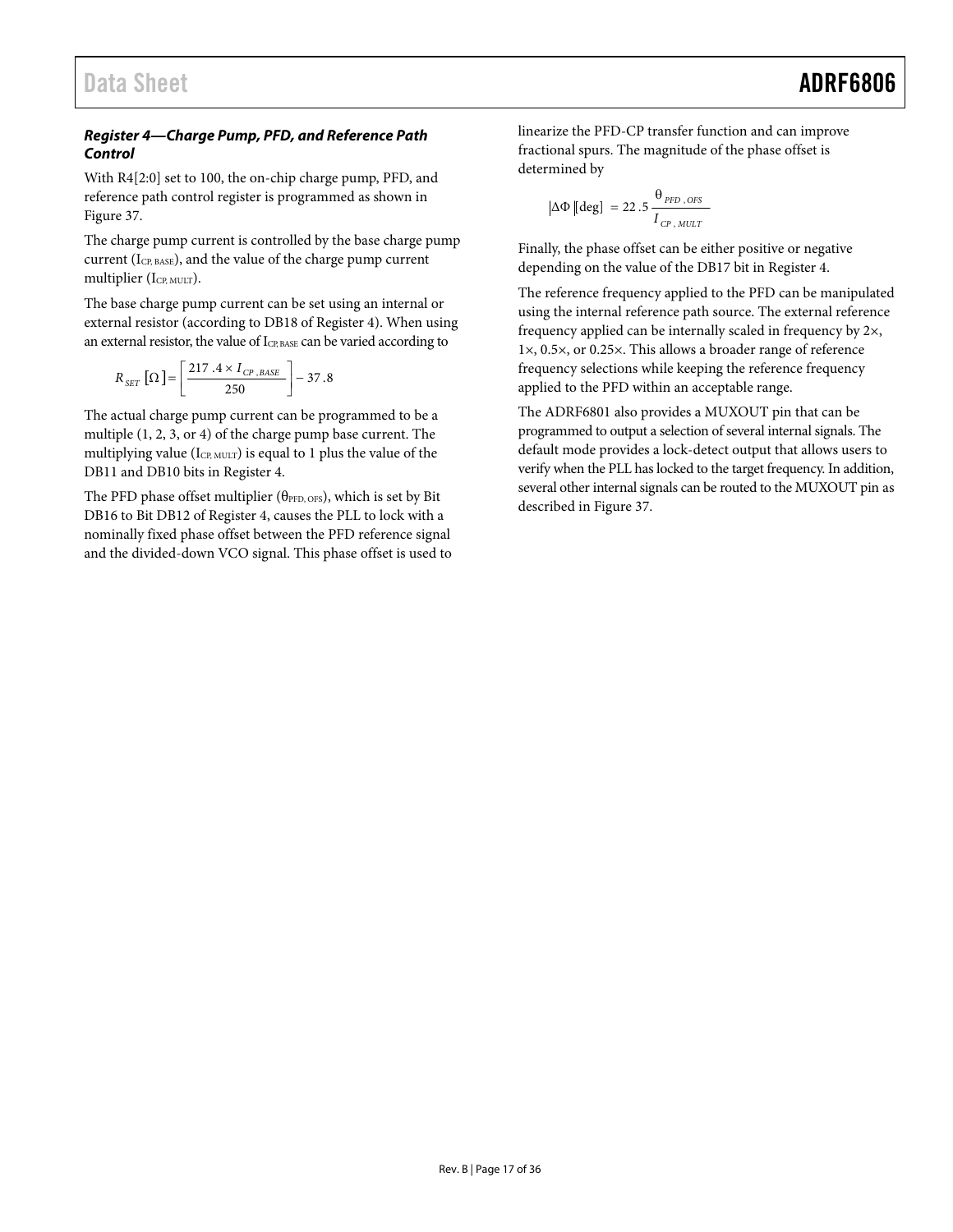#### <span id="page-16-0"></span>**Register 4—Charge Pump, PFD, and Reference Path Control**

With R4[2:0] set to 100, the on-chip charge pump, PFD, and reference path control register is programmed as shown in [Figure 37](#page-17-0).

The charge pump current is controlled by the base charge pump current (I<sub>CP, BASE</sub>), and the value of the charge pump current multiplier  $(I_{\text{CP, MULT}})$ .

The base charge pump current can be set using an internal or external resistor (according to DB18 of Register 4). When using an external resistor, the value of ICP, BASE can be varied according to

$$
R_{SET} \left[ \Omega \right] = \left[ \frac{217.4 \times I_{CP, BASE}}{250} \right] - 37.8
$$

The actual charge pump current can be programmed to be a multiple (1, 2, 3, or 4) of the charge pump base current. The multiplying value (I<sub>CP, MULT</sub>) is equal to 1 plus the value of the DB11 and DB10 bits in Register 4.

The PFD phase offset multiplier ( $\theta_{\text{PPD, OFS}}$ ), which is set by Bit DB16 to Bit DB12 of Register 4, causes the PLL to lock with a nominally fixed phase offset between the PFD reference signal and the divided-down VCO signal. This phase offset is used to linearize the PFD-CP transfer function and can improve fractional spurs. The magnitude of the phase offset is determined by

$$
\Delta \Phi \left[ \text{deg} \right] \ = 22.5 \, \frac{\theta_{\text{PFD}, \text{OFS}}}{I_{\text{CP}, \text{MULT}}}
$$

Finally, the phase offset can be either positive or negative depending on the value of the DB17 bit in Register 4.

The reference frequency applied to the PFD can be manipulated using the internal reference path source. The external reference frequency applied can be internally scaled in frequency by 2×, 1×, 0.5×, or 0.25×. This allows a broader range of reference frequency selections while keeping the reference frequency applied to the PFD within an acceptable range.

The ADRF6801 also provides a MUXOUT pin that can be programmed to output a selection of several internal signals. The default mode provides a lock-detect output that allows users to verify when the PLL has locked to the target frequency. In addition, several other internal signals can be routed to the MUXOUT pin as described in [Figure 37](#page-17-0).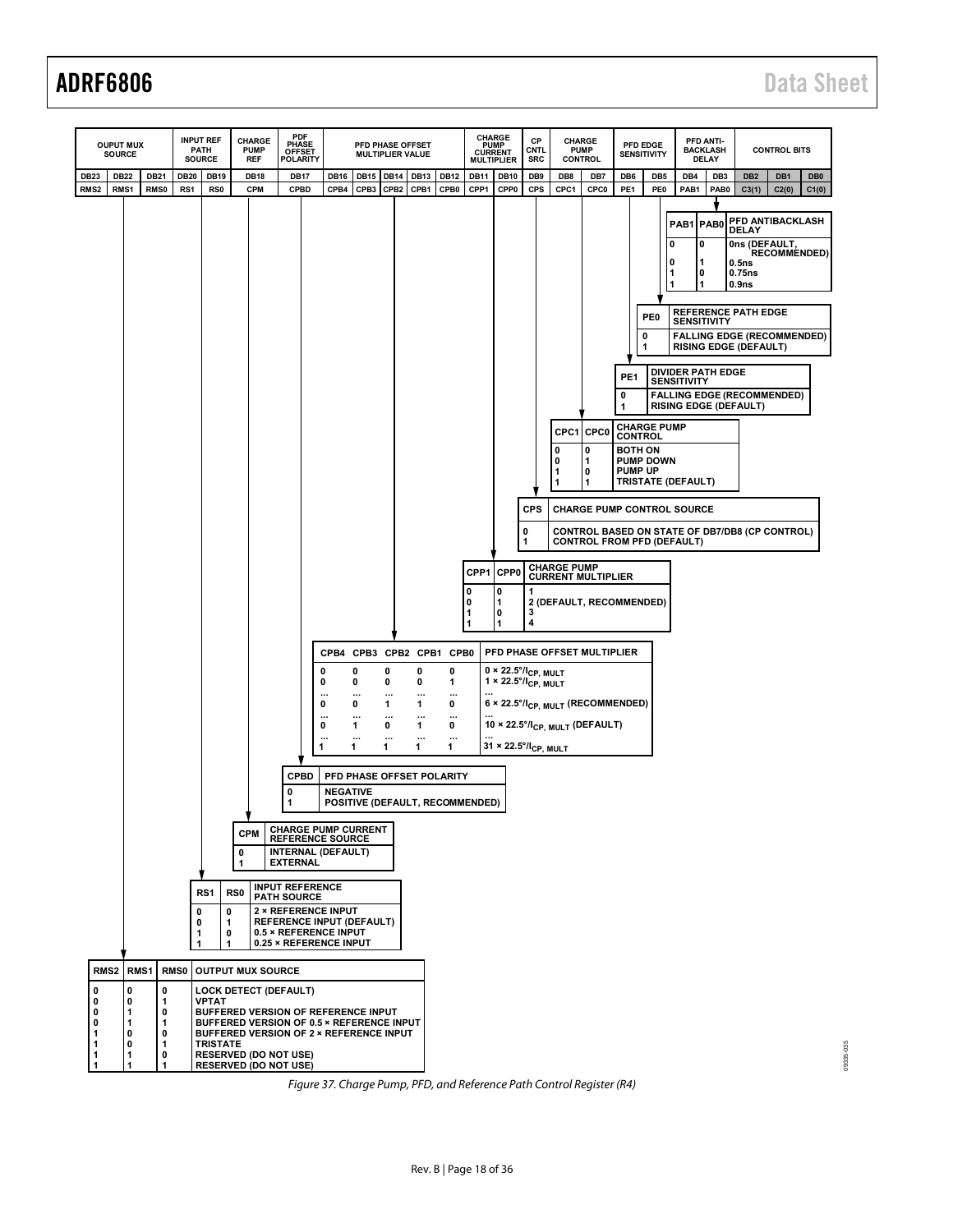

<span id="page-17-0"></span>Figure 37. Charge Pump, PFD, and Reference Path Control Register (R4)

 $035$ 09335-035 19335-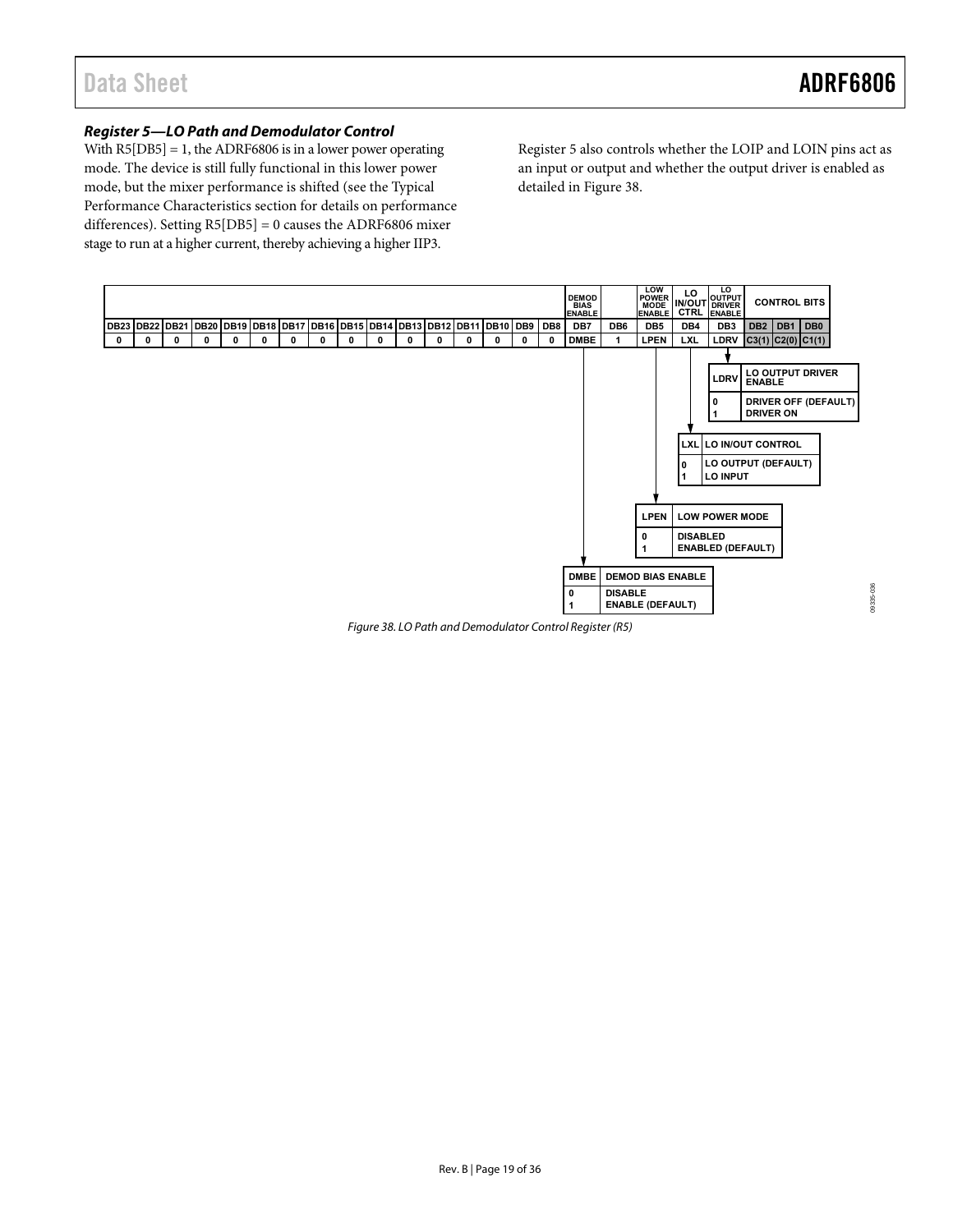09335-036

0335-036

#### <span id="page-18-1"></span>**Register 5—LO Path and Demodulator Control**

With  $R5[DB5] = 1$ , the ADRF6806 is in a lower power operating mode. The device is still fully functional in this lower power mode, but the mixer performance is shifted (see the [Typical](#page-8-1)  [Performance Characteristics](#page-8-1) section for details on performance differences). Setting R5[DB5] = 0 causes the ADRF6806 mixer stage to run at a higher current, thereby achieving a higher IIP3.

Register 5 also controls whether the LOIP and LOIN pins act as an input or output and whether the output driver is enabled as detailed in [Figure 38.](#page-18-0)



<span id="page-18-0"></span>Figure 38. LO Path and Demodulator Control Register (R5)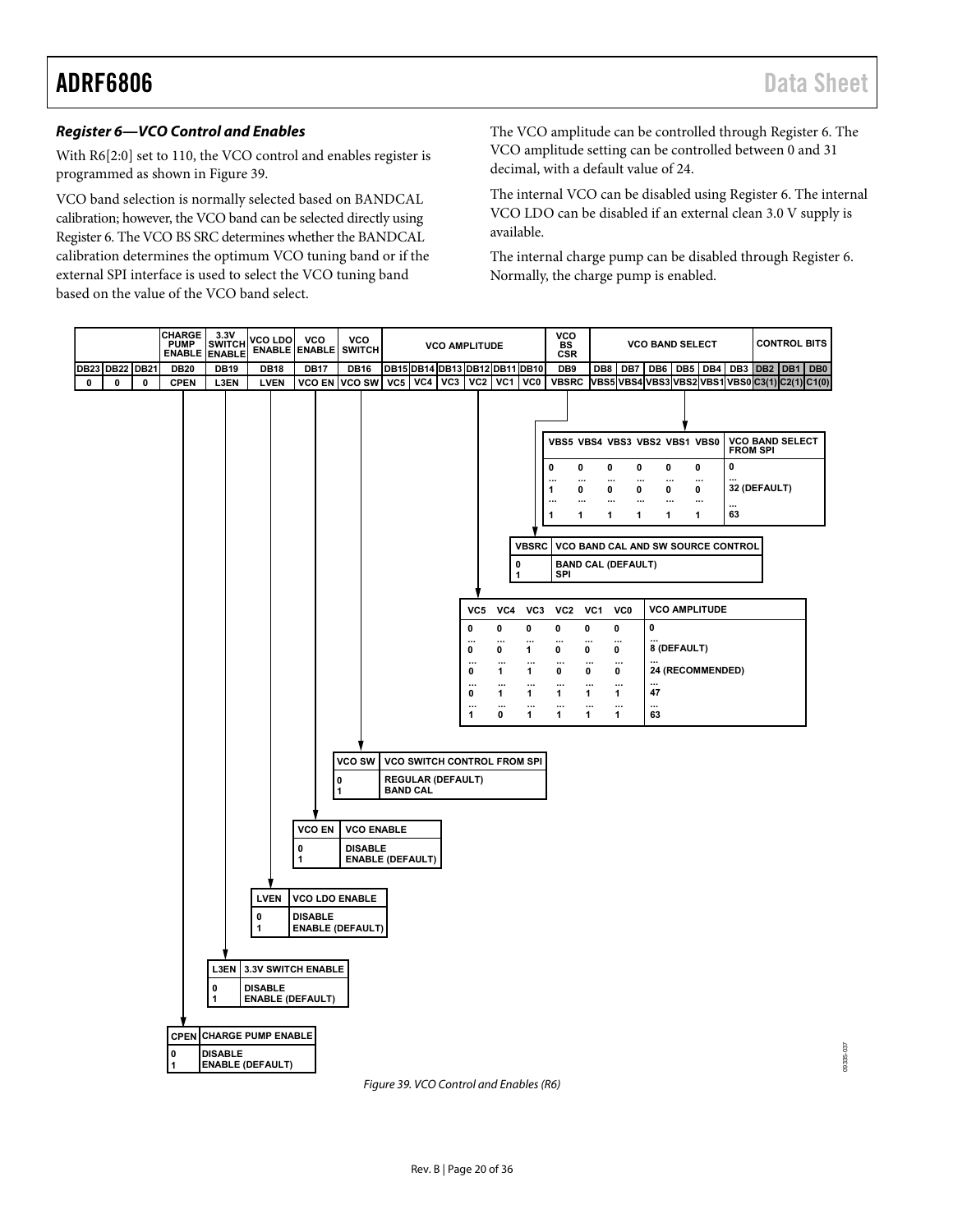09335-037

 $037$ 19335-0

#### **Register 6—VCO Control and Enables**

With R6[2:0] set to 110, the VCO control and enables register is programmed as shown in [Figure 39](#page-19-0).

VCO band selection is normally selected based on BANDCAL calibration; however, the VCO band can be selected directly using Register 6. The VCO BS SRC determines whether the BANDCAL calibration determines the optimum VCO tuning band or if the external SPI interface is used to select the VCO tuning band based on the value of the VCO band select.

The VCO amplitude can be controlled through Register 6. The VCO amplitude setting can be controlled between 0 and 31 decimal, with a default value of 24.

The internal VCO can be disabled using Register 6. The internal VCO LDO can be disabled if an external clean 3.0 V supply is available.

The internal charge pump can be disabled through Register 6. Normally, the charge pump is enabled.



<span id="page-19-0"></span>Figure 39. VCO Control and Enables (R6)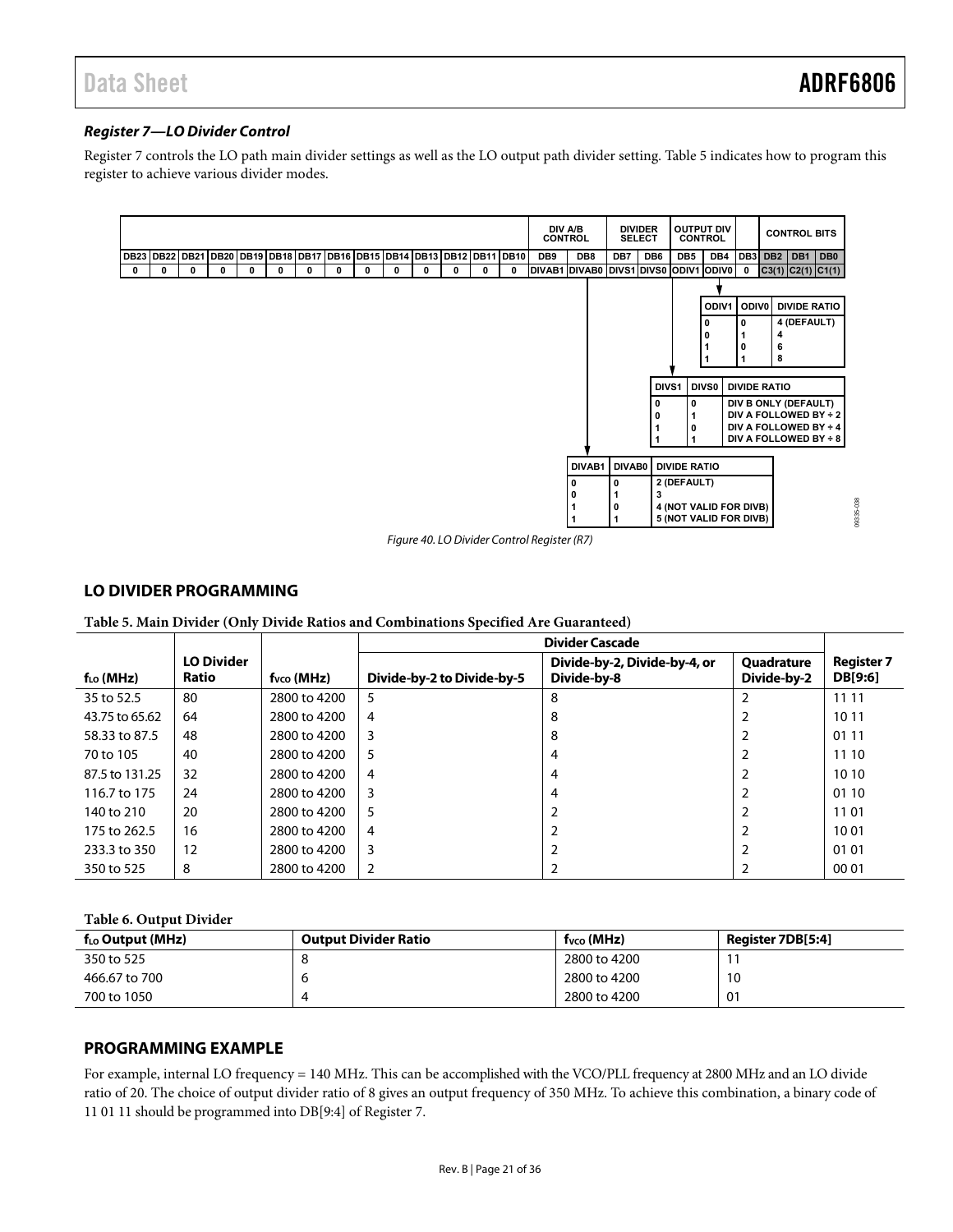#### <span id="page-20-0"></span>**Register 7—LO Divider Control**

Register 7 controls the LO path main divider settings as well as the LO output path divider setting. [Table 5](#page-20-1) indicates how to program this register to achieve various divider modes.



Figure 40. LO Divider Control Register (R7)

#### <span id="page-20-3"></span>**LO DIVIDER PROGRAMMING**

|  | Table 5. Main Divider (Only Divide Ratios and Combinations Specified Are Guaranteed) |  |
|--|--------------------------------------------------------------------------------------|--|
|  |                                                                                      |  |

<span id="page-20-1"></span>

|                |                            |                 | <b>Divider Cascade</b>     |                                             |                                  |                              |  |  |
|----------------|----------------------------|-----------------|----------------------------|---------------------------------------------|----------------------------------|------------------------------|--|--|
| $f_{LO}$ (MHz) | <b>LO Divider</b><br>Ratio | $f_{VCO}$ (MHz) | Divide-by-2 to Divide-by-5 | Divide-by-2, Divide-by-4, or<br>Divide-by-8 | <b>Quadrature</b><br>Divide-by-2 | <b>Register 7</b><br>DB[9:6] |  |  |
| 35 to 52.5     | 80                         | 2800 to 4200    | 5                          | 8                                           |                                  | 11 11                        |  |  |
| 43.75 to 65.62 | 64                         | 2800 to 4200    | 4                          | 8                                           |                                  | 10 11                        |  |  |
| 58.33 to 87.5  | 48                         | 2800 to 4200    | 3                          | 8                                           |                                  | 01 11                        |  |  |
| 70 to 105      | 40                         | 2800 to 4200    | 5                          | 4                                           |                                  | 11 10                        |  |  |
| 87.5 to 131.25 | 32                         | 2800 to 4200    | 4                          | 4                                           |                                  | 10 10                        |  |  |
| 116.7 to 175   | 24                         | 2800 to 4200    | 3                          | 4                                           |                                  | 01 10                        |  |  |
| 140 to 210     | 20                         | 2800 to 4200    | 5                          |                                             |                                  | 11 01                        |  |  |
| 175 to 262.5   | 16                         | 2800 to 4200    | 4                          |                                             |                                  | 1001                         |  |  |
| 233.3 to 350   | 12                         | 2800 to 4200    | 3                          |                                             |                                  | 01 01                        |  |  |
| 350 to 525     | 8                          | 2800 to 4200    | 2                          |                                             |                                  | 00 01                        |  |  |

#### **Table 6. Output Divider**

<span id="page-20-2"></span>

| $f_{LO}$ Output (MHz) | <b>Output Divider Ratio</b> | $f_{VCO}$ (MHz) | Register 7DB[5:4] |
|-----------------------|-----------------------------|-----------------|-------------------|
| 350 to 525            |                             | 2800 to 4200    |                   |
| 466.67 to 700         |                             | 2800 to 4200    | 10                |
| 700 to 1050           |                             | 2800 to 4200    | 01                |

#### **PROGRAMMING EXAMPLE**

For example, internal LO frequency = 140 MHz. This can be accomplished with the VCO/PLL frequency at 2800 MHz and an LO divide ratio of 20. The choice of output divider ratio of 8 gives an output frequency of 350 MHz. To achieve this combination, a binary code of 11 01 11 should be programmed into DB[9:4] of Register 7.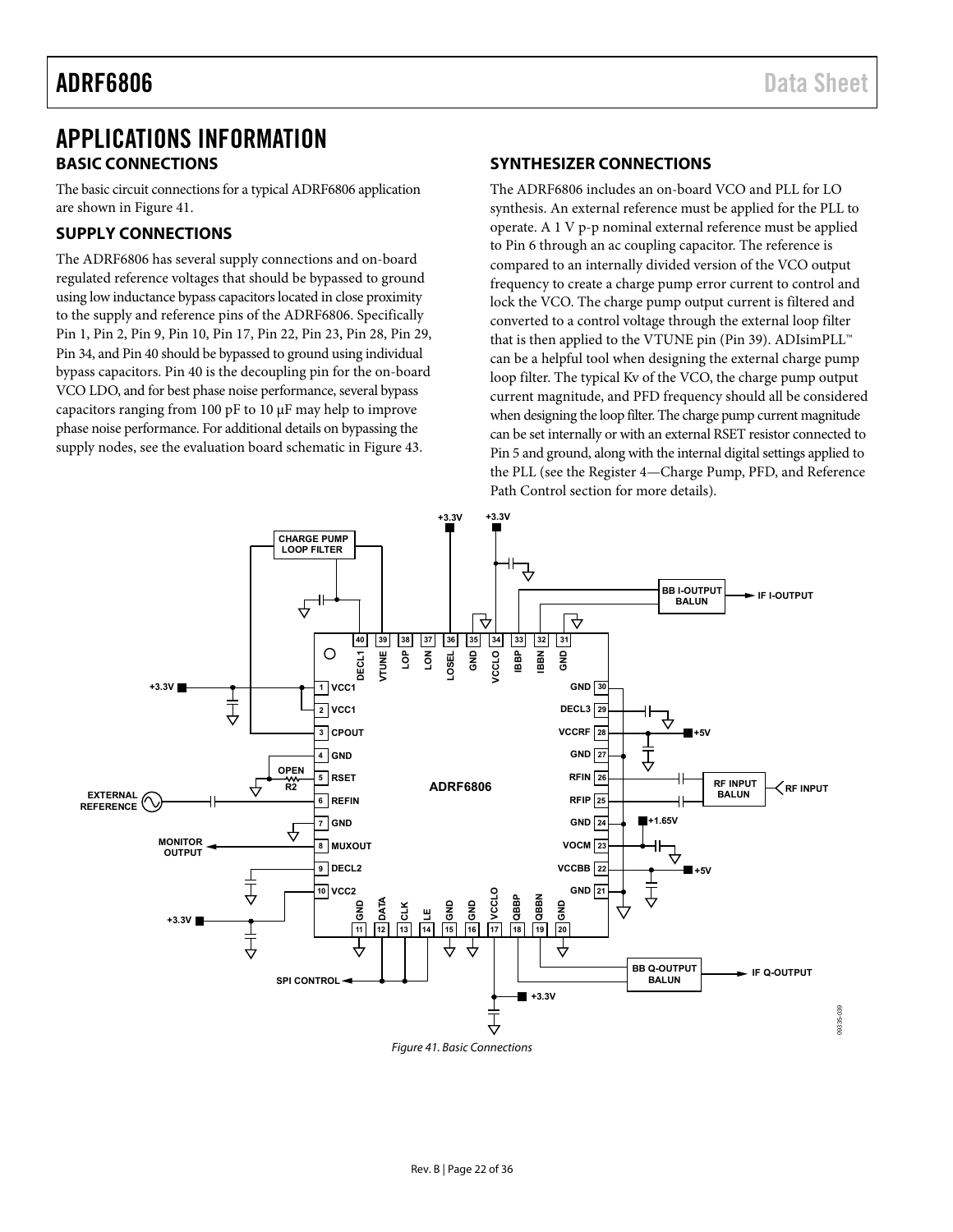09335-039

09335-039

### <span id="page-21-0"></span>APPLICATIONS INFORMATION **BASIC CONNECTIONS**

The basic circuit connections for a typical ADRF6806 application are shown in [Figure 41](#page-21-1).

#### **SUPPLY CONNECTIONS**

The ADRF6806 has several supply connections and on-board regulated reference voltages that should be bypassed to ground using low inductance bypass capacitors located in close proximity to the supply and reference pins of the ADRF6806. Specifically Pin 1, Pin 2, Pin 9, Pin 10, Pin 17, Pin 22, Pin 23, Pin 28, Pin 29, Pin 34, and Pin 40 should be bypassed to ground using individual bypass capacitors. Pin 40 is the decoupling pin for the on-board VCO LDO, and for best phase noise performance, several bypass capacitors ranging from 100 pF to 10 μF may help to improve phase noise performance. For additional details on bypassing the supply nodes, see the evaluation board schematic in [Figure 43](#page-24-1).

#### **SYNTHESIZER CONNECTIONS**

The ADRF6806 includes an on-board VCO and PLL for LO synthesis. An external reference must be applied for the PLL to operate. A 1 V p-p nominal external reference must be applied to Pin 6 through an ac coupling capacitor. The reference is compared to an internally divided version of the VCO output frequency to create a charge pump error current to control and lock the VCO. The charge pump output current is filtered and converted to a control voltage through the external loop filter that is then applied to the VTUNE pin (Pin 39). ADIsimPLL™ can be a helpful tool when designing the external charge pump loop filter. The typical Kv of the VCO, the charge pump output current magnitude, and PFD frequency should all be considered when designing the loop filter. The charge pump current magnitude can be set internally or with an external RSET resistor connected to Pin 5 and ground, along with the internal digital settings applied to the PLL (see the [Register 4—Charge Pump, PFD, and Reference](#page-16-0)  [Path Control](#page-16-0) section for more details).



<span id="page-21-1"></span>Figure 41. Basic Connections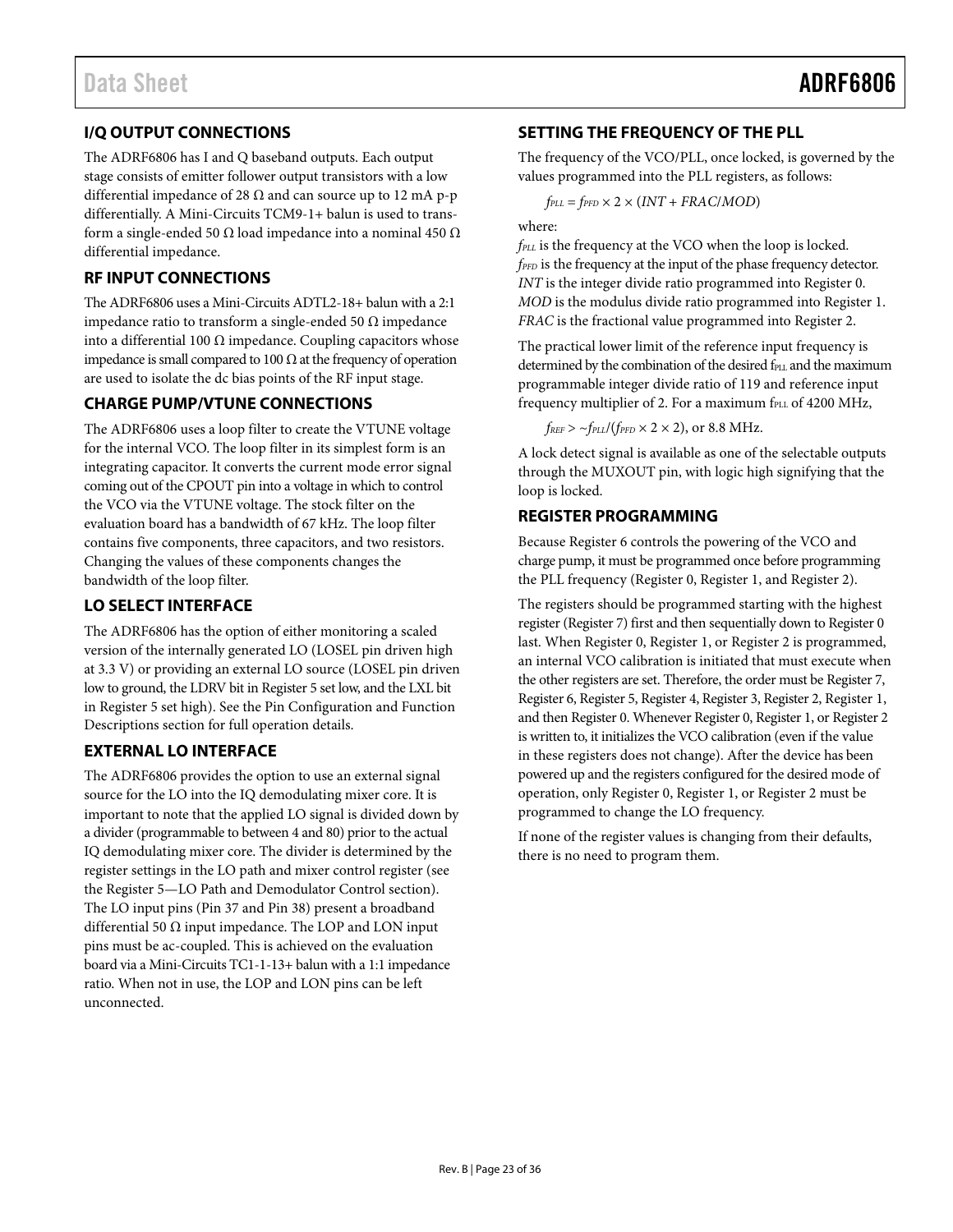### <span id="page-22-0"></span>**I/Q OUTPUT CONNECTIONS**

The ADRF6806 has I and Q baseband outputs. Each output stage consists of emitter follower output transistors with a low differential impedance of 28  $\Omega$  and can source up to 12 mA p-p differentially. A Mini-Circuits TCM9-1+ balun is used to transform a single-ended 50  $\Omega$  load impedance into a nominal 450  $\Omega$ differential impedance.

### **RF INPUT CONNECTIONS**

The ADRF6806 uses a Mini-Circuits ADTL2-18+ balun with a 2:1 impedance ratio to transform a single-ended 50 Ω impedance into a differential 100  $Ω$  impedance. Coupling capacitors whose impedance is small compared to 100  $\Omega$  at the frequency of operation are used to isolate the dc bias points of the RF input stage.

#### **CHARGE PUMP/VTUNE CONNECTIONS**

The ADRF6806 uses a loop filter to create the VTUNE voltage for the internal VCO. The loop filter in its simplest form is an integrating capacitor. It converts the current mode error signal coming out of the CPOUT pin into a voltage in which to control the VCO via the VTUNE voltage. The stock filter on the evaluation board has a bandwidth of 67 kHz. The loop filter contains five components, three capacitors, and two resistors. Changing the values of these components changes the bandwidth of the loop filter.

#### **LO SELECT INTERFACE**

The ADRF6806 has the option of either monitoring a scaled version of the internally generated LO (LOSEL pin driven high at 3.3 V) or providing an external LO source (LOSEL pin driven low to ground, the LDRV bit in Register 5 set low, and the LXL bit in Register 5 set high). See the [Pin Configuration and Function](#page-6-1)  [Descriptions](#page-6-1) section for full operation details.

#### **EXTERNAL LO INTERFACE**

The ADRF6806 provides the option to use an external signal source for the LO into the IQ demodulating mixer core. It is important to note that the applied LO signal is divided down by a divider (programmable to between 4 and 80) prior to the actual IQ demodulating mixer core. The divider is determined by the register settings in the LO path and mixer control register (see the [Register 5—LO Path and Demodulator Control](#page-18-1) section). The LO input pins (Pin 37 and Pin 38) present a broadband differential 50  $\Omega$  input impedance. The LOP and LON input pins must be ac-coupled. This is achieved on the evaluation board via a Mini-Circuits TC1-1-13+ balun with a 1:1 impedance ratio. When not in use, the LOP and LON pins can be left unconnected.

#### **SETTING THE FREQUENCY OF THE PLL**

The frequency of the VCO/PLL, once locked, is governed by the values programmed into the PLL registers, as follows:

 $f_{PLL} = f_{PFD} \times 2 \times (INT + FRAC/MOD)$ 

where:

*fPLL* is the frequency at the VCO when the loop is locked. *fPFD* is the frequency at the input of the phase frequency detector. *INT* is the integer divide ratio programmed into Register 0. *MOD* is the modulus divide ratio programmed into Register 1. *FRAC* is the fractional value programmed into Register 2.

The practical lower limit of the reference input frequency is determined by the combination of the desired f<sub>PLL</sub> and the maximum programmable integer divide ratio of 119 and reference input frequency multiplier of 2. For a maximum  $f_{\text{PLL}}$  of 4200 MHz,

 $f_{REF}$  >  $\sim$   $f_{PLL}/(f_{PFD} \times 2 \times 2)$ , or 8.8 MHz.

A lock detect signal is available as one of the selectable outputs through the MUXOUT pin, with logic high signifying that the loop is locked.

#### **REGISTER PROGRAMMING**

Because Register 6 controls the powering of the VCO and charge pump, it must be programmed once before programming the PLL frequency (Register 0, Register 1, and Register 2).

The registers should be programmed starting with the highest register (Register 7) first and then sequentially down to Register 0 last. When Register 0, Register 1, or Register 2 is programmed, an internal VCO calibration is initiated that must execute when the other registers are set. Therefore, the order must be Register 7, Register 6, Register 5, Register 4, Register 3, Register 2, Register 1, and then Register 0. Whenever Register 0, Register 1, or Register 2 is written to, it initializes the VCO calibration (even if the value in these registers does not change). After the device has been powered up and the registers configured for the desired mode of operation, only Register 0, Register 1, or Register 2 must be programmed to change the LO frequency.

If none of the register values is changing from their defaults, there is no need to program them.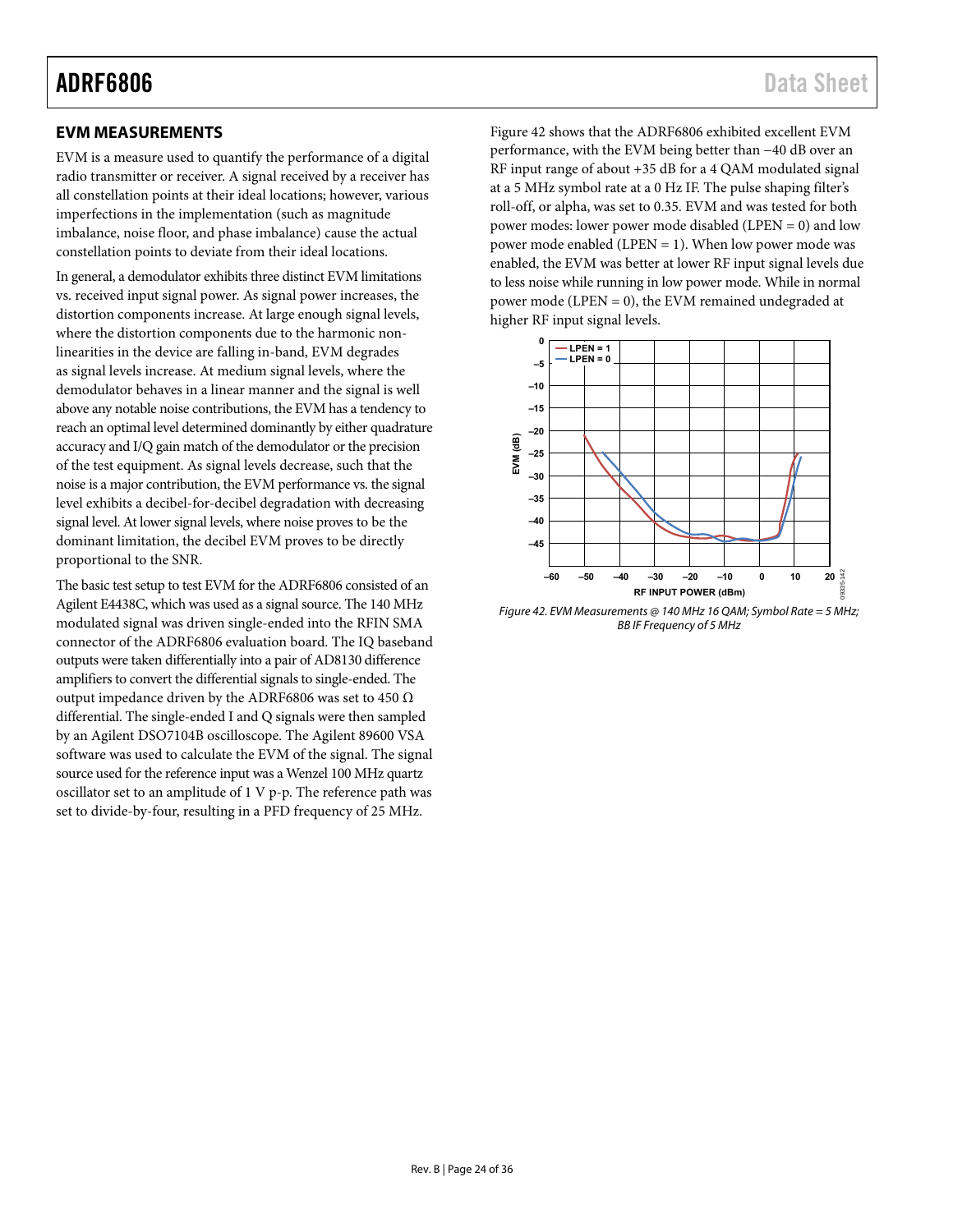EVM is a measure used to quantify the performance of a digital radio transmitter or receiver. A signal received by a receiver has all constellation points at their ideal locations; however, various imperfections in the implementation (such as magnitude imbalance, noise floor, and phase imbalance) cause the actual constellation points to deviate from their ideal locations.

In general, a demodulator exhibits three distinct EVM limitations vs. received input signal power. As signal power increases, the distortion components increase. At large enough signal levels, where the distortion components due to the harmonic nonlinearities in the device are falling in-band, EVM degrades as signal levels increase. At medium signal levels, where the demodulator behaves in a linear manner and the signal is well above any notable noise contributions, the EVM has a tendency to reach an optimal level determined dominantly by either quadrature accuracy and I/Q gain match of the demodulator or the precision of the test equipment. As signal levels decrease, such that the noise is a major contribution, the EVM performance vs. the signal level exhibits a decibel-for-decibel degradation with decreasing signal level. At lower signal levels, where noise proves to be the dominant limitation, the decibel EVM proves to be directly proportional to the SNR.

<span id="page-23-1"></span>The basic test setup to test EVM for the ADRF6806 consisted of an Agilent E4438C, which was used as a signal source. The 140 MHz modulated signal was driven single-ended into the RFIN SMA connector of the ADRF6806 evaluation board. The IQ baseband outputs were taken differentially into a pair of AD8130 difference amplifiers to convert the differential signals to single-ended. The output impedance driven by the ADRF6806 was set to 450  $\Omega$ differential. The single-ended I and Q signals were then sampled by an Agilent DSO7104B oscilloscope. The Agilent 89600 VSA software was used to calculate the EVM of the signal. The signal source used for the reference input was a Wenzel 100 MHz quartz oscillator set to an amplitude of 1 V p-p. The reference path was set to divide-by-four, resulting in a PFD frequency of 25 MHz.

<span id="page-23-0"></span>**EVM MEASUREMENTS [Figure 42](#page-23-1) shows that the ADRF6806 exhibited excellent EVM** performance, with the EVM being better than −40 dB over an RF input range of about +35 dB for a 4 QAM modulated signal at a 5 MHz symbol rate at a 0 Hz IF. The pulse shaping filter's roll-off, or alpha, was set to 0.35. EVM and was tested for both power modes: lower power mode disabled (LPEN = 0) and low power mode enabled (LPEN = 1). When low power mode was enabled, the EVM was better at lower RF input signal levels due to less noise while running in low power mode. While in normal power mode (LPEN = 0), the EVM remained undegraded at higher RF input signal levels.



Figure 42. EVM Measurements @ 140 MHz 16 QAM; Symbol Rate = 5 MHz; BB IF Frequency of 5 MHz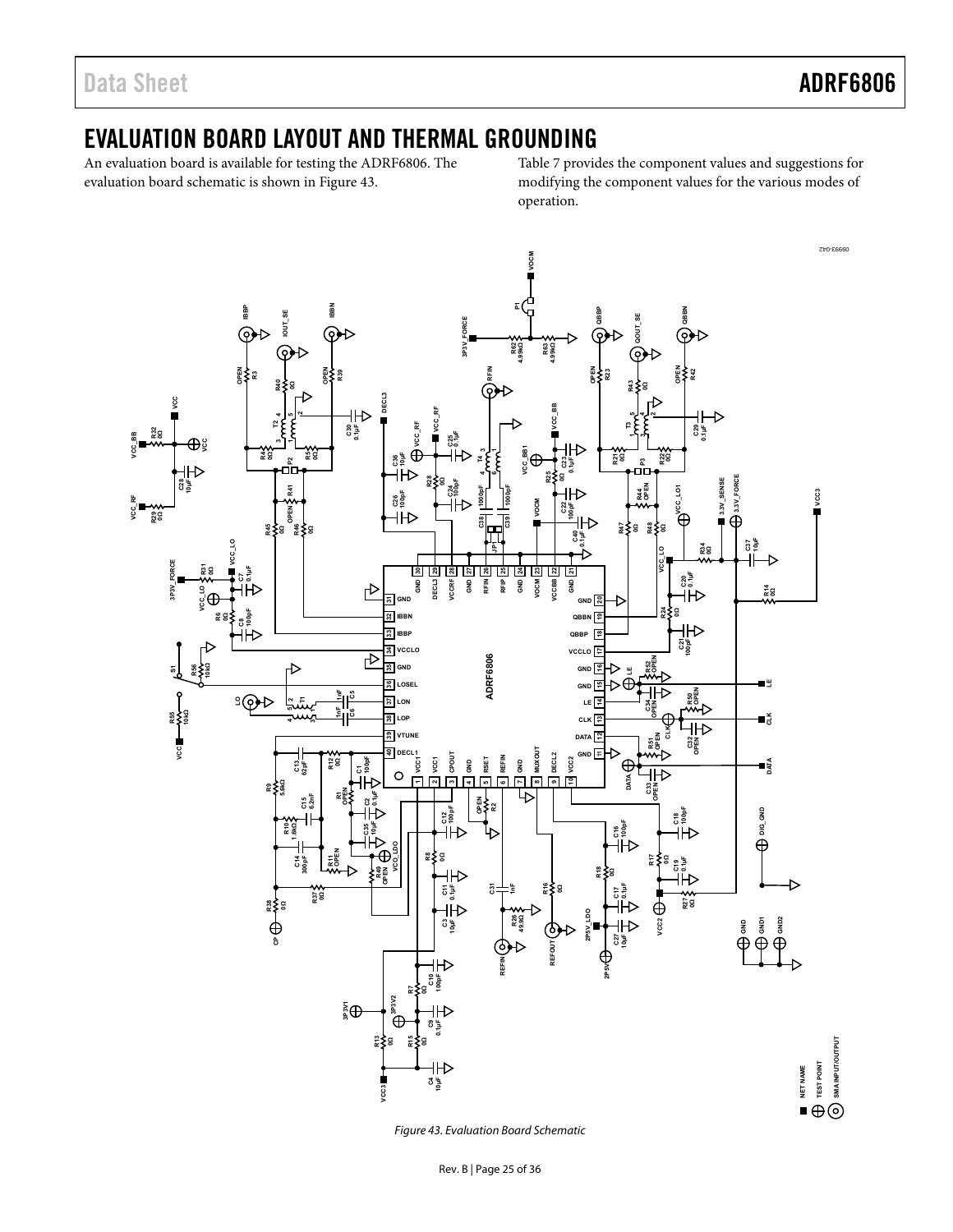### <span id="page-24-0"></span>EVALUATION BOARD LAYOUT AND THERMAL GROUNDING

An evaluation board is available for testing the ADRF6806. The evaluation board schematic is shown in [Figure 43.](#page-24-1)

Table 7 provides the component values and suggestions for modifying the component values for the various modes of operation.



<span id="page-24-1"></span>Figure 43. Evaluation Board Schematic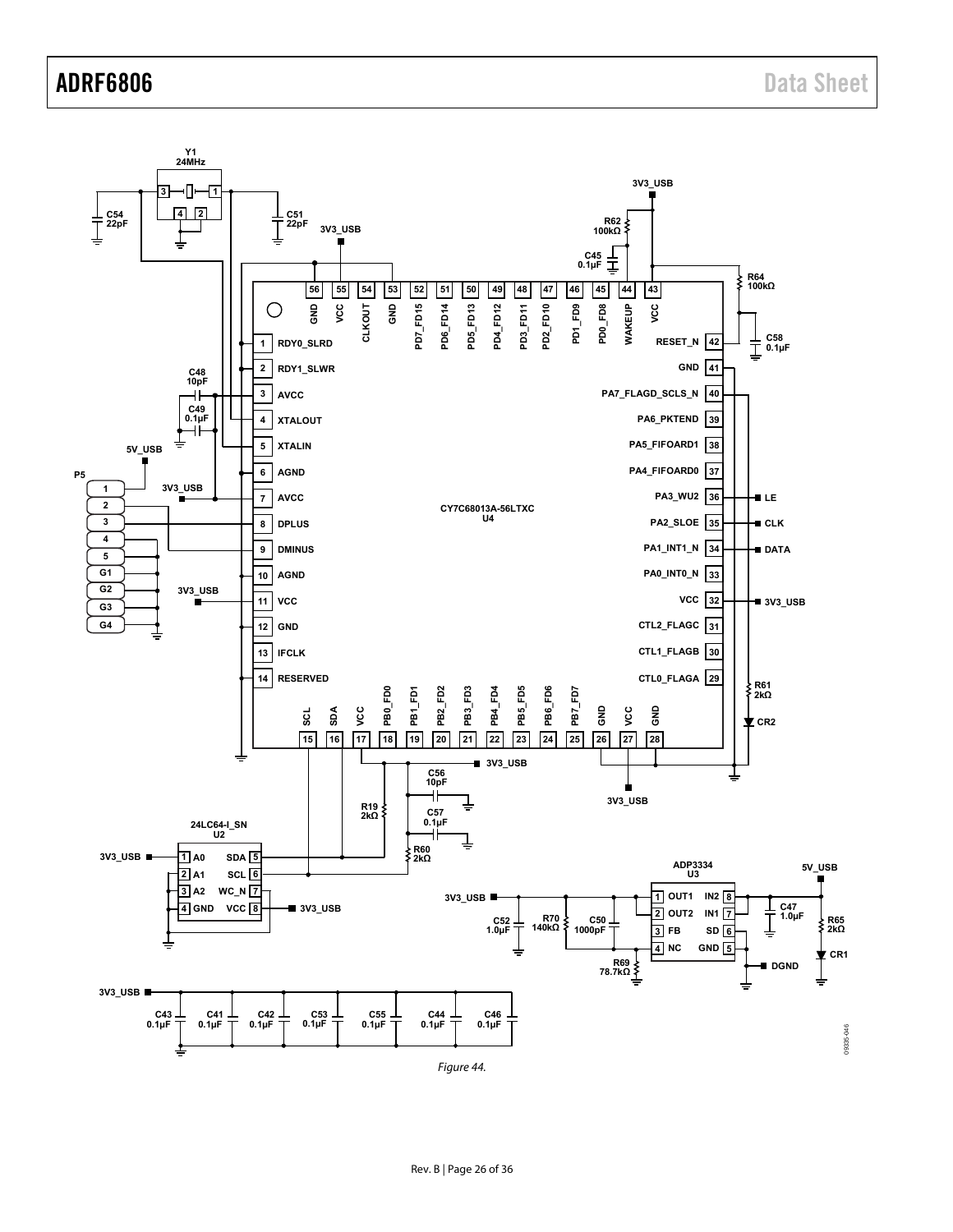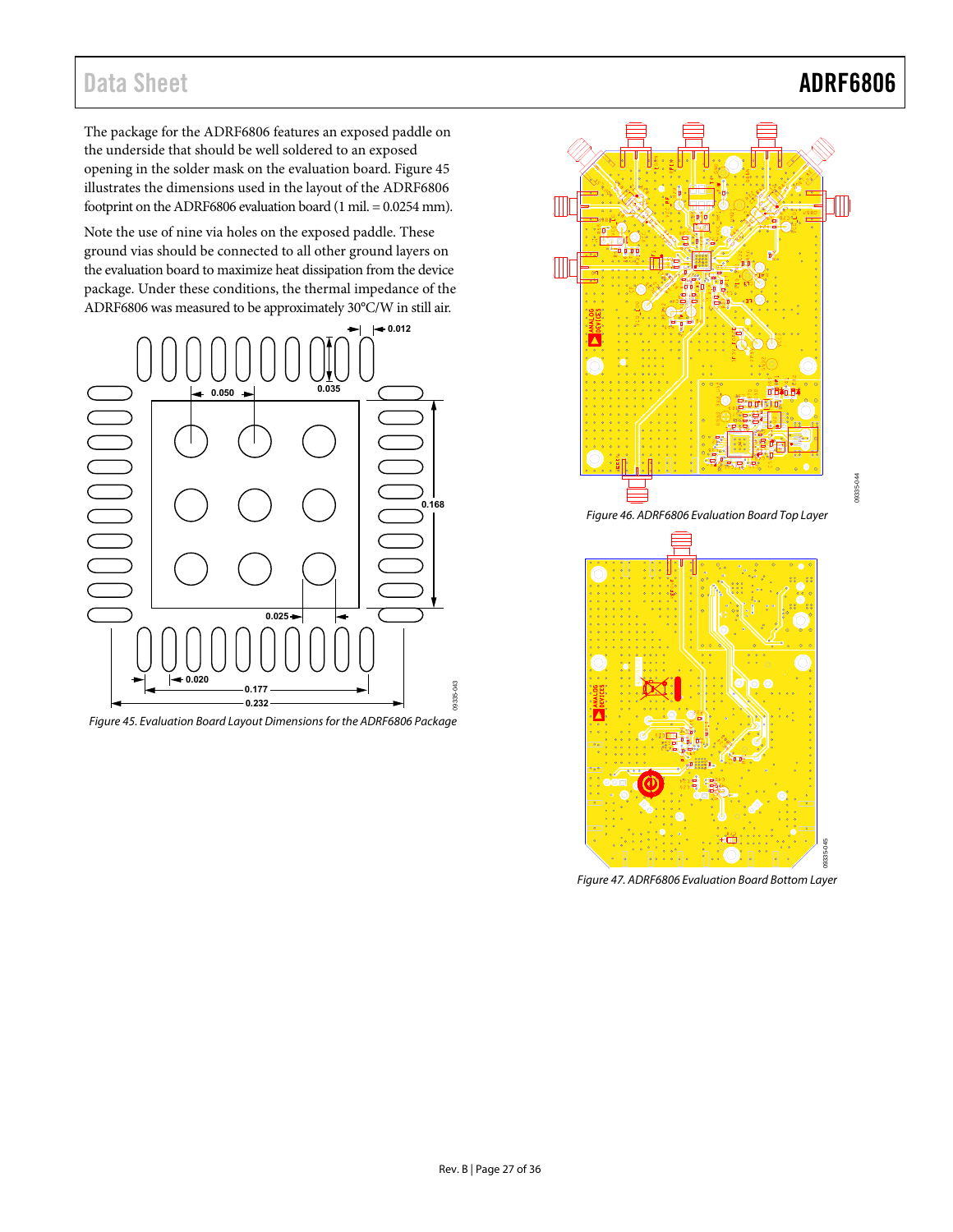The package for the ADRF6806 features an exposed paddle on the underside that should be well soldered to an exposed opening in the solder mask on the evaluation board. [Figure 45](#page-26-0) illustrates the dimensions used in the layout of the ADRF6806 footprint on the ADRF6806 evaluation board (1 mil. = 0.0254 mm).

Note the use of nine via holes on the exposed paddle. These ground vias should be connected to all other ground layers on the evaluation board to maximize heat dissipation from the device package. Under these conditions, the thermal impedance of the ADRF6806 was measured to be approximately 30°C/W in still air.



<span id="page-26-0"></span>Figure 45. Evaluation Board Layout Dimensions for the ADRF6806 Package



Figure 47. ADRF6806 Evaluation Board Bottom Layer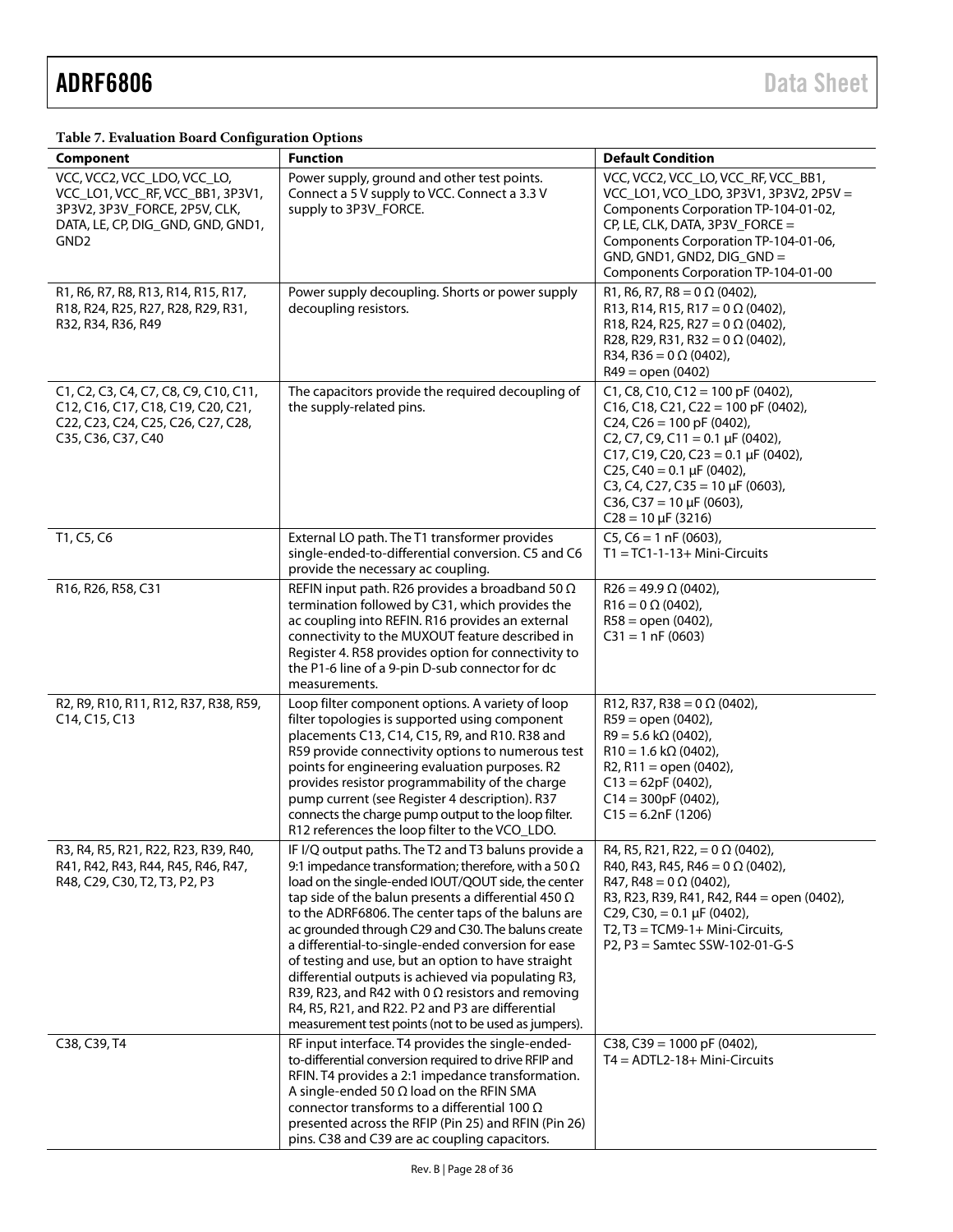| Table 7. Evaluation Board Configuration Options |  |
|-------------------------------------------------|--|
|-------------------------------------------------|--|

| ັ<br>Component                                                                                                                                            | <b>Function</b>                                                                                                                                                                                                                                                                                                                                                                                                                                                                                                                                                                                                                                                                                | <b>Default Condition</b>                                                                                                                                                                                                                                                                                                                    |
|-----------------------------------------------------------------------------------------------------------------------------------------------------------|------------------------------------------------------------------------------------------------------------------------------------------------------------------------------------------------------------------------------------------------------------------------------------------------------------------------------------------------------------------------------------------------------------------------------------------------------------------------------------------------------------------------------------------------------------------------------------------------------------------------------------------------------------------------------------------------|---------------------------------------------------------------------------------------------------------------------------------------------------------------------------------------------------------------------------------------------------------------------------------------------------------------------------------------------|
| VCC, VCC2, VCC_LDO, VCC_LO,<br>VCC_LO1, VCC_RF, VCC_BB1, 3P3V1,<br>3P3V2, 3P3V_FORCE, 2P5V, CLK,<br>DATA, LE, CP, DIG_GND, GND, GND1,<br>GND <sub>2</sub> | Power supply, ground and other test points.<br>Connect a 5 V supply to VCC. Connect a 3.3 V<br>supply to 3P3V_FORCE.                                                                                                                                                                                                                                                                                                                                                                                                                                                                                                                                                                           | VCC, VCC2, VCC_LO, VCC_RF, VCC_BB1,<br>VCC_LO1, VCO_LDO, 3P3V1, 3P3V2, 2P5V =<br>Components Corporation TP-104-01-02,<br>CP, LE, CLK, DATA, 3P3V_FORCE =<br>Components Corporation TP-104-01-06,<br>GND, GND1, GND2, DIG_GND =<br>Components Corporation TP-104-01-00                                                                       |
| R1, R6, R7, R8, R13, R14, R15, R17,<br>R18, R24, R25, R27, R28, R29, R31,<br>R32, R34, R36, R49                                                           | Power supply decoupling. Shorts or power supply<br>decoupling resistors.                                                                                                                                                                                                                                                                                                                                                                                                                                                                                                                                                                                                                       | R1, R6, R7, R8 = $0 \Omega$ (0402),<br>R13, R14, R15, R17 = $0 \Omega$ (0402),<br>R18, R24, R25, R27 = $0 \Omega$ (0402),<br>R28, R29, R31, R32 = $0 \Omega$ (0402),<br>R34, R36 = $0 \Omega$ (0402),<br>$R49 = open (0402)$                                                                                                                |
| C1, C2, C3, C4, C7, C8, C9, C10, C11,<br>C12, C16, C17, C18, C19, C20, C21,<br>C22, C23, C24, C25, C26, C27, C28,<br>C35, C36, C37, C40                   | The capacitors provide the required decoupling of<br>the supply-related pins.                                                                                                                                                                                                                                                                                                                                                                                                                                                                                                                                                                                                                  | C1, C8, C10, C12 = 100 pF (0402),<br>C16, C18, C21, C22 = 100 pF (0402),<br>C <sub>24</sub> , C <sub>26</sub> = 100 pF (0402),<br>C2, C7, C9, C11 = 0.1 $\mu$ F (0402),<br>C17, C19, C20, C23 = 0.1 µF (0402),<br>C25, C40 = $0.1 \mu$ F (0402),<br>C3, C4, C27, C35 = 10 µF (0603),<br>C36, C37 = 10 µF (0603),<br>$C28 = 10 \mu F (3216)$ |
| T1, C5, C6                                                                                                                                                | External LO path. The T1 transformer provides<br>single-ended-to-differential conversion. C5 and C6<br>provide the necessary ac coupling.                                                                                                                                                                                                                                                                                                                                                                                                                                                                                                                                                      | $C5, C6 = 1$ nF (0603),<br>$T1 = TC1-1-13+ Mini-Circuits$                                                                                                                                                                                                                                                                                   |
| R16, R26, R58, C31                                                                                                                                        | REFIN input path. R26 provides a broadband 50 $\Omega$<br>termination followed by C31, which provides the<br>ac coupling into REFIN. R16 provides an external<br>connectivity to the MUXOUT feature described in<br>Register 4. R58 provides option for connectivity to<br>the P1-6 line of a 9-pin D-sub connector for dc<br>measurements.                                                                                                                                                                                                                                                                                                                                                    | $R26 = 49.9 \Omega (0402)$ ,<br>$R16 = 0 \Omega (0402)$ ,<br>$R58 =$ open (0402),<br>$C31 = 1 nF(0603)$                                                                                                                                                                                                                                     |
| R2, R9, R10, R11, R12, R37, R38, R59,<br>C14, C15, C13                                                                                                    | Loop filter component options. A variety of loop<br>filter topologies is supported using component<br>placements C13, C14, C15, R9, and R10. R38 and<br>R59 provide connectivity options to numerous test<br>points for engineering evaluation purposes. R2<br>provides resistor programmability of the charge<br>pump current (see Register 4 description). R37<br>connects the charge pump output to the loop filter.<br>R12 references the loop filter to the VCO_LDO.                                                                                                                                                                                                                      | R12, R37, R38 = $0 \Omega$ (0402),<br>$R59 = open (0402)$ ,<br>$R9 = 5.6$ k $\Omega$ (0402),<br>$R10 = 1.6 k\Omega (0402)$ ,<br>R2, R11 = open $(0402)$ ,<br>$C13 = 62pF(0402)$ ,<br>$C14 = 300pF(0402)$ ,<br>$C15 = 6.2nF(1206)$                                                                                                           |
| R3, R4, R5, R21, R22, R23, R39, R40,<br>R41, R42, R43, R44, R45, R46, R47,<br>R48, C29, C30, T2, T3, P2, P3                                               | IF I/Q output paths. The T2 and T3 baluns provide a<br>9:1 impedance transformation; therefore, with a 50 $\Omega$<br>load on the single-ended IOUT/QOUT side, the center<br>tap side of the balun presents a differential 450 $\Omega$<br>to the ADRF6806. The center taps of the baluns are<br>ac grounded through C29 and C30. The baluns create<br>a differential-to-single-ended conversion for ease<br>of testing and use, but an option to have straight<br>differential outputs is achieved via populating R3,<br>R39, R23, and R42 with 0 $\Omega$ resistors and removing<br>R4, R5, R21, and R22. P2 and P3 are differential<br>measurement test points (not to be used as jumpers). | R4, R5, R21, R22, = 0 $\Omega$ (0402),<br>R40, R43, R45, R46 = $0 \Omega$ (0402),<br>R47, R48 = $0 \Omega$ (0402),<br>R3, R23, R39, R41, R42, R44 = open (0402),<br>C29, C30, = 0.1 $\mu$ F (0402),<br>T2, T3 = TCM9-1+ Mini-Circuits,<br>P2, P3 = Samtec SSW-102-01-G-S                                                                    |
| C38, C39, T4                                                                                                                                              | RF input interface. T4 provides the single-ended-<br>to-differential conversion required to drive RFIP and<br>RFIN. T4 provides a 2:1 impedance transformation.<br>A single-ended 50 $\Omega$ load on the RFIN SMA<br>connector transforms to a differential 100 $\Omega$<br>presented across the RFIP (Pin 25) and RFIN (Pin 26)<br>pins. C38 and C39 are ac coupling capacitors.                                                                                                                                                                                                                                                                                                             | C38, C39 = 1000 pF (0402),<br>$T4 = ADTL2-18+ Mini-Circuits$                                                                                                                                                                                                                                                                                |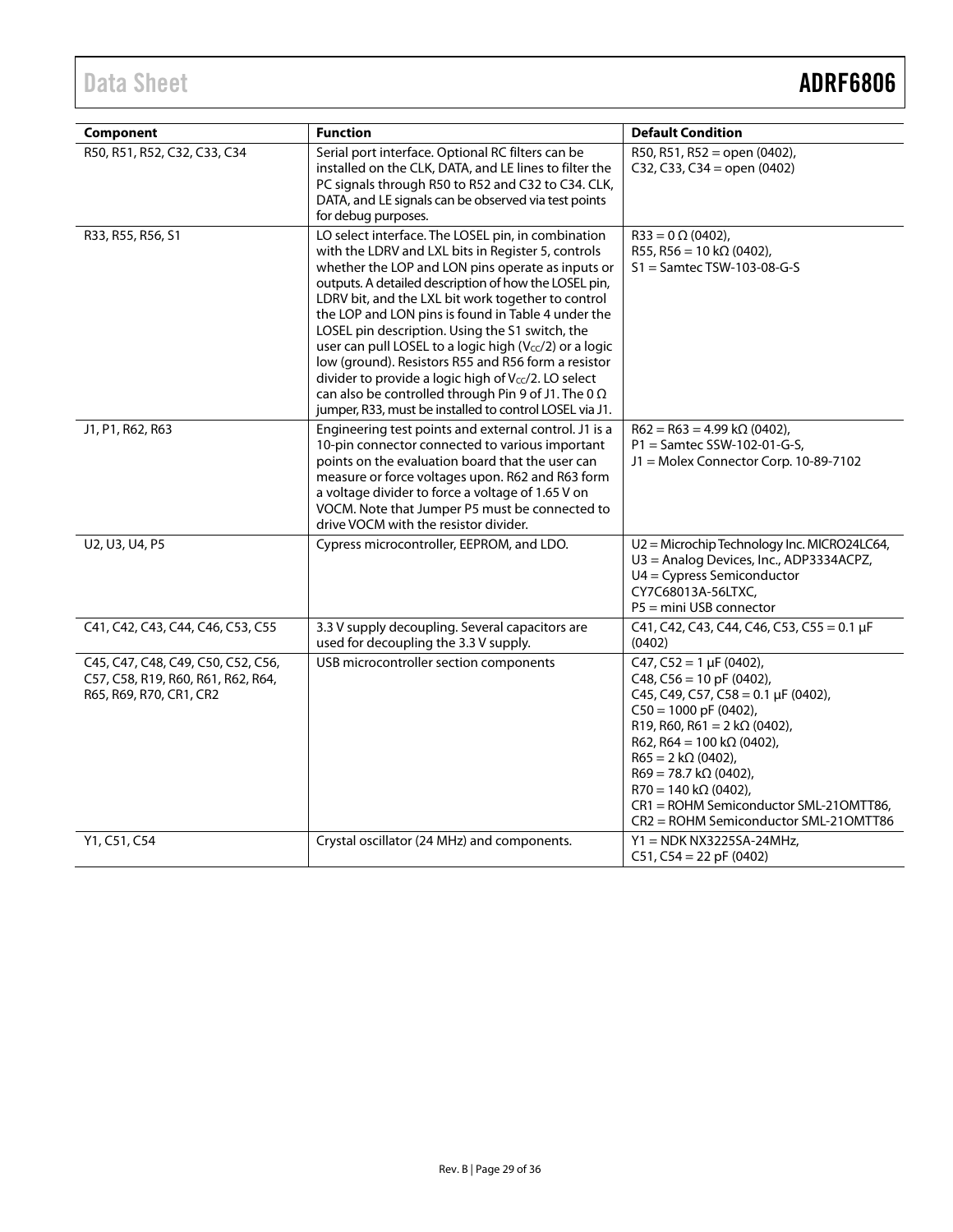| Component                                                                                           | <b>Function</b>                                                                                                                                                                                                                                                                                                                                                                                                                                                                                                                                                                                                                                                                        | <b>Default Condition</b>                                                                                                                                                                                                                                                                                                                                                                 |
|-----------------------------------------------------------------------------------------------------|----------------------------------------------------------------------------------------------------------------------------------------------------------------------------------------------------------------------------------------------------------------------------------------------------------------------------------------------------------------------------------------------------------------------------------------------------------------------------------------------------------------------------------------------------------------------------------------------------------------------------------------------------------------------------------------|------------------------------------------------------------------------------------------------------------------------------------------------------------------------------------------------------------------------------------------------------------------------------------------------------------------------------------------------------------------------------------------|
| R50, R51, R52, C32, C33, C34                                                                        | Serial port interface. Optional RC filters can be<br>installed on the CLK, DATA, and LE lines to filter the<br>PC signals through R50 to R52 and C32 to C34. CLK,<br>DATA, and LE signals can be observed via test points<br>for debug purposes.                                                                                                                                                                                                                                                                                                                                                                                                                                       | R50, R51, R52 = open (0402),<br>C32, C33, C34 = open $(0402)$                                                                                                                                                                                                                                                                                                                            |
| R33, R55, R56, S1                                                                                   | LO select interface. The LOSEL pin, in combination<br>with the LDRV and LXL bits in Register 5, controls<br>whether the LOP and LON pins operate as inputs or<br>outputs. A detailed description of how the LOSEL pin,<br>LDRV bit, and the LXL bit work together to control<br>the LOP and LON pins is found in Table 4 under the<br>LOSEL pin description. Using the S1 switch, the<br>user can pull LOSEL to a logic high (Vcc/2) or a logic<br>low (ground). Resistors R55 and R56 form a resistor<br>divider to provide a logic high of Vcc/2. LO select<br>can also be controlled through Pin 9 of J1. The 0 $\Omega$<br>jumper, R33, must be installed to control LOSEL via J1. | $R33 = 0 \Omega (0402)$ ,<br>R55, R56 = 10 k $\Omega$ (0402),<br>$S1 =$ Samtec TSW-103-08-G-S                                                                                                                                                                                                                                                                                            |
| J1, P1, R62, R63                                                                                    | Engineering test points and external control. J1 is a<br>10-pin connector connected to various important<br>points on the evaluation board that the user can<br>measure or force voltages upon. R62 and R63 form<br>a voltage divider to force a voltage of 1.65 V on<br>VOCM. Note that Jumper P5 must be connected to<br>drive VOCM with the resistor divider.                                                                                                                                                                                                                                                                                                                       | $R62 = R63 = 4.99 k\Omega (0402)$ ,<br>P1 = Samtec SSW-102-01-G-S,<br>J1 = Molex Connector Corp. 10-89-7102                                                                                                                                                                                                                                                                              |
| U2, U3, U4, P5                                                                                      | Cypress microcontroller, EEPROM, and LDO.                                                                                                                                                                                                                                                                                                                                                                                                                                                                                                                                                                                                                                              | U2 = Microchip Technology Inc. MICRO24LC64,<br>U3 = Analog Devices, Inc., ADP3334ACPZ,<br>U4 = Cypress Semiconductor<br>CY7C68013A-56LTXC,<br>P5 = mini USB connector                                                                                                                                                                                                                    |
| C41, C42, C43, C44, C46, C53, C55                                                                   | 3.3 V supply decoupling. Several capacitors are<br>used for decoupling the 3.3 V supply.                                                                                                                                                                                                                                                                                                                                                                                                                                                                                                                                                                                               | C41, C42, C43, C44, C46, C53, C55 = 0.1 µF<br>(0402)                                                                                                                                                                                                                                                                                                                                     |
| C45, C47, C48, C49, C50, C52, C56,<br>C57, C58, R19, R60, R61, R62, R64,<br>R65, R69, R70, CR1, CR2 | USB microcontroller section components                                                                                                                                                                                                                                                                                                                                                                                                                                                                                                                                                                                                                                                 | C47, C52 = 1 $\mu$ F (0402),<br>C48, C56 = 10 pF (0402),<br>C45, C49, C57, C58 = 0.1 µF (0402),<br>$C50 = 1000$ pF (0402),<br>R19, R60, R61 = $2 k\Omega$ (0402),<br>R62, R64 = 100 k $\Omega$ (0402),<br>$R65 = 2 k\Omega (0402)$ ,<br>$R69 = 78.7 k\Omega (0402)$ ,<br>$R70 = 140 k\Omega (0402)$ ,<br>CR1 = ROHM Semiconductor SML-21OMTT86,<br>CR2 = ROHM Semiconductor SML-21OMTT86 |
| Y1, C51, C54                                                                                        | Crystal oscillator (24 MHz) and components.                                                                                                                                                                                                                                                                                                                                                                                                                                                                                                                                                                                                                                            | $Y1 = NDK NX3225SA-24MHz$<br>$C51, C54 = 22$ pF (0402)                                                                                                                                                                                                                                                                                                                                   |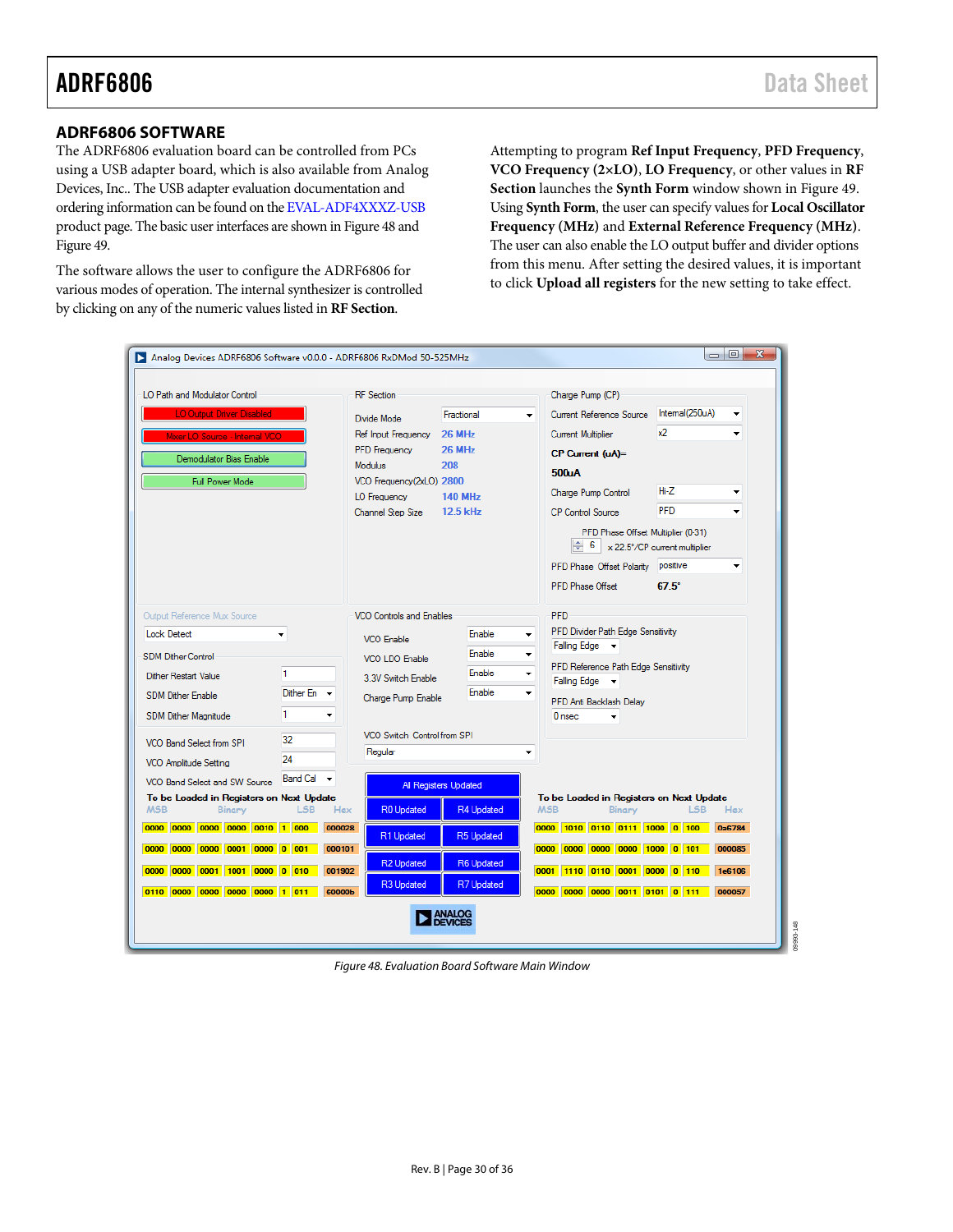#### <span id="page-29-0"></span>**ADRF6806 SOFTWARE**

The ADRF6806 evaluation board can be controlled from PCs using a USB adapter board, which is also available from Analog Devices, Inc.. The USB adapter evaluation documentation and ordering information can be found on the [EVAL-ADF4XXXZ-USB](http://www.analog.com/EVAL-ADF4xxx) product page. The basic user interfaces are shown in [Figure 48](#page-29-1) and [Figure 49.](#page-30-0)

The software allows the user to configure the ADRF6806 for various modes of operation. The internal synthesizer is controlled by clicking on any of the numeric values listed in **RF Section**.

Attempting to program **Ref Input Frequency**, **PFD Frequency**, **VCO Frequency (2×LO)**, **LO Frequency**, or other values in **RF Section** launches the **Synth Form** window shown in [Figure 49](#page-30-0). Using **Synth Form**, the user can specify values for **Local Oscillator Frequency (MHz)** and **External Reference Frequency (MHz)**. The user can also enable the LO output buffer and divider options from this menu. After setting the desired values, it is important to click **Upload all registers** for the new setting to take effect.

| LO Path and Modulator Control<br><b>LO Output Driver Disabled</b>                                        |                                      | <b>RF</b> Section                                                  | Fractional                                 | Charge Pump (CP)<br>Current Reference Source<br>$\overline{\phantom{a}}$                                             | Internal(250uA)                                           |
|----------------------------------------------------------------------------------------------------------|--------------------------------------|--------------------------------------------------------------------|--------------------------------------------|----------------------------------------------------------------------------------------------------------------------|-----------------------------------------------------------|
| ixer LO Source - Internal i                                                                              |                                      | Divide Mode<br>Ref Input Frequency                                 | <b>26 MHz</b>                              | Current Multiplier                                                                                                   | x2                                                        |
| Demodulator Bias Enable<br>Full Power Mode                                                               |                                      | <b>PFD</b> Frequency<br><b>Modulus</b><br>VCO Frequency(2xLO) 2800 | 26 MHz<br>208                              | CP Current (uA)=<br>500uA                                                                                            |                                                           |
|                                                                                                          |                                      | LO Frequency                                                       | <b>140 MHz</b>                             | Charge Pump Control                                                                                                  | $Hi-Z$<br><b>PFD</b>                                      |
|                                                                                                          |                                      | Channel Step Size                                                  | $12.5$ kHz                                 | <b>CP Control Source</b><br>PFD Phase Offset Multiplier (0-31)<br>6<br>PFD Phase Offset Polarity<br>PFD Phase Offset | x 22.5°/CP current multiplier<br>positive<br>$67.5^\circ$ |
| Output Reference Mux Source<br><b>Lock Detect</b>                                                        |                                      | <b>VCO Controls and Enables</b><br>VCO Enable                      | <b>Enable</b>                              | <b>PFD</b><br>PFD Divider Path Edge Sensitivity                                                                      |                                                           |
| <b>SDM Dither Control</b>                                                                                |                                      | VCO LDO Enable                                                     | <b>Enable</b><br><b>Enable</b>             | Falling Edge -<br>۰<br>PFD Reference Path Edge Sensitivity                                                           |                                                           |
| Dither Restart Value<br><b>SDM Dither Enable</b><br>SDM Dither Magnitude                                 | 1.<br>Dither En<br>1                 | 3.3V Switch Enable<br>Charge Pump Enable                           | <b>Enable</b>                              | ۰<br>Falling Edge v<br>٠<br>PFD Anti Backlash Delav<br>$0$ nsec.                                                     |                                                           |
| VCO Band Select from SPI<br>VCO Amplitude Setting                                                        | 32<br>24                             | VCO Switch Control from SPI<br>Regular                             |                                            | ٠                                                                                                                    |                                                           |
| VCO Band Select and SW Source<br>To be Loaded in Registers on Next Update<br><b>MSB</b><br><b>Binary</b> | Band Cal $\rightarrow$<br>LSB<br>Hex | <b>R0 Updated</b>                                                  | <b>All Registers Updated</b><br>R4 Updated | To be Loaded in Registers on Next Update<br><b>MSB</b><br><b>Binary</b>                                              | <b>LSB</b><br>Hax                                         |
| 0000 0000 0000 0000 0010 1 000<br>0000 0001 0000 0 001<br>0000<br>0000                                   | 000028<br>000101                     | R1 Updated                                                         | <b>R5 Updated</b>                          | 0000 1010 0110 0111 1000 0 100<br>0000 0000 0000 0000 1000 0 101                                                     | 0a6784<br>000085                                          |
| 0000 0000 0001 1001                                                                                      | 0000 0 010<br>001902                 | <b>R2 Updated</b><br>R3 Updated                                    | <b>R6 Updated</b><br>R7 Updated            | 0001 1110 0110 0001 0000 0 110                                                                                       | 1e6106                                                    |
| 0110 0000 0000 0000 0000 1 011                                                                           | 60000b                               |                                                                    |                                            | 0000 0000 0000 0011 0101 0 111                                                                                       | 000057                                                    |

<span id="page-29-1"></span>Figure 48. Evaluation Board Software Main Window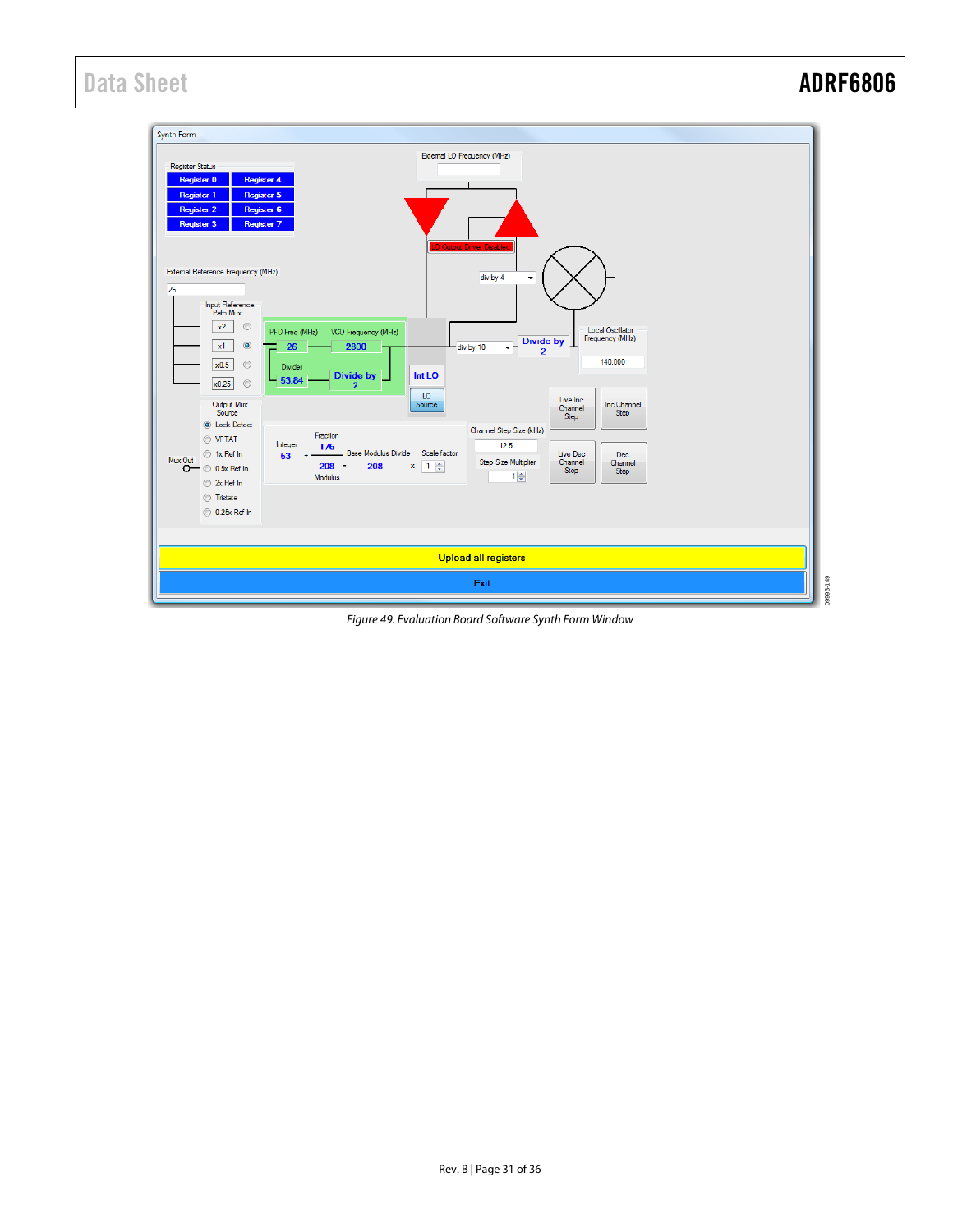

<span id="page-30-0"></span>Figure 49. Evaluation Board Software Synth Form Window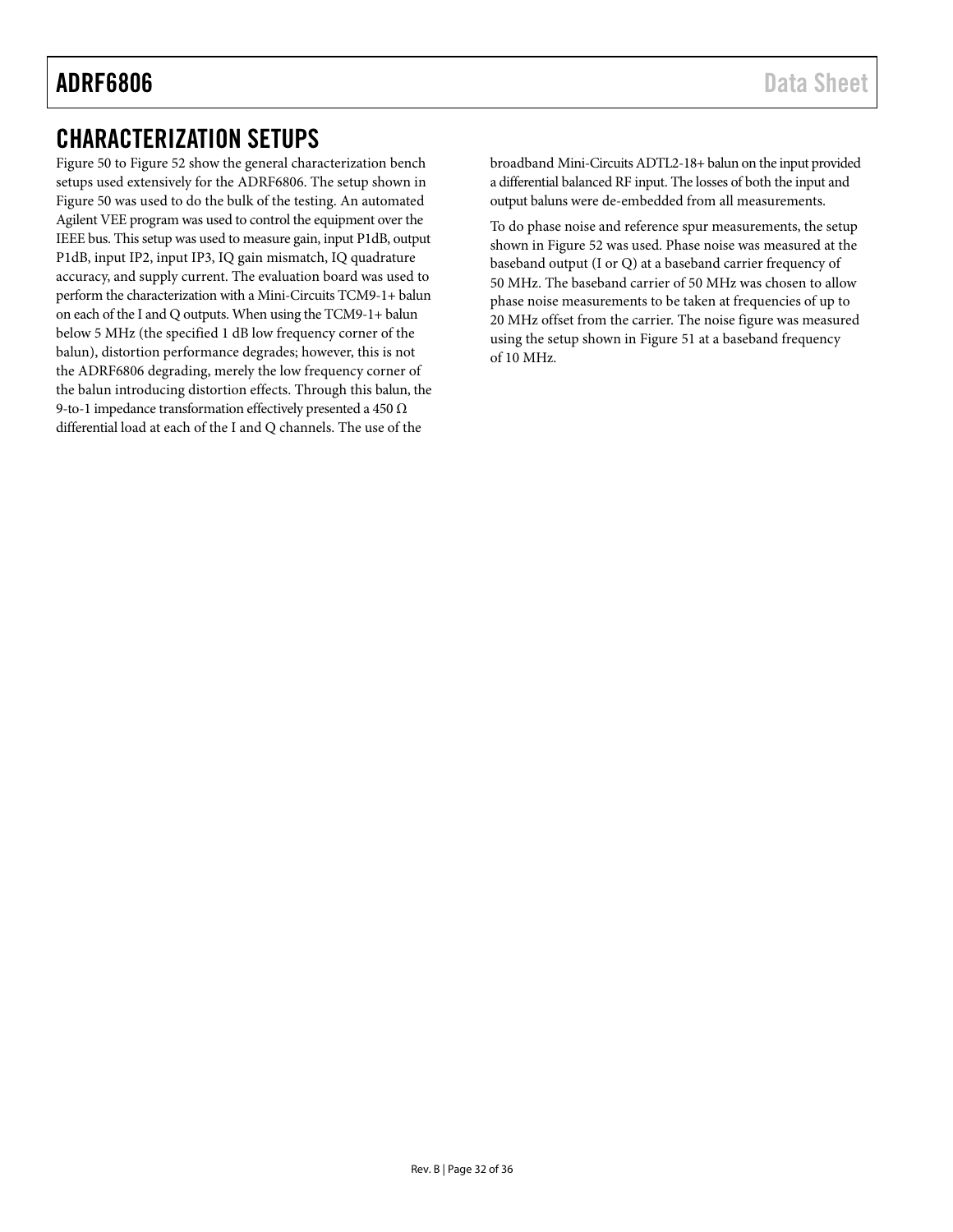## <span id="page-31-0"></span>CHARACTERIZATION SETUPS

[Figure 50](#page-32-0) to [Figure 52](#page-34-0) show the general characterization bench setups used extensively for the ADRF6806. The setup shown in [Figure 50](#page-32-0) was used to do the bulk of the testing. An automated Agilent VEE program was used to control the equipment over the IEEE bus. This setup was used to measure gain, input P1dB, output P1dB, input IP2, input IP3, IQ gain mismatch, IQ quadrature accuracy, and supply current. The evaluation board was used to perform the characterization with a Mini-Circuits TCM9-1+ balun on each of the I and Q outputs. When using the TCM9-1+ balun below 5 MHz (the specified 1 dB low frequency corner of the balun), distortion performance degrades; however, this is not the ADRF6806 degrading, merely the low frequency corner of the balun introducing distortion effects. Through this balun, the 9-to-1 impedance transformation effectively presented a 450 Ω differential load at each of the I and Q channels. The use of the

broadband Mini-Circuits ADTL2-18+ balun on the input provided a differential balanced RF input. The losses of both the input and output baluns were de-embedded from all measurements.

To do phase noise and reference spur measurements, the setup shown in [Figure 52](#page-34-0) was used. Phase noise was measured at the baseband output (I or Q) at a baseband carrier frequency of 50 MHz. The baseband carrier of 50 MHz was chosen to allow phase noise measurements to be taken at frequencies of up to 20 MHz offset from the carrier. The noise figure was measured using the setup shown in [Figure 51](#page-33-0) at a baseband frequency of 10 MHz.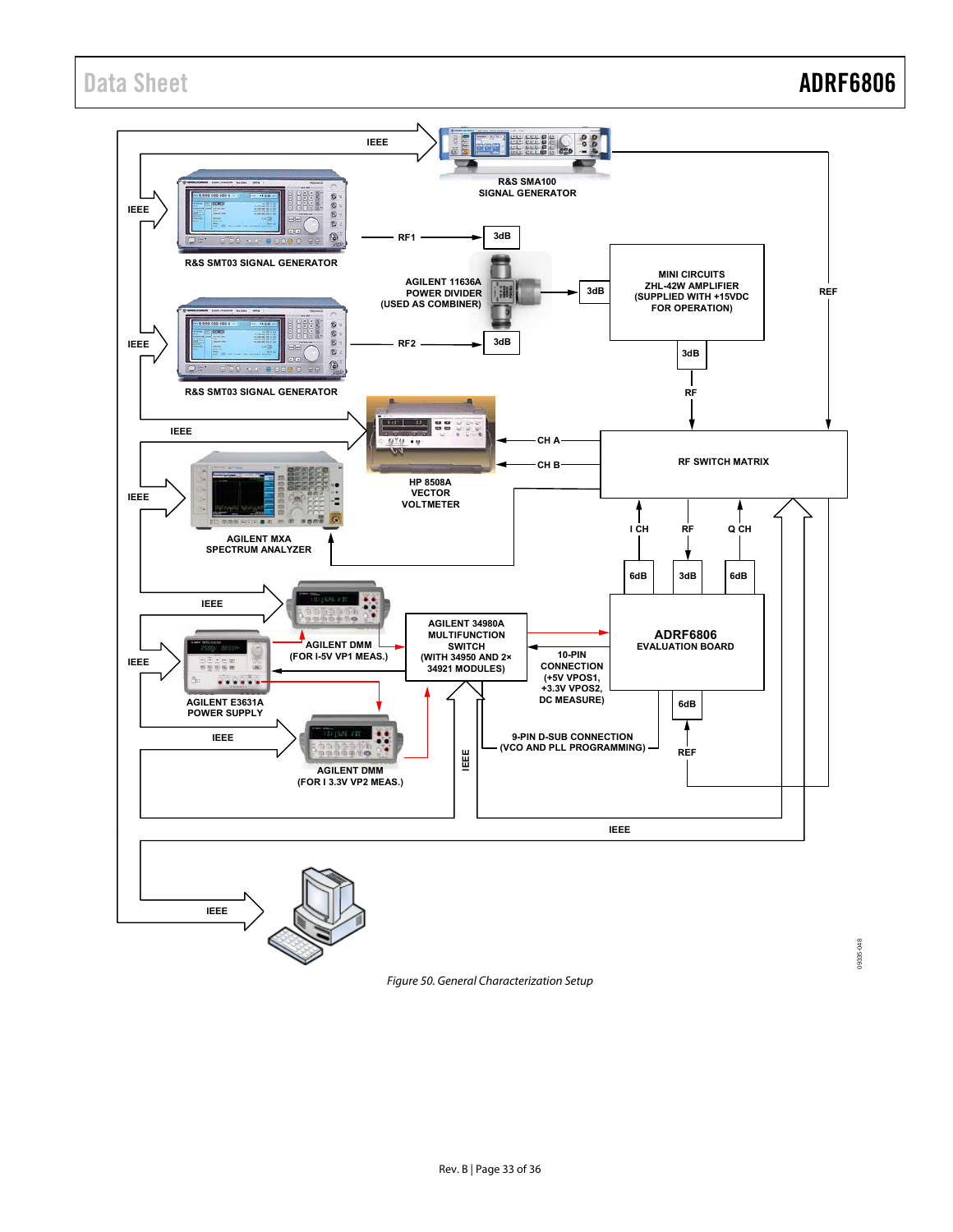09335-048



<span id="page-32-0"></span>Figure 50. General Characterization Setup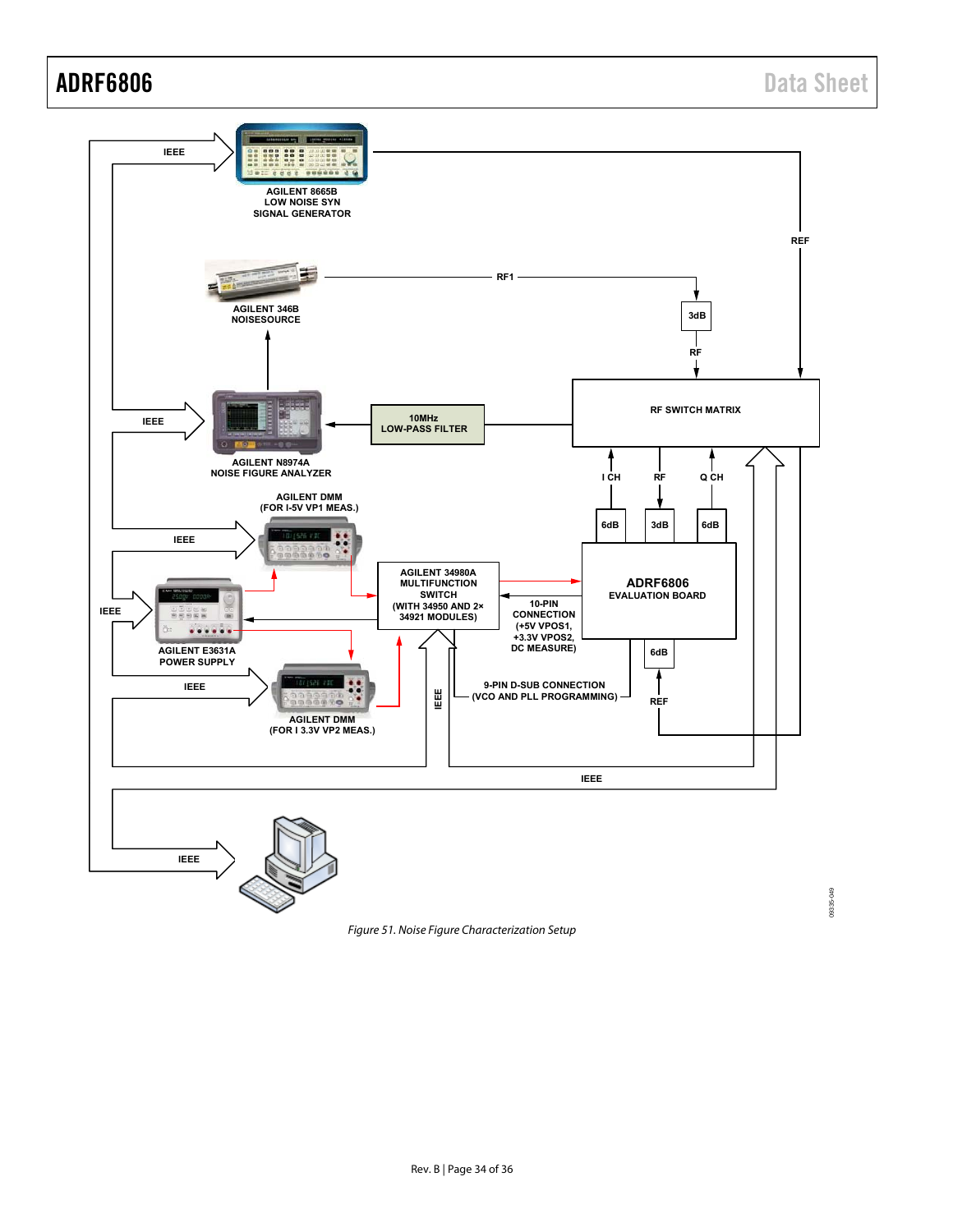09335-049



<span id="page-33-0"></span>Figure 51. Noise Figure Characterization Setup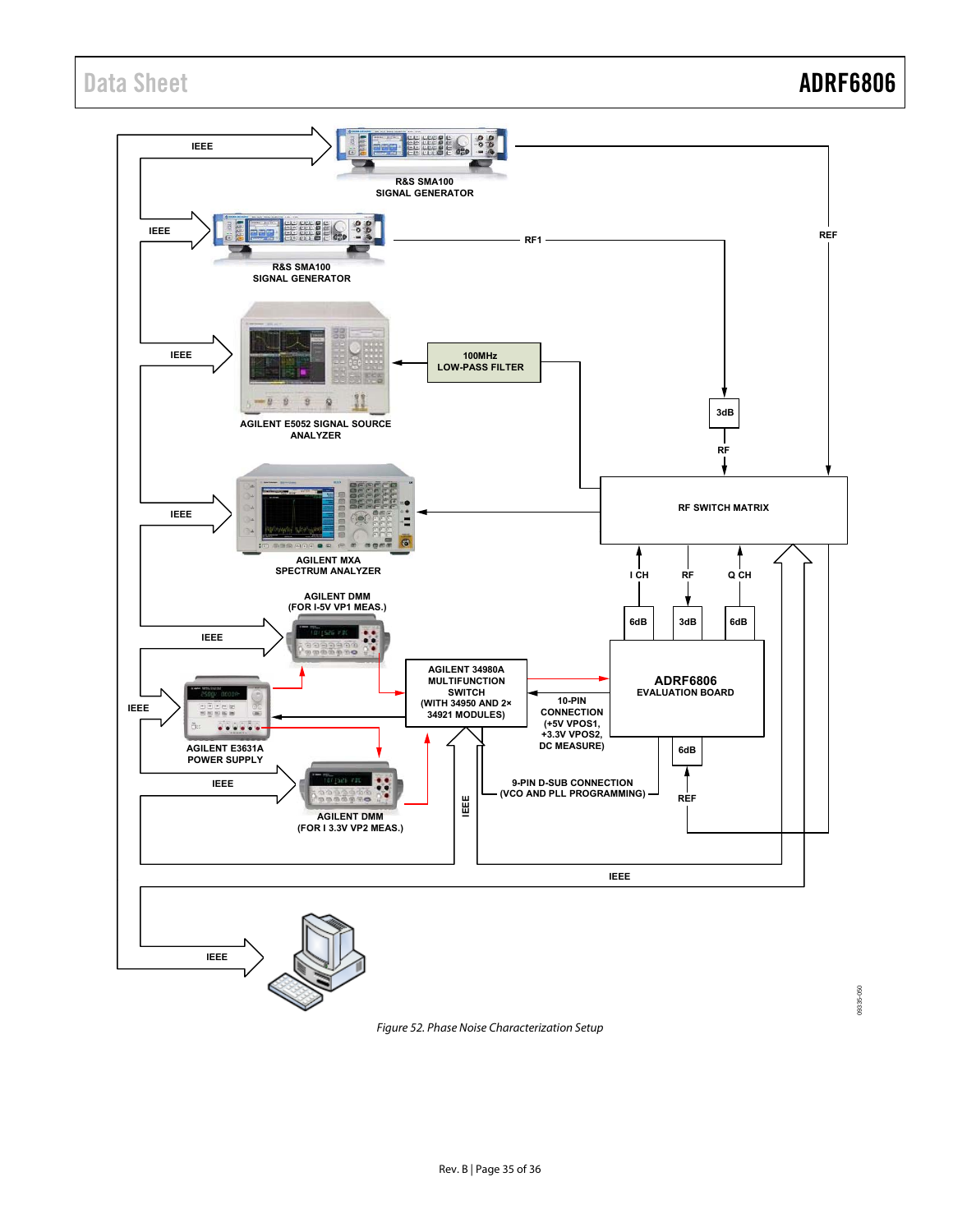<span id="page-34-0"></span>